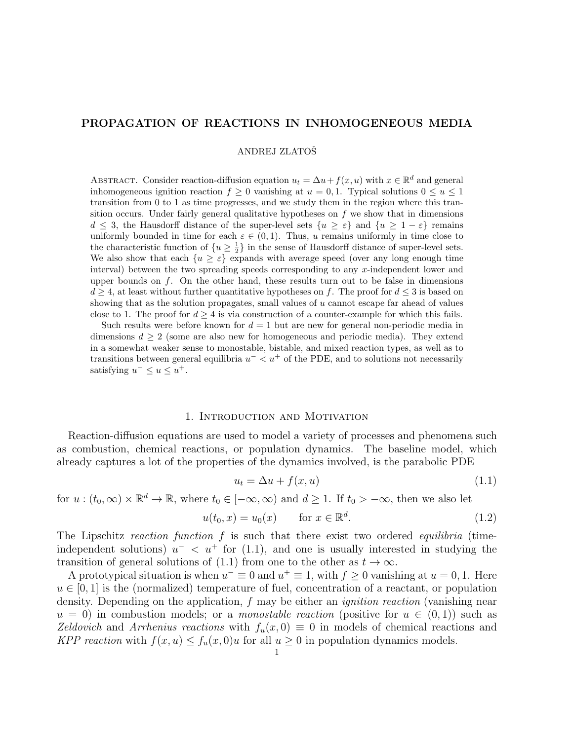# PROPAGATION OF REACTIONS IN INHOMOGENEOUS MEDIA

ANDREJ ZLATOŠ

ABSTRACT. Consider reaction-diffusion equation  $u_t = \Delta u + f(x, u)$  with  $x \in \mathbb{R}^d$  and general inhomogeneous ignition reaction  $f \ge 0$  vanishing at  $u = 0, 1$ . Typical solutions  $0 \le u \le 1$ transition from 0 to 1 as time progresses, and we study them in the region where this transition occurs. Under fairly general qualitative hypotheses on  $f$  we show that in dimensions  $d \leq 3$ , the Hausdorff distance of the super-level sets  $\{u \geq \varepsilon\}$  and  $\{u \geq 1-\varepsilon\}$  remains uniformly bounded in time for each  $\varepsilon \in (0,1)$ . Thus, u remains uniformly in time close to the characteristic function of  $\{u \geq \frac{1}{2}\}\$  in the sense of Hausdorff distance of super-level sets. We also show that each  $\{u \geq \varepsilon\}$  expands with average speed (over any long enough time interval) between the two spreading speeds corresponding to any  $x$ -independent lower and upper bounds on  $f$ . On the other hand, these results turn out to be false in dimensions  $d \geq 4$ , at least without further quantitative hypotheses on f. The proof for  $d \leq 3$  is based on showing that as the solution propagates, small values of  $u$  cannot escape far ahead of values close to 1. The proof for  $d \geq 4$  is via construction of a counter-example for which this fails.

Such results were before known for  $d = 1$  but are new for general non-periodic media in dimensions  $d \geq 2$  (some are also new for homogeneous and periodic media). They extend in a somewhat weaker sense to monostable, bistable, and mixed reaction types, as well as to transitions between general equilibria  $u^- < u^+$  of the PDE, and to solutions not necessarily satisfying  $u^- \leq u \leq u^+$ .

# 1. Introduction and Motivation

Reaction-diffusion equations are used to model a variety of processes and phenomena such as combustion, chemical reactions, or population dynamics. The baseline model, which already captures a lot of the properties of the dynamics involved, is the parabolic PDE

$$
u_t = \Delta u + f(x, u) \tag{1.1}
$$

for  $u:(t_0,\infty)\times\mathbb{R}^d\to\mathbb{R}$ , where  $t_0\in[-\infty,\infty)$  and  $d\geq 1$ . If  $t_0>-\infty$ , then we also let

$$
u(t_0, x) = u_0(x) \qquad \text{for } x \in \mathbb{R}^d. \tag{1.2}
$$

The Lipschitz reaction function f is such that there exist two ordered equilibria (timeindependent solutions)  $u^{-}$  <  $u^{+}$  for (1.1), and one is usually interested in studying the transition of general solutions of (1.1) from one to the other as  $t \to \infty$ .

A prototypical situation is when  $u^{-} \equiv 0$  and  $u^{+} \equiv 1$ , with  $f \ge 0$  vanishing at  $u = 0, 1$ . Here  $u \in [0, 1]$  is the (normalized) temperature of fuel, concentration of a reactant, or population density. Depending on the application, f may be either an *ignition reaction* (vanishing near  $u = 0$ ) in combustion models; or a *monostable reaction* (positive for  $u \in (0,1)$ ) such as Zeldovich and Arrhenius reactions with  $f_u(x, 0) \equiv 0$  in models of chemical reactions and KPP reaction with  $f(x, u) \le f_u(x, 0)u$  for all  $u \ge 0$  in population dynamics models.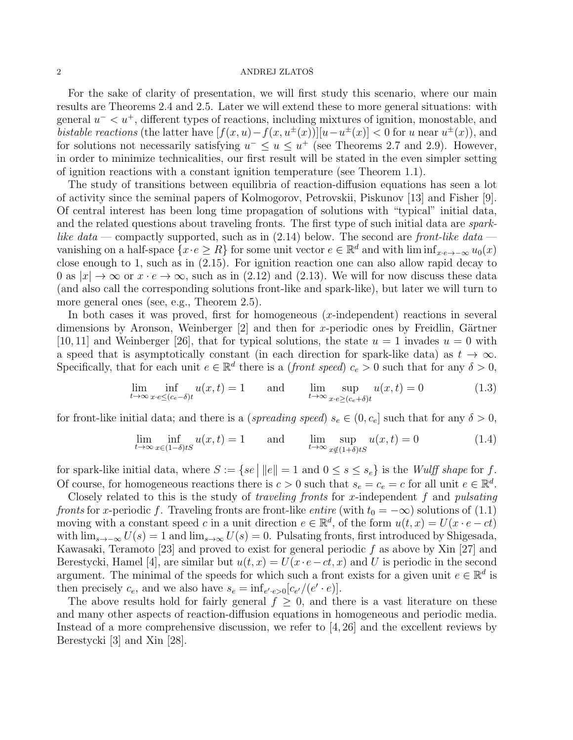For the sake of clarity of presentation, we will first study this scenario, where our main results are Theorems 2.4 and 2.5. Later we will extend these to more general situations: with general  $u^{-} < u^{+}$ , different types of reactions, including mixtures of ignition, monostable, and *bistable reactions* (the latter have  $[f(x, u) - f(x, u^{\pm}(x))] [u - u^{\pm}(x)] < 0$  for u near  $u^{\pm}(x)$ ), and for solutions not necessarily satisfying  $u^- \le u \le u^+$  (see Theorems 2.7 and 2.9). However, in order to minimize technicalities, our first result will be stated in the even simpler setting of ignition reactions with a constant ignition temperature (see Theorem 1.1).

The study of transitions between equilibria of reaction-diffusion equations has seen a lot of activity since the seminal papers of Kolmogorov, Petrovskii, Piskunov [13] and Fisher [9]. Of central interest has been long time propagation of solutions with "typical" initial data, and the related questions about traveling fronts. The first type of such initial data are *spark*like data — compactly supported, such as in  $(2.14)$  below. The second are front-like data vanishing on a half-space  $\{x \cdot e \geq R\}$  for some unit vector  $e \in \mathbb{R}^d$  and with  $\liminf_{x \to \infty} u_0(x)$ close enough to 1, such as in (2.15). For ignition reaction one can also allow rapid decay to 0 as  $|x| \to \infty$  or  $x \cdot e \to \infty$ , such as in (2.12) and (2.13). We will for now discuss these data (and also call the corresponding solutions front-like and spark-like), but later we will turn to more general ones (see, e.g., Theorem 2.5).

In both cases it was proved, first for homogeneous  $(x$ -independent) reactions in several dimensions by Aronson, Weinberger  $[2]$  and then for x-periodic ones by Freidlin, Gärtner [10, 11] and Weinberger [26], that for typical solutions, the state  $u = 1$  invades  $u = 0$  with a speed that is asymptotically constant (in each direction for spark-like data) as  $t \to \infty$ . Specifically, that for each unit  $e \in \mathbb{R}^d$  there is a *(front speed)*  $c_e > 0$  such that for any  $\delta > 0$ ,

$$
\lim_{t \to \infty} \inf_{x \cdot e \le (c_e - \delta)t} u(x, t) = 1 \quad \text{and} \quad \lim_{t \to \infty} \sup_{x \cdot e \ge (c_e + \delta)t} u(x, t) = 0 \quad (1.3)
$$

for front-like initial data; and there is a (spreading speed)  $s_e \in (0, c_e]$  such that for any  $\delta > 0$ ,

$$
\lim_{t \to \infty} \inf_{x \in (1-\delta)tS} u(x,t) = 1 \quad \text{and} \quad \lim_{t \to \infty} \sup_{x \notin (1+\delta)tS} u(x,t) = 0 \quad (1.4)
$$

for spark-like initial data, where  $S := \{ se \mid ||e|| = 1 \text{ and } 0 \le s \le s_e \}$  is the *Wulff shape* for f. Of course, for homogeneous reactions there is  $c > 0$  such that  $s_e = c_e = c$  for all unit  $e \in \mathbb{R}^d$ .

Closely related to this is the study of *traveling fronts* for x-independent f and *pulsating* fronts for x-periodic f. Traveling fronts are front-like entire (with  $t_0 = -\infty$ ) solutions of (1.1) moving with a constant speed c in a unit direction  $e \in \mathbb{R}^d$ , of the form  $u(t, x) = U(x \cdot e - ct)$ with  $\lim_{s\to-\infty} U(s) = 1$  and  $\lim_{s\to\infty} U(s) = 0$ . Pulsating fronts, first introduced by Shigesada, Kawasaki, Teramoto [23] and proved to exist for general periodic  $f$  as above by Xin [27] and Berestycki, Hamel [4], are similar but  $u(t, x) = U(x \cdot e - ct, x)$  and U is periodic in the second argument. The minimal of the speeds for which such a front exists for a given unit  $e \in \mathbb{R}^d$  is then precisely  $c_e$ , and we also have  $s_e = \inf_{e' \cdot e > 0} [c_{e'}/(e' \cdot e)].$ 

The above results hold for fairly general  $f \geq 0$ , and there is a vast literature on these and many other aspects of reaction-diffusion equations in homogeneous and periodic media. Instead of a more comprehensive discussion, we refer to [4, 26] and the excellent reviews by Berestycki [3] and Xin [28].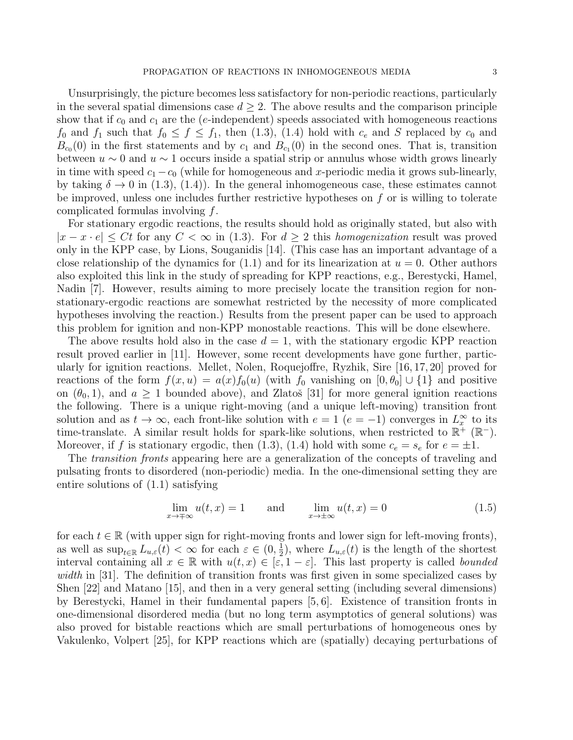Unsurprisingly, the picture becomes less satisfactory for non-periodic reactions, particularly in the several spatial dimensions case  $d \geq 2$ . The above results and the comparison principle show that if  $c_0$  and  $c_1$  are the (e-independent) speeds associated with homogeneous reactions  $f_0$  and  $f_1$  such that  $f_0 \le f \le f_1$ , then (1.3), (1.4) hold with  $c_e$  and S replaced by  $c_0$  and  $B_{c<sub>0</sub>}(0)$  in the first statements and by  $c<sub>1</sub>$  and  $B_{c<sub>1</sub>}(0)$  in the second ones. That is, transition between  $u \sim 0$  and  $u \sim 1$  occurs inside a spatial strip or annulus whose width grows linearly in time with speed  $c_1 - c_0$  (while for homogeneous and x-periodic media it grows sub-linearly, by taking  $\delta \to 0$  in (1.3), (1.4)). In the general inhomogeneous case, these estimates cannot be improved, unless one includes further restrictive hypotheses on f or is willing to tolerate complicated formulas involving f.

For stationary ergodic reactions, the results should hold as originally stated, but also with  $|x-x\cdot e|\leq Ct$  for any  $C<\infty$  in (1.3). For  $d\geq 2$  this homogenization result was proved only in the KPP case, by Lions, Souganidis [14]. (This case has an important advantage of a close relationship of the dynamics for  $(1.1)$  and for its linearization at  $u = 0$ . Other authors also exploited this link in the study of spreading for KPP reactions, e.g., Berestycki, Hamel, Nadin [7]. However, results aiming to more precisely locate the transition region for nonstationary-ergodic reactions are somewhat restricted by the necessity of more complicated hypotheses involving the reaction.) Results from the present paper can be used to approach this problem for ignition and non-KPP monostable reactions. This will be done elsewhere.

The above results hold also in the case  $d = 1$ , with the stationary ergodic KPP reaction result proved earlier in [11]. However, some recent developments have gone further, particularly for ignition reactions. Mellet, Nolen, Roquejoffre, Ryzhik, Sire [16, 17, 20] proved for reactions of the form  $f(x, u) = a(x) f_0(u)$  (with  $f_0$  vanishing on  $[0, \theta_0] \cup \{1\}$  and positive on  $(\theta_0, 1)$ , and  $a \ge 1$  bounded above), and Zlatos [31] for more general ignition reactions the following. There is a unique right-moving (and a unique left-moving) transition front solution and as  $t \to \infty$ , each front-like solution with  $e = 1$   $(e = -1)$  converges in  $L_x^{\infty}$  to its time-translate. A similar result holds for spark-like solutions, when restricted to  $\mathbb{R}^+$  ( $\mathbb{R}^-$ ). Moreover, if f is stationary ergodic, then (1.3), (1.4) hold with some  $c_e = s_e$  for  $e = \pm 1$ .

The transition fronts appearing here are a generalization of the concepts of traveling and pulsating fronts to disordered (non-periodic) media. In the one-dimensional setting they are entire solutions of (1.1) satisfying

$$
\lim_{x \to \pm \infty} u(t, x) = 1 \quad \text{and} \quad \lim_{x \to \pm \infty} u(t, x) = 0 \tag{1.5}
$$

for each  $t \in \mathbb{R}$  (with upper sign for right-moving fronts and lower sign for left-moving fronts), as well as  $\sup_{t\in\mathbb{R}} L_{u,\varepsilon}(t) < \infty$  for each  $\varepsilon \in (0, \frac{1}{2})$  $(\frac{1}{2})$ , where  $L_{u,\varepsilon}(t)$  is the length of the shortest interval containing all  $x \in \mathbb{R}$  with  $u(t, x) \in [\varepsilon, 1-\varepsilon]$ . This last property is called bounded width in [31]. The definition of transition fronts was first given in some specialized cases by Shen [22] and Matano [15], and then in a very general setting (including several dimensions) by Berestycki, Hamel in their fundamental papers [5, 6]. Existence of transition fronts in one-dimensional disordered media (but no long term asymptotics of general solutions) was also proved for bistable reactions which are small perturbations of homogeneous ones by Vakulenko, Volpert [25], for KPP reactions which are (spatially) decaying perturbations of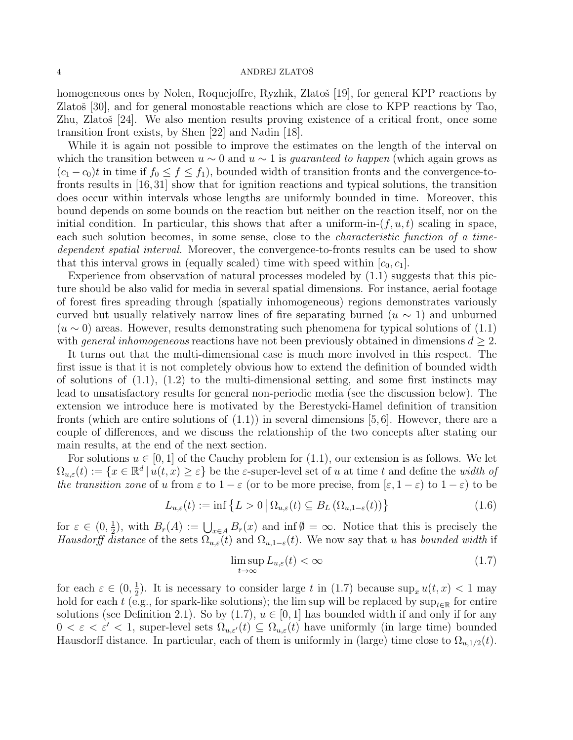homogeneous ones by Nolen, Roquejoffre, Ryzhik, Zlatoš [19], for general KPP reactions by Zlatoš  $[30]$ , and for general monostable reactions which are close to KPP reactions by Tao, Zhu, Zlatoš [24]. We also mention results proving existence of a critical front, once some transition front exists, by Shen [22] and Nadin [18].

While it is again not possible to improve the estimates on the length of the interval on which the transition between  $u \sim 0$  and  $u \sim 1$  is *guaranteed to happen* (which again grows as  $(c_1 - c_0)t$  in time if  $f_0 \le f \le f_1$ , bounded width of transition fronts and the convergence-tofronts results in [16, 31] show that for ignition reactions and typical solutions, the transition does occur within intervals whose lengths are uniformly bounded in time. Moreover, this bound depends on some bounds on the reaction but neither on the reaction itself, nor on the initial condition. In particular, this shows that after a uniform-in- $(f, u, t)$  scaling in space, each such solution becomes, in some sense, close to the *characteristic function of a time*dependent spatial interval. Moreover, the convergence-to-fronts results can be used to show that this interval grows in (equally scaled) time with speed within  $[c_0, c_1]$ .

Experience from observation of natural processes modeled by  $(1.1)$  suggests that this picture should be also valid for media in several spatial dimensions. For instance, aerial footage of forest fires spreading through (spatially inhomogeneous) regions demonstrates variously curved but usually relatively narrow lines of fire separating burned  $(u \sim 1)$  and unburned  $(u \sim 0)$  areas. However, results demonstrating such phenomena for typical solutions of  $(1.1)$ with general inhomogeneous reactions have not been previously obtained in dimensions  $d \geq 2$ .

It turns out that the multi-dimensional case is much more involved in this respect. The first issue is that it is not completely obvious how to extend the definition of bounded width of solutions of  $(1.1)$ ,  $(1.2)$  to the multi-dimensional setting, and some first instincts may lead to unsatisfactory results for general non-periodic media (see the discussion below). The extension we introduce here is motivated by the Berestycki-Hamel definition of transition fronts (which are entire solutions of  $(1.1)$ ) in several dimensions [5,6]. However, there are a couple of differences, and we discuss the relationship of the two concepts after stating our main results, at the end of the next section.

For solutions  $u \in [0, 1]$  of the Cauchy problem for  $(1.1)$ , our extension is as follows. We let  $\Omega_{u,\varepsilon}(t) := \{x \in \mathbb{R}^d \mid u(t,x) \geq \varepsilon\}$  be the  $\varepsilon$ -super-level set of u at time t and define the width of the transition zone of u from  $\varepsilon$  to  $1 - \varepsilon$  (or to be more precise, from  $[\varepsilon, 1 - \varepsilon)$  to  $1 - \varepsilon$ ) to be

$$
L_{u,\varepsilon}(t) := \inf \left\{ L > 0 \, \middle| \, \Omega_{u,\varepsilon}(t) \subseteq B_L \left( \Omega_{u,1-\varepsilon}(t) \right) \right\} \tag{1.6}
$$

for  $\varepsilon \in (0, \frac{1}{2})$  $(\frac{1}{2})$ , with  $B_r(A) := \bigcup_{x \in A} B_r(x)$  and inf  $\emptyset = \infty$ . Notice that this is precisely the Hausdorff distance of the sets  $\Omega_{u,\varepsilon}(t)$  and  $\Omega_{u,1-\varepsilon}(t)$ . We now say that u has bounded width if

$$
\limsup_{t \to \infty} L_{u,\varepsilon}(t) < \infty \tag{1.7}
$$

for each  $\varepsilon \in (0, \frac{1}{2})$  $\frac{1}{2}$ ). It is necessary to consider large t in (1.7) because  $\sup_x u(t,x) < 1$  may hold for each t (e.g., for spark-like solutions); the lim sup will be replaced by  $\sup_{t\in\mathbb{R}}$  for entire solutions (see Definition 2.1). So by  $(1.7)$ ,  $u \in [0,1]$  has bounded width if and only if for any  $0 < \varepsilon < \varepsilon' < 1$ , super-level sets  $\Omega_{u,\varepsilon'}(t) \subseteq \Omega_{u,\varepsilon}(t)$  have uniformly (in large time) bounded Hausdorff distance. In particular, each of them is uniformly in (large) time close to  $\Omega_{u,1/2}(t)$ .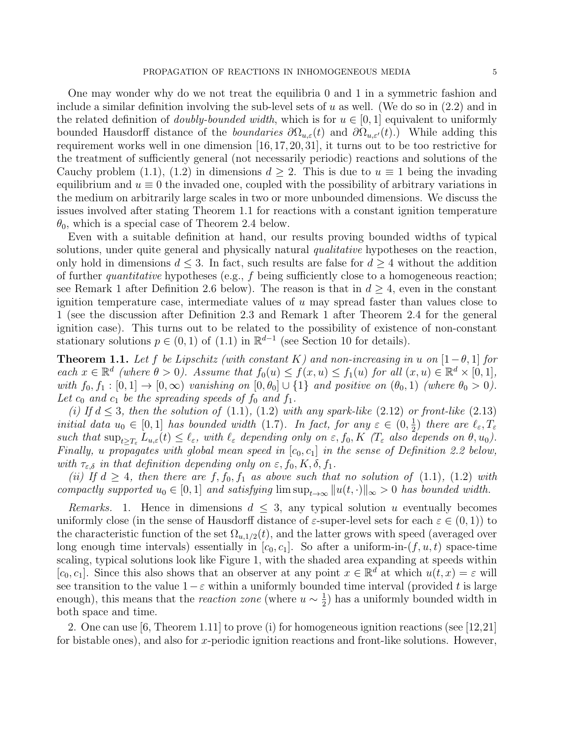One may wonder why do we not treat the equilibria 0 and 1 in a symmetric fashion and include a similar definition involving the sub-level sets of u as well. (We do so in  $(2.2)$  and in the related definition of *doubly-bounded width*, which is for  $u \in [0, 1]$  equivalent to uniformly bounded Hausdorff distance of the *boundaries*  $\partial\Omega_{u,\varepsilon}(t)$  and  $\partial\Omega_{u,\varepsilon}(t)$ .) While adding this requirement works well in one dimension [16, 17, 20, 31], it turns out to be too restrictive for the treatment of sufficiently general (not necessarily periodic) reactions and solutions of the Cauchy problem (1.1), (1.2) in dimensions  $d \geq 2$ . This is due to  $u \equiv 1$  being the invading equilibrium and  $u \equiv 0$  the invaded one, coupled with the possibility of arbitrary variations in the medium on arbitrarily large scales in two or more unbounded dimensions. We discuss the issues involved after stating Theorem 1.1 for reactions with a constant ignition temperature  $\theta_0$ , which is a special case of Theorem 2.4 below.

Even with a suitable definition at hand, our results proving bounded widths of typical solutions, under quite general and physically natural *qualitative* hypotheses on the reaction, only hold in dimensions  $d \leq 3$ . In fact, such results are false for  $d \geq 4$  without the addition of further *quantitative* hypotheses (e.g.,  $f$  being sufficiently close to a homogeneous reaction; see Remark 1 after Definition 2.6 below). The reason is that in  $d > 4$ , even in the constant ignition temperature case, intermediate values of  $u$  may spread faster than values close to 1 (see the discussion after Definition 2.3 and Remark 1 after Theorem 2.4 for the general ignition case). This turns out to be related to the possibility of existence of non-constant stationary solutions  $p \in (0,1)$  of  $(1.1)$  in  $\mathbb{R}^{d-1}$  (see Section 10 for details).

**Theorem 1.1.** Let f be Lipschitz (with constant K) and non-increasing in u on  $[1-\theta,1]$  for each  $x \in \mathbb{R}^d$  (where  $\theta > 0$ ). Assume that  $f_0(u) \le f(x, u) \le f_1(u)$  for all  $(x, u) \in \mathbb{R}^d \times [0, 1]$ , with  $f_0, f_1 : [0, 1] \rightarrow [0, \infty)$  vanishing on  $[0, \theta_0] \cup \{1\}$  and positive on  $(\theta_0, 1)$  (where  $\theta_0 > 0$ ). Let  $c_0$  and  $c_1$  be the spreading speeds of  $f_0$  and  $f_1$ .

(i) If  $d \leq 3$ , then the solution of (1.1), (1.2) with any spark-like (2.12) or front-like (2.13) initial data  $u_0 \in [0,1]$  has bounded width (1.7). In fact, for any  $\varepsilon \in (0, \frac{1}{2})$  $(\frac{1}{2})$  there are  $\ell_{\varepsilon}, T_{\varepsilon}$ such that  $\sup_{t>T_{\varepsilon}} L_{u,\varepsilon}(t) \leq \ell_{\varepsilon}$ , with  $\ell_{\varepsilon}$  depending only on  $\varepsilon, f_0, K$  ( $T_{\varepsilon}$  also depends on  $\theta, u_0$ ). Finally, u propagates with global mean speed in  $[c_0, c_1]$  in the sense of Definition 2.2 below, with  $\tau_{\varepsilon,\delta}$  in that definition depending only on  $\varepsilon$ ,  $f_0$ ,  $K$ ,  $\delta$ ,  $f_1$ .

(ii) If  $d \geq 4$ , then there are  $f, f_0, f_1$  as above such that no solution of (1.1), (1.2) with compactly supported  $u_0 \in [0,1]$  and satisfying  $\limsup_{t\to\infty} ||u(t, \cdot)||_{\infty} > 0$  has bounded width.

Remarks. 1. Hence in dimensions  $d \leq 3$ , any typical solution u eventually becomes uniformly close (in the sense of Hausdorff distance of  $\varepsilon$ -super-level sets for each  $\varepsilon \in (0,1)$ ) to the characteristic function of the set  $\Omega_{u,1/2}(t)$ , and the latter grows with speed (averaged over long enough time intervals) essentially in  $[c_0, c_1]$ . So after a uniform-in- $(f, u, t)$  space-time scaling, typical solutions look like Figure 1, with the shaded area expanding at speeds within  $[c_0, c_1]$ . Since this also shows that an observer at any point  $x \in \mathbb{R}^d$  at which  $u(t, x) = \varepsilon$  will see transition to the value  $1-\varepsilon$  within a uniformly bounded time interval (provided t is large enough), this means that the *reaction zone* (where  $u \sim \frac{1}{2}$  $\frac{1}{2}$ ) has a uniformly bounded width in both space and time.

2. One can use [6, Theorem 1.11] to prove (i) for homogeneous ignition reactions (see [12,21] for bistable ones), and also for x-periodic ignition reactions and front-like solutions. However,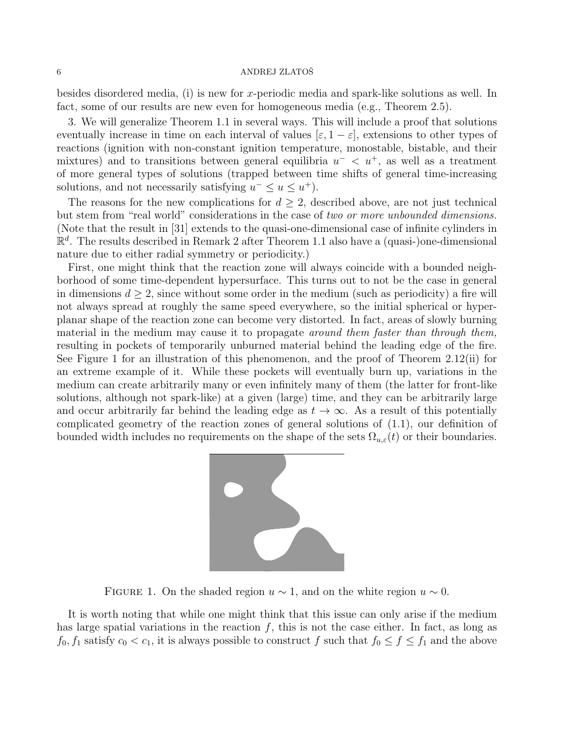besides disordered media, (i) is new for x-periodic media and spark-like solutions as well. In fact, some of our results are new even for homogeneous media (e.g., Theorem 2.5).

3. We will generalize Theorem 1.1 in several ways. This will include a proof that solutions eventually increase in time on each interval of values  $[\varepsilon, 1-\varepsilon]$ , extensions to other types of reactions (ignition with non-constant ignition temperature, monostable, bistable, and their mixtures) and to transitions between general equilibria  $u^{-} < u^{+}$ , as well as a treatment of more general types of solutions (trapped between time shifts of general time-increasing solutions, and not necessarily satisfying  $u^- \leq u \leq u^+$ ).

The reasons for the new complications for  $d \geq 2$ , described above, are not just technical but stem from "real world" considerations in the case of two or more unbounded dimensions. (Note that the result in [31] extends to the quasi-one-dimensional case of infinite cylinders in  $\mathbb{R}^d$ . The results described in Remark 2 after Theorem 1.1 also have a (quasi-)one-dimensional nature due to either radial symmetry or periodicity.)

First, one might think that the reaction zone will always coincide with a bounded neighborhood of some time-dependent hypersurface. This turns out to not be the case in general in dimensions  $d \geq 2$ , since without some order in the medium (such as periodicity) a fire will not always spread at roughly the same speed everywhere, so the initial spherical or hyperplanar shape of the reaction zone can become very distorted. In fact, areas of slowly burning material in the medium may cause it to propagate *around them faster than through them*, resulting in pockets of temporarily unburned material behind the leading edge of the fire. See Figure 1 for an illustration of this phenomenon, and the proof of Theorem 2.12(ii) for an extreme example of it. While these pockets will eventually burn up, variations in the medium can create arbitrarily many or even infinitely many of them (the latter for front-like solutions, although not spark-like) at a given (large) time, and they can be arbitrarily large and occur arbitrarily far behind the leading edge as  $t \to \infty$ . As a result of this potentially complicated geometry of the reaction zones of general solutions of (1.1), our definition of bounded width includes no requirements on the shape of the sets  $\Omega_{u,\varepsilon}(t)$  or their boundaries.



FIGURE 1. On the shaded region  $u \sim 1$ , and on the white region  $u \sim 0$ .

It is worth noting that while one might think that this issue can only arise if the medium has large spatial variations in the reaction  $f$ , this is not the case either. In fact, as long as  $f_0, f_1$  satisfy  $c_0 < c_1$ , it is always possible to construct f such that  $f_0 \le f \le f_1$  and the above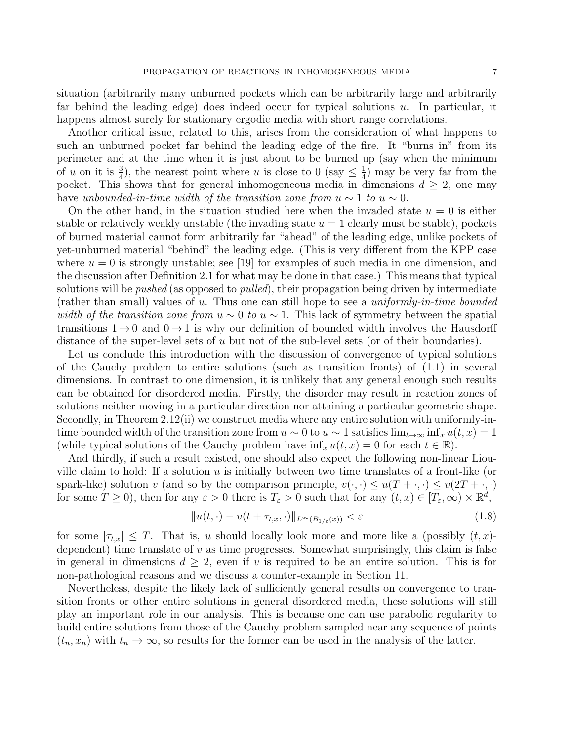situation (arbitrarily many unburned pockets which can be arbitrarily large and arbitrarily far behind the leading edge) does indeed occur for typical solutions  $u$ . In particular, it happens almost surely for stationary ergodic media with short range correlations.

Another critical issue, related to this, arises from the consideration of what happens to such an unburned pocket far behind the leading edge of the fire. It "burns in" from its perimeter and at the time when it is just about to be burned up (say when the minimum of u on it is  $\frac{3}{4}$ ), the nearest point where u is close to 0 (say  $\leq \frac{1}{4}$ )  $\frac{1}{4}$ ) may be very far from the pocket. This shows that for general inhomogeneous media in dimensions  $d \geq 2$ , one may have unbounded-in-time width of the transition zone from  $u \sim 1$  to  $u \sim 0$ .

On the other hand, in the situation studied here when the invaded state  $u = 0$  is either stable or relatively weakly unstable (the invading state  $u = 1$  clearly must be stable), pockets of burned material cannot form arbitrarily far "ahead" of the leading edge, unlike pockets of yet-unburned material "behind" the leading edge. (This is very different from the KPP case where  $u = 0$  is strongly unstable; see [19] for examples of such media in one dimension, and the discussion after Definition 2.1 for what may be done in that case.) This means that typical solutions will be *pushed* (as opposed to *pulled*), their propagation being driven by intermediate (rather than small) values of u. Thus one can still hope to see a uniformly-in-time bounded width of the transition zone from  $u \sim 0$  to  $u \sim 1$ . This lack of symmetry between the spatial transitions  $1 \rightarrow 0$  and  $0 \rightarrow 1$  is why our definition of bounded width involves the Hausdorff distance of the super-level sets of u but not of the sub-level sets (or of their boundaries).

Let us conclude this introduction with the discussion of convergence of typical solutions of the Cauchy problem to entire solutions (such as transition fronts) of (1.1) in several dimensions. In contrast to one dimension, it is unlikely that any general enough such results can be obtained for disordered media. Firstly, the disorder may result in reaction zones of solutions neither moving in a particular direction nor attaining a particular geometric shape. Secondly, in Theorem 2.12(ii) we construct media where any entire solution with uniformly-intime bounded width of the transition zone from  $u \sim 0$  to  $u \sim 1$  satisfies  $\lim_{t\to\infty} \inf_x u(t,x) = 1$ (while typical solutions of the Cauchy problem have  $\inf_x u(t, x) = 0$  for each  $t \in \mathbb{R}$ ).

And thirdly, if such a result existed, one should also expect the following non-linear Liouville claim to hold: If a solution  $u$  is initially between two time translates of a front-like (or spark-like) solution v (and so by the comparison principle,  $v(\cdot, \cdot) \leq u(T + \cdot, \cdot) \leq v(2T + \cdot, \cdot)$ for some  $T \ge 0$ , then for any  $\varepsilon > 0$  there is  $T_{\varepsilon} > 0$  such that for any  $(t, x) \in [T_{\varepsilon}, \infty) \times \mathbb{R}^d$ ,

$$
||u(t, \cdot) - v(t + \tau_{t,x}, \cdot)||_{L^{\infty}(B_{1/\varepsilon}(x))} < \varepsilon
$$
\n(1.8)

for some  $|\tau_{t,x}| \leq T$ . That is, u should locally look more and more like a (possibly  $(t, x)$ dependent) time translate of  $v$  as time progresses. Somewhat surprisingly, this claim is false in general in dimensions  $d \geq 2$ , even if v is required to be an entire solution. This is for non-pathological reasons and we discuss a counter-example in Section 11.

Nevertheless, despite the likely lack of sufficiently general results on convergence to transition fronts or other entire solutions in general disordered media, these solutions will still play an important role in our analysis. This is because one can use parabolic regularity to build entire solutions from those of the Cauchy problem sampled near any sequence of points  $(t_n, x_n)$  with  $t_n \to \infty$ , so results for the former can be used in the analysis of the latter.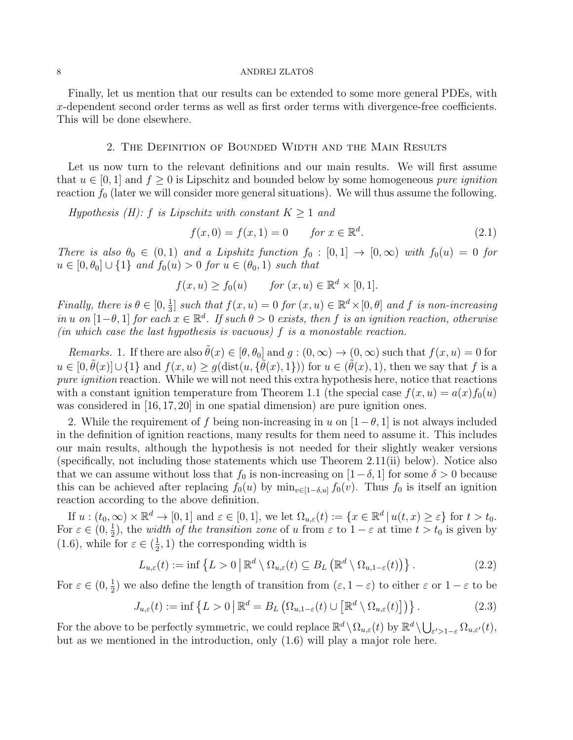Finally, let us mention that our results can be extended to some more general PDEs, with x-dependent second order terms as well as first order terms with divergence-free coefficients. This will be done elsewhere.

# 2. The Definition of Bounded Width and the Main Results

Let us now turn to the relevant definitions and our main results. We will first assume that  $u \in [0, 1]$  and  $f \geq 0$  is Lipschitz and bounded below by some homogeneous *pure ignition* reaction  $f_0$  (later we will consider more general situations). We will thus assume the following.

Hypothesis (H): f is Lipschitz with constant  $K \geq 1$  and

$$
f(x, 0) = f(x, 1) = 0 \tfor x \in \mathbb{R}^d.
$$
 (2.1)

There is also  $\theta_0 \in (0,1)$  and a Lipshitz function  $f_0 : [0,1] \to [0,\infty)$  with  $f_0(u) = 0$  for  $u \in [0, \theta_0] \cup \{1\}$  and  $f_0(u) > 0$  for  $u \in (\theta_0, 1)$  such that

$$
f(x, u) \ge f_0(u) \qquad \text{for } (x, u) \in \mathbb{R}^d \times [0, 1].
$$

*Finally, there is*  $\theta \in [0, \frac{1}{3}]$  $\frac{1}{3}$  such that  $f(x, u) = 0$  for  $(x, u) \in \mathbb{R}^d \times [0, \theta]$  and f is non-increasing in u on  $[1-\theta,1]$  for each  $x \in \mathbb{R}^d$ . If such  $\theta > 0$  exists, then f is an ignition reaction, otherwise (in which case the last hypothesis is vacuous)  $f$  is a monostable reaction.

Remarks. 1. If there are also  $\tilde{\theta}(x) \in [\theta, \theta_0]$  and  $g : (0, \infty) \to (0, \infty)$  such that  $f(x, u) = 0$  for  $u \in [0, \tilde{\theta}(x)] \cup \{1\}$  and  $f(x, u) \ge g(\text{dist}(u, \{\tilde{\theta}(x), 1\}))$  for  $u \in (\tilde{\theta}(x), 1)$ , then we say that f is a pure *ignition* reaction. While we will not need this extra hypothesis here, notice that reactions with a constant ignition temperature from Theorem 1.1 (the special case  $f(x, u) = a(x) f_0(u)$ was considered in [16, 17, 20] in one spatial dimension) are pure ignition ones.

2. While the requirement of f being non-increasing in u on  $[1-\theta, 1]$  is not always included in the definition of ignition reactions, many results for them need to assume it. This includes our main results, although the hypothesis is not needed for their slightly weaker versions (specifically, not including those statements which use Theorem 2.11(ii) below). Notice also that we can assume without loss that  $f_0$  is non-increasing on  $[1-\delta, 1]$  for some  $\delta > 0$  because this can be achieved after replacing  $f_0(u)$  by  $\min_{v \in [1-\delta, u]} f_0(v)$ . Thus  $f_0$  is itself an ignition reaction according to the above definition.

If  $u:(t_0,\infty)\times\mathbb{R}^d\to[0,1]$  and  $\varepsilon\in[0,1]$ , we let  $\Omega_{u,\varepsilon}(t):=\{x\in\mathbb{R}^d\,|\,u(t,x)\geq\varepsilon\}$  for  $t>t_0$ . For  $\varepsilon \in (0, \frac{1}{2})$  $\frac{1}{2}$ ), the *width of the transition zone* of u from  $\varepsilon$  to  $1 - \varepsilon$  at time  $t > t_0$  is given by  $(1.6)$ , while for  $\varepsilon \in (\frac{1}{2})$  $(\frac{1}{2}, 1)$  the corresponding width is

$$
L_{u,\varepsilon}(t) := \inf \left\{ L > 0 \, \middle| \, \mathbb{R}^d \setminus \Omega_{u,\varepsilon}(t) \subseteq B_L \left( \mathbb{R}^d \setminus \Omega_{u,1-\varepsilon}(t) \right) \right\}.
$$
 (2.2)

For  $\varepsilon \in (0, \frac{1}{2})$  $\frac{1}{2}$ ) we also define the length of transition from  $(\varepsilon, 1 - \varepsilon)$  to either  $\varepsilon$  or  $1 - \varepsilon$  to be

$$
J_{u,\varepsilon}(t) := \inf \left\{ L > 0 \, \middle| \, \mathbb{R}^d = B_L \left( \Omega_{u,1-\varepsilon}(t) \cup \left[ \mathbb{R}^d \setminus \Omega_{u,\varepsilon}(t) \right] \right) \right\}.
$$
 (2.3)

For the above to be perfectly symmetric, we could replace  $\mathbb{R}^d \setminus \Omega_{u,\varepsilon}(t)$  by  $\mathbb{R}^d \setminus \bigcup_{\varepsilon' > 1-\varepsilon} \Omega_{u,\varepsilon'}(t)$ , but as we mentioned in the introduction, only (1.6) will play a major role here.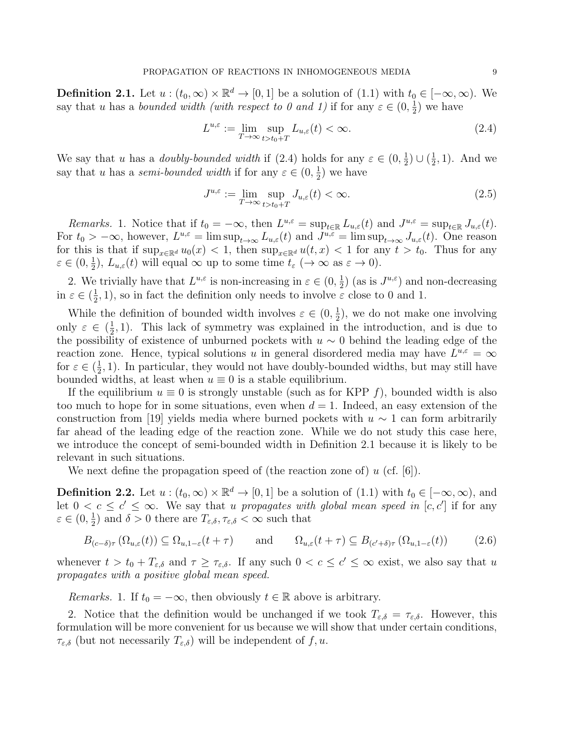**Definition 2.1.** Let  $u : (t_0, \infty) \times \mathbb{R}^d \to [0, 1]$  be a solution of  $(1.1)$  with  $t_0 \in [-\infty, \infty)$ . We say that u has a bounded width (with respect to 0 and 1) if for any  $\varepsilon \in (0, \frac{1}{2})$  $(\frac{1}{2})$  we have

$$
L^{u,\varepsilon} := \lim_{T \to \infty} \sup_{t > t_0 + T} L_{u,\varepsilon}(t) < \infty. \tag{2.4}
$$

We say that u has a *doubly-bounded width* if  $(2.4)$  holds for any  $\varepsilon \in (0, \frac{1}{2})$  $\frac{1}{2}) \cup (\frac{1}{2})$  $(\frac{1}{2}, 1)$ . And we say that u has a semi-bounded width if for any  $\varepsilon \in (0, \frac{1}{2})$  $(\frac{1}{2})$  we have

$$
J^{u,\varepsilon} := \lim_{T \to \infty} \sup_{t > t_0 + T} J_{u,\varepsilon}(t) < \infty. \tag{2.5}
$$

Remarks. 1. Notice that if  $t_0 = -\infty$ , then  $L^{u,\varepsilon} = \sup_{t \in \mathbb{R}} L_{u,\varepsilon}(t)$  and  $J^{u,\varepsilon} = \sup_{t \in \mathbb{R}} J_{u,\varepsilon}(t)$ . For  $t_0 > -\infty$ , however,  $L^{u,\varepsilon} = \limsup_{t \to \infty} L_{u,\varepsilon}(t)$  and  $J^{u,\varepsilon} = \limsup_{t \to \infty} J_{u,\varepsilon}(t)$ . One reason for this is that if  $\sup_{x\in\mathbb{R}^d}u_0(x) < 1$ , then  $\sup_{x\in\mathbb{R}^d}u(t,x) < 1$  for any  $t > t_0$ . Thus for any  $\varepsilon \in (0, \frac{1}{2})$  $(\frac{1}{2})$ ,  $L_{u,\varepsilon}(t)$  will equal  $\infty$  up to some time  $t_{\varepsilon}$  ( $\to \infty$  as  $\varepsilon \to 0$ ).

2. We trivially have that  $L^{u,\varepsilon}$  is non-increasing in  $\varepsilon \in (0, \frac{1}{2})$  $(\frac{1}{2})$  (as is  $J^{u,\varepsilon}$ ) and non-decreasing in  $\varepsilon \in (\frac{1}{2})$  $(\frac{1}{2}, 1)$ , so in fact the definition only needs to involve  $\varepsilon$  close to 0 and 1.

While the definition of bounded width involves  $\varepsilon \in (0, \frac{1}{2})$  $(\frac{1}{2})$ , we do not make one involving only  $\varepsilon \in (\frac{1}{2})$  $\frac{1}{2}$ , 1). This lack of symmetry was explained in the introduction, and is due to the possibility of existence of unburned pockets with  $u \sim 0$  behind the leading edge of the reaction zone. Hence, typical solutions u in general disordered media may have  $L^{u,\varepsilon} = \infty$ for  $\varepsilon \in (\frac{1}{2})$  $\frac{1}{2}$ , 1). In particular, they would not have doubly-bounded widths, but may still have bounded widths, at least when  $u \equiv 0$  is a stable equilibrium.

If the equilibrium  $u \equiv 0$  is strongly unstable (such as for KPP f), bounded width is also too much to hope for in some situations, even when  $d = 1$ . Indeed, an easy extension of the construction from [19] yields media where burned pockets with  $u \sim 1$  can form arbitrarily far ahead of the leading edge of the reaction zone. While we do not study this case here, we introduce the concept of semi-bounded width in Definition 2.1 because it is likely to be relevant in such situations.

We next define the propagation speed of (the reaction zone of)  $u$  (cf. [6]).

**Definition 2.2.** Let  $u:(t_0,\infty)\times\mathbb{R}^d\to[0,1]$  be a solution of  $(1.1)$  with  $t_0\in[-\infty,\infty)$ , and let  $0 < c \leq c' \leq \infty$ . We say that u propagates with global mean speed in [c, c'] if for any  $\varepsilon \in (0, \frac{1}{2})$  $(\frac{1}{2})$  and  $\delta > 0$  there are  $T_{\varepsilon,\delta}, \tau_{\varepsilon,\delta} < \infty$  such that

$$
B_{(c-\delta)\tau}(\Omega_{u,\varepsilon}(t)) \subseteq \Omega_{u,1-\varepsilon}(t+\tau) \quad \text{and} \quad \Omega_{u,\varepsilon}(t+\tau) \subseteq B_{(c'+\delta)\tau}(\Omega_{u,1-\varepsilon}(t)) \quad (2.6)
$$

whenever  $t > t_0 + T_{\varepsilon,\delta}$  and  $\tau \geq \tau_{\varepsilon,\delta}$ . If any such  $0 < c \leq c' \leq \infty$  exist, we also say that u propagates with a positive global mean speed.

*Remarks.* 1. If  $t_0 = -\infty$ , then obviously  $t \in \mathbb{R}$  above is arbitrary.

2. Notice that the definition would be unchanged if we took  $T_{\varepsilon,\delta} = \tau_{\varepsilon,\delta}$ . However, this formulation will be more convenient for us because we will show that under certain conditions,  $\tau_{\varepsilon,\delta}$  (but not necessarily  $T_{\varepsilon,\delta}$ ) will be independent of f, u.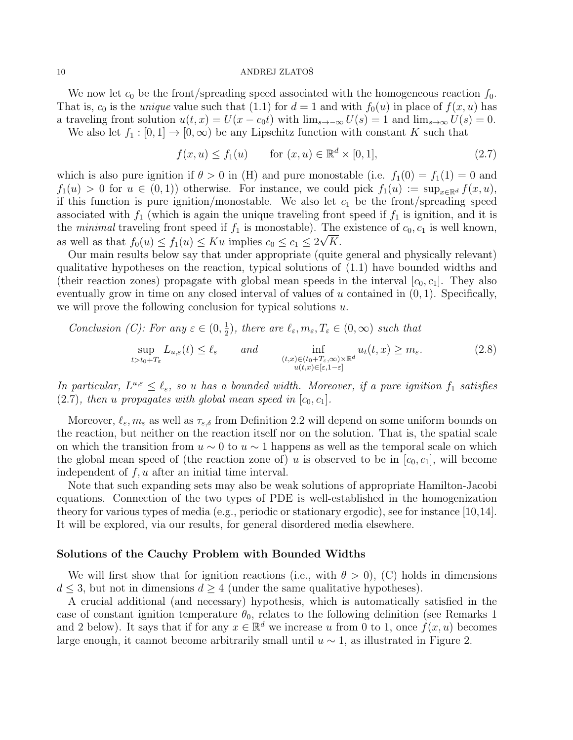We now let  $c_0$  be the front/spreading speed associated with the homogeneous reaction  $f_0$ . That is,  $c_0$  is the *unique* value such that (1.1) for  $d = 1$  and with  $f_0(u)$  in place of  $f(x, u)$  has a traveling front solution  $u(t, x) = U(x - c_0 t)$  with  $\lim_{s\to\infty} U(s) = 1$  and  $\lim_{s\to\infty} U(s) = 0$ .

We also let  $f_1 : [0,1] \to [0,\infty)$  be any Lipschitz function with constant K such that

 $f(x, u) \le f_1(u)$  for  $(x, u) \in \mathbb{R}^d \times [0, 1],$  (2.7)

which is also pure ignition if  $\theta > 0$  in (H) and pure monostable (i.e.  $f_1(0) = f_1(1) = 0$  and  $f_1(u) > 0$  for  $u \in (0,1)$  otherwise. For instance, we could pick  $f_1(u) := \sup_{x \in \mathbb{R}^d} f(x, u)$ , if this function is pure ignition/monostable. We also let  $c_1$  be the front/spreading speed associated with  $f_1$  (which is again the unique traveling front speed if  $f_1$  is ignition, and it is the minimal traveling front speed if  $f_1$  is monostable). The existence of  $c_0, c_1$  is well known, as well as that  $f_0(u) \le f_1(u) \le Ku$  implies  $c_0 \le c_1 \le 2\sqrt{K}$ .

Our main results below say that under appropriate (quite general and physically relevant) qualitative hypotheses on the reaction, typical solutions of (1.1) have bounded widths and (their reaction zones) propagate with global mean speeds in the interval  $[c_0, c_1]$ . They also eventually grow in time on any closed interval of values of u contained in  $(0, 1)$ . Specifically, we will prove the following conclusion for typical solutions  $u$ .

Conclusion (C): For any  $\varepsilon \in (0, \frac{1}{2})$  $(\frac{1}{2})$ , there are  $\ell_{\varepsilon}, m_{\varepsilon}, T_{\varepsilon} \in (0, \infty)$  such that

$$
\sup_{t>t_0+T_{\varepsilon}} L_{u,\varepsilon}(t) \le \ell_{\varepsilon} \qquad and \qquad \inf_{\substack{(t,x)\in (t_0+T_{\varepsilon},\infty)\times \mathbb{R}^d\\u(t,x)\in [\varepsilon,1-\varepsilon]}} u_t(t,x) \ge m_{\varepsilon}.
$$
\n(2.8)

In particular,  $L^{u,\varepsilon} \leq \ell_{\varepsilon}$ , so u has a bounded width. Moreover, if a pure ignition  $f_1$  satisfies  $(2.7)$ , then u propagates with global mean speed in  $[c_0, c_1]$ .

Moreover,  $\ell_{\varepsilon}, m_{\varepsilon}$  as well as  $\tau_{\varepsilon,\delta}$  from Definition 2.2 will depend on some uniform bounds on the reaction, but neither on the reaction itself nor on the solution. That is, the spatial scale on which the transition from  $u \sim 0$  to  $u \sim 1$  happens as well as the temporal scale on which the global mean speed of (the reaction zone of) u is observed to be in  $[c_0, c_1]$ , will become independent of  $f, u$  after an initial time interval.

Note that such expanding sets may also be weak solutions of appropriate Hamilton-Jacobi equations. Connection of the two types of PDE is well-established in the homogenization theory for various types of media (e.g., periodic or stationary ergodic), see for instance [10,14]. It will be explored, via our results, for general disordered media elsewhere.

# Solutions of the Cauchy Problem with Bounded Widths

We will first show that for ignition reactions (i.e., with  $\theta > 0$ ), (C) holds in dimensions  $d \leq 3$ , but not in dimensions  $d \geq 4$  (under the same qualitative hypotheses).

A crucial additional (and necessary) hypothesis, which is automatically satisfied in the case of constant ignition temperature  $\theta_0$ , relates to the following definition (see Remarks 1) and 2 below). It says that if for any  $x \in \mathbb{R}^d$  we increase u from 0 to 1, once  $f(x, u)$  becomes large enough, it cannot become arbitrarily small until  $u \sim 1$ , as illustrated in Figure 2.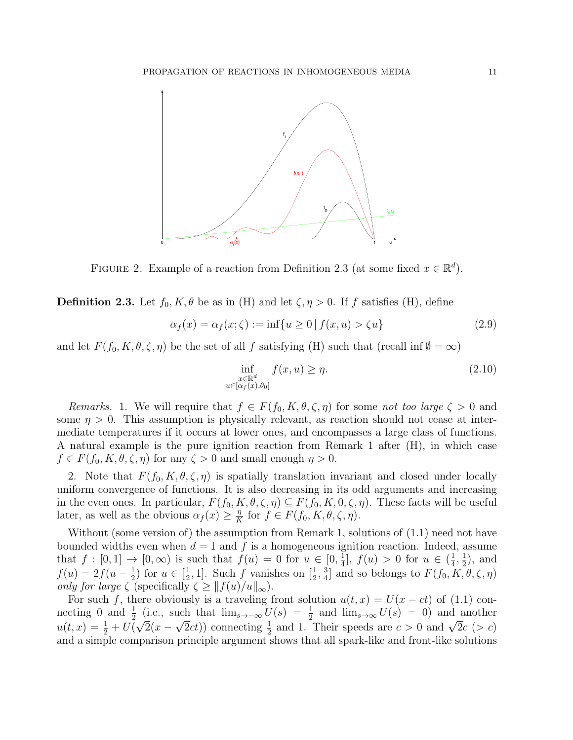

FIGURE 2. Example of a reaction from Definition 2.3 (at some fixed  $x \in \mathbb{R}^d$ ).

**Definition 2.3.** Let  $f_0, K, \theta$  be as in (H) and let  $\zeta, \eta > 0$ . If f satisfies (H), define

$$
\alpha_f(x) = \alpha_f(x; \zeta) := \inf\{u \ge 0 \mid f(x, u) > \zeta u\} \tag{2.9}
$$

and let  $F(f_0, K, \theta, \zeta, \eta)$  be the set of all f satisfying (H) such that (recall inf  $\emptyset = \infty$ )

$$
\inf_{\substack{x \in \mathbb{R}^d \\ u \in [\alpha_f(x), \theta_0]}} f(x, u) \ge \eta. \tag{2.10}
$$

Remarks. 1. We will require that  $f \in F(f_0, K, \theta, \zeta, \eta)$  for some not too large  $\zeta > 0$  and some  $\eta > 0$ . This assumption is physically relevant, as reaction should not cease at intermediate temperatures if it occurs at lower ones, and encompasses a large class of functions. A natural example is the pure ignition reaction from Remark 1 after (H), in which case  $f \in F(f_0, K, \theta, \zeta, \eta)$  for any  $\zeta > 0$  and small enough  $\eta > 0$ .

2. Note that  $F(f_0, K, \theta, \zeta, \eta)$  is spatially translation invariant and closed under locally uniform convergence of functions. It is also decreasing in its odd arguments and increasing in the even ones. In particular,  $F(f_0, K, \theta, \zeta, \eta) \subseteq F(f_0, K, 0, \zeta, \eta)$ . These facts will be useful later, as well as the obvious  $\alpha_f(x) \geq \frac{\eta}{K}$  $\frac{\eta}{K}$  for  $f \in F(f_0, K, \theta, \zeta, \eta)$ .

Without (some version of) the assumption from Remark 1, solutions of  $(1.1)$  need not have bounded widths even when  $d = 1$  and f is a homogeneous ignition reaction. Indeed, assume that  $f : [0,1] \rightarrow [0,\infty)$  is such that  $f(u) = 0$  for  $u \in [0,\frac{1}{4}]$  $\frac{1}{4}$ ,  $f(u) > 0$  for  $u \in (\frac{1}{4})$  $\frac{1}{4}, \frac{1}{2}$  $(\frac{1}{2})$ , and  $f(u) = 2f(u - \frac{1}{2})$  $(\frac{1}{2})$  for  $u \in [\frac{1}{2}]$  $\frac{1}{2}$ , 1]. Such f vanishes on  $\left[\frac{1}{2}, \frac{3}{4}\right]$  $\frac{3}{4}$  and so belongs to  $F(f_0, K, \theta, \zeta, \eta)$ only for large  $\zeta$  (specifically  $\zeta \geq ||f(u)/u||_{\infty}$ ).

For such f, there obviously is a traveling front solution  $u(t, x) = U(x - ct)$  of (1.1) connecting 0 and  $\frac{1}{2}$  (i.e., such that  $\lim_{s\to\infty} U(s) = \frac{1}{2}$  and  $\lim_{s\to\infty} U(s) = 0$ ) and another meeting 0 and  $\frac{1}{2}$  (i.e., such that  $\lim_{s\to\infty} c(s) = \frac{1}{2}$  and  $\lim_{s\to\infty} c(s) = 0$ ) and another  $u(t, x) = \frac{1}{2} + U(\sqrt{2}(x - \sqrt{2}ct))$  connecting  $\frac{1}{2}$  and 1. Their speeds are  $c > 0$  and  $\sqrt{2}c (> c)$ and a simple comparison principle argument shows that all spark-like and front-like solutions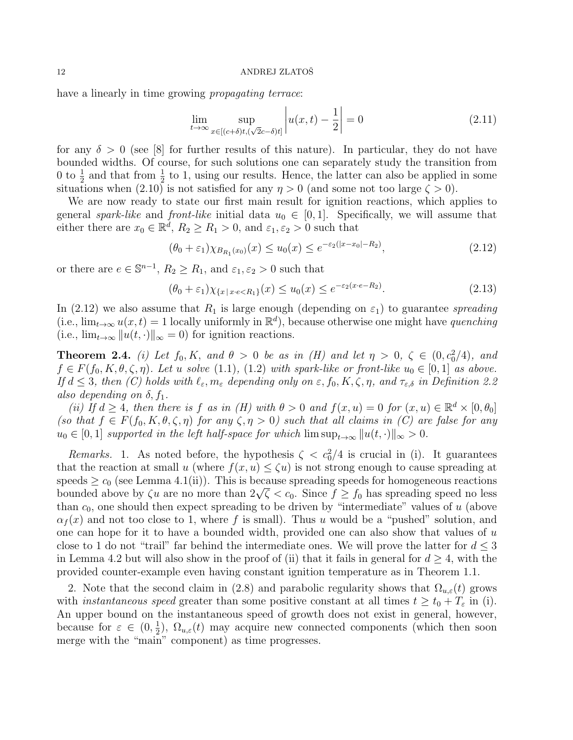have a linearly in time growing *propagating terrace*:

$$
\lim_{t \to \infty} \sup_{x \in [(c+\delta)t, (\sqrt{2}c-\delta)t]} \left| u(x, t) - \frac{1}{2} \right| = 0 \tag{2.11}
$$

for any  $\delta > 0$  (see [8] for further results of this nature). In particular, they do not have bounded widths. Of course, for such solutions one can separately study the transition from 0 to  $\frac{1}{2}$  and that from  $\frac{1}{2}$  to 1, using our results. Hence, the latter can also be applied in some situations when (2.10) is not satisfied for any  $\eta > 0$  (and some not too large  $\zeta > 0$ ).

We are now ready to state our first main result for ignition reactions, which applies to general spark-like and front-like initial data  $u_0 \in [0,1]$ . Specifically, we will assume that either there are  $x_0 \in \mathbb{R}^d$ ,  $R_2 \ge R_1 > 0$ , and  $\varepsilon_1, \varepsilon_2 > 0$  such that

$$
(\theta_0 + \varepsilon_1) \chi_{B_{R_1}(x_0)}(x) \le u_0(x) \le e^{-\varepsilon_2(|x - x_0| - R_2)},
$$
\n(2.12)

or there are  $e \in \mathbb{S}^{n-1}$ ,  $R_2 \ge R_1$ , and  $\varepsilon_1, \varepsilon_2 > 0$  such that

$$
(\theta_0 + \varepsilon_1)\chi_{\{x \mid x \cdot \epsilon < R_1\}}(x) \le u_0(x) \le e^{-\varepsilon_2(x \cdot \epsilon - R_2)}.\tag{2.13}
$$

In (2.12) we also assume that  $R_1$  is large enough (depending on  $\varepsilon_1$ ) to guarantee spreading (i.e.,  $\lim_{t\to\infty} u(x,t) = 1$  locally uniformly in  $\mathbb{R}^d$ ), because otherwise one might have quenching (i.e.,  $\lim_{t\to\infty} ||u(t, \cdot)||_{\infty} = 0$ ) for ignition reactions.

**Theorem 2.4.** (i) Let  $f_0, K$ , and  $\theta > 0$  be as in (H) and let  $\eta > 0$ ,  $\zeta \in (0, c_0^2/4)$ , and  $f \in F(f_0, K, \theta, \zeta, \eta)$ . Let u solve (1.1), (1.2) with spark-like or front-like  $u_0 \in [0, 1]$  as above. If  $d \leq 3$ , then (C) holds with  $\ell_{\varepsilon}, m_{\varepsilon}$  depending only on  $\varepsilon, f_0, K, \zeta, \eta$ , and  $\tau_{\varepsilon,\delta}$  in Definition 2.2 also depending on  $\delta, f_1$ .

(ii) If  $d \geq 4$ , then there is f as in (H) with  $\theta > 0$  and  $f(x, u) = 0$  for  $(x, u) \in \mathbb{R}^d \times [0, \theta_0]$ (so that  $f \in F(f_0, K, \theta, \zeta, \eta)$  for any  $\zeta, \eta > 0$ ) such that all claims in (C) are false for any  $u_0 \in [0,1]$  supported in the left half-space for which  $\limsup_{t\to\infty} ||u(t,\cdot)||_{\infty} > 0.$ 

Remarks. 1. As noted before, the hypothesis  $\zeta < c_0^2/4$  is crucial in (i). It guarantees that the reaction at small u (where  $f(x, u) \le \zeta u$ ) is not strong enough to cause spreading at speeds  $\geq c_0$  (see Lemma 4.1(ii)). This is because spreading speeds for homogeneous reactions speeds  $\geq c_0$  (see Lemma 4.1(11)). This is because spreading speeds for nomogeneous reactions bounded above by  $\zeta u$  are no more than  $2\sqrt{\zeta} < c_0$ . Since  $f \geq f_0$  has spreading speed no less than  $c_0$ , one should then expect spreading to be driven by "intermediate" values of u (above  $\alpha_f(x)$  and not too close to 1, where f is small). Thus u would be a "pushed" solution, and one can hope for it to have a bounded width, provided one can also show that values of  $u$ close to 1 do not "trail" far behind the intermediate ones. We will prove the latter for  $d \leq 3$ in Lemma 4.2 but will also show in the proof of (ii) that it fails in general for  $d > 4$ , with the provided counter-example even having constant ignition temperature as in Theorem 1.1.

2. Note that the second claim in (2.8) and parabolic regularity shows that  $\Omega_{u,\varepsilon}(t)$  grows with *instantaneous speed* greater than some positive constant at all times  $t \ge t_0 + T_{\varepsilon}$  in (i). An upper bound on the instantaneous speed of growth does not exist in general, however, because for  $\varepsilon \in (0, \frac{1}{2})$  $\frac{1}{2}$ ),  $\Omega_{u,\varepsilon}(t)$  may acquire new connected components (which then soon merge with the "main" component) as time progresses.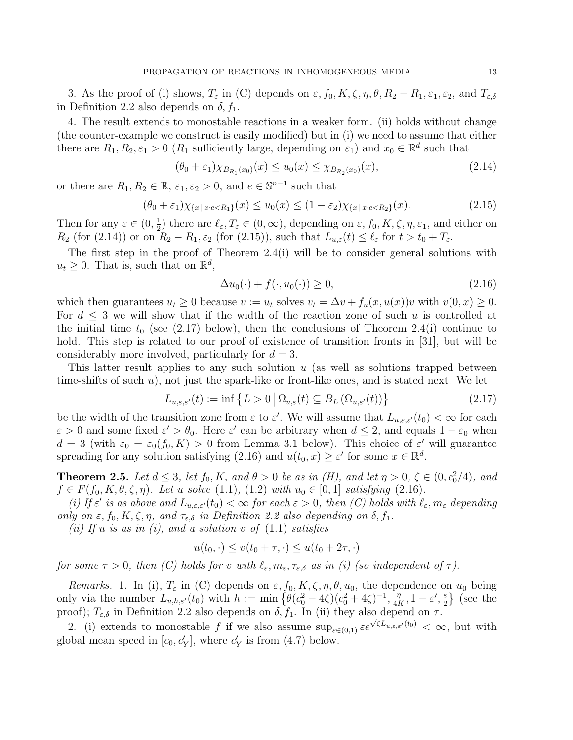3. As the proof of (i) shows,  $T_{\varepsilon}$  in (C) depends on  $\varepsilon$ ,  $f_0$ ,  $K, \zeta, \eta, \theta, R_2 - R_1, \varepsilon_1, \varepsilon_2$ , and  $T_{\varepsilon,\delta}$ in Definition 2.2 also depends on  $\delta$ ,  $f_1$ .

4. The result extends to monostable reactions in a weaker form. (ii) holds without change (the counter-example we construct is easily modified) but in (i) we need to assume that either there are  $R_1, R_2, \varepsilon_1 > 0$  ( $R_1$  sufficiently large, depending on  $\varepsilon_1$ ) and  $x_0 \in \mathbb{R}^d$  such that

$$
(\theta_0 + \varepsilon_1) \chi_{B_{R_1}(x_0)}(x) \le u_0(x) \le \chi_{B_{R_2}(x_0)}(x), \tag{2.14}
$$

or there are  $R_1, R_2 \in \mathbb{R}$ ,  $\varepsilon_1, \varepsilon_2 > 0$ , and  $e \in \mathbb{S}^{n-1}$  such that

$$
(\theta_0 + \varepsilon_1)\chi_{\{x \mid x \cdot \epsilon < R_1\}}(x) \le u_0(x) \le (1 - \varepsilon_2)\chi_{\{x \mid x \cdot \epsilon < R_2\}}(x). \tag{2.15}
$$

Then for any  $\varepsilon \in (0, \frac{1}{2})$  $(\frac{1}{2})$  there are  $\ell_{\varepsilon}, T_{\varepsilon} \in (0, \infty)$ , depending on  $\varepsilon, f_0, K, \zeta, \eta, \varepsilon_1$ , and either on  $R_2$  (for (2.14)) or on  $R_2 - R_1$ ,  $\varepsilon_2$  (for (2.15)), such that  $L_{u,\varepsilon}(t) \leq \ell_{\varepsilon}$  for  $t > t_0 + T_{\varepsilon}$ .

The first step in the proof of Theorem 2.4(i) will be to consider general solutions with  $u_t \geq 0$ . That is, such that on  $\mathbb{R}^d$ ,

$$
\Delta u_0(\cdot) + f(\cdot, u_0(\cdot)) \ge 0,\tag{2.16}
$$

which then guarantees  $u_t \geq 0$  because  $v := u_t$  solves  $v_t = \Delta v + f_u(x, u(x))v$  with  $v(0, x) \geq 0$ . For  $d \leq 3$  we will show that if the width of the reaction zone of such u is controlled at the initial time  $t_0$  (see (2.17) below), then the conclusions of Theorem 2.4(i) continue to hold. This step is related to our proof of existence of transition fronts in [31], but will be considerably more involved, particularly for  $d = 3$ .

This latter result applies to any such solution  $u$  (as well as solutions trapped between time-shifts of such  $u$ ), not just the spark-like or front-like ones, and is stated next. We let

$$
L_{u,\varepsilon,\varepsilon'}(t) := \inf \left\{ L > 0 \, \middle| \, \Omega_{u,\varepsilon}(t) \subseteq B_L \left( \Omega_{u,\varepsilon'}(t) \right) \right\} \tag{2.17}
$$

be the width of the transition zone from  $\varepsilon$  to  $\varepsilon'$ . We will assume that  $L_{u,\varepsilon,\varepsilon'}(t_0) < \infty$  for each  $\varepsilon > 0$  and some fixed  $\varepsilon' > \theta_0$ . Here  $\varepsilon'$  can be arbitrary when  $d \leq 2$ , and equals  $1 - \varepsilon_0$  when  $d = 3$  (with  $\varepsilon_0 = \varepsilon_0(f_0, K) > 0$  from Lemma 3.1 below). This choice of  $\varepsilon'$  will guarantee spreading for any solution satisfying (2.16) and  $u(t_0, x) \geq \varepsilon'$  for some  $x \in \mathbb{R}^d$ .

**Theorem 2.5.** Let  $d \leq 3$ , let  $f_0, K$ , and  $\theta > 0$  be as in (H), and let  $\eta > 0$ ,  $\zeta \in (0, c_0^2/4)$ , and  $f \in F(f_0, K, \theta, \zeta, \eta)$ . Let u solve (1.1), (1.2) with  $u_0 \in [0, 1]$  satisfying (2.16).

(i) If  $\varepsilon'$  is as above and  $L_{u,\varepsilon,\varepsilon'}(t_0) < \infty$  for each  $\varepsilon > 0$ , then (C) holds with  $\ell_{\varepsilon}, m_{\varepsilon}$  depending only on  $\varepsilon$ ,  $f_0, K, \zeta, \eta$ , and  $\tau_{\varepsilon,\delta}$  in Definition 2.2 also depending on  $\delta, f_1$ .

(ii) If u is as in (i), and a solution  $v$  of  $(1.1)$  satisfies

$$
u(t_0, \cdot) \le v(t_0 + \tau, \cdot) \le u(t_0 + 2\tau, \cdot)
$$

for some  $\tau > 0$ , then (C) holds for v with  $\ell_{\varepsilon}, m_{\varepsilon}, \tau_{\varepsilon,\delta}$  as in (i) (so independent of  $\tau$ ).

Remarks. 1. In (i),  $T_{\varepsilon}$  in (C) depends on  $\varepsilon, f_0, K, \zeta, \eta, \theta, u_0$ , the dependence on  $u_0$  being only via the number  $L_{u,h,\varepsilon'}(t_0)$  with  $h := \min \left\{ \theta(c_0^2 - 4\zeta)(c_0^2 + 4\zeta)^{-1}, \frac{\eta}{4R} \right\}$  $\frac{\eta}{4K}, 1-\varepsilon', \frac{\varepsilon}{2}$  $\frac{\varepsilon}{2}$  (see the proof);  $T_{\varepsilon,\delta}$  in Definition 2.2 also depends on  $\delta$ ,  $f_1$ . In (ii) they also depend on  $\tau$ .

2. (i) extends to monostable f if we also assume  $\sup_{\varepsilon \in (0,1)} \varepsilon e^{\sqrt{\zeta}L_{u,\varepsilon,\varepsilon'}(t_0)} < \infty$ , but with global mean speed in  $[c_0, c'_Y]$ , where  $c'_Y$  is from (4.7) below.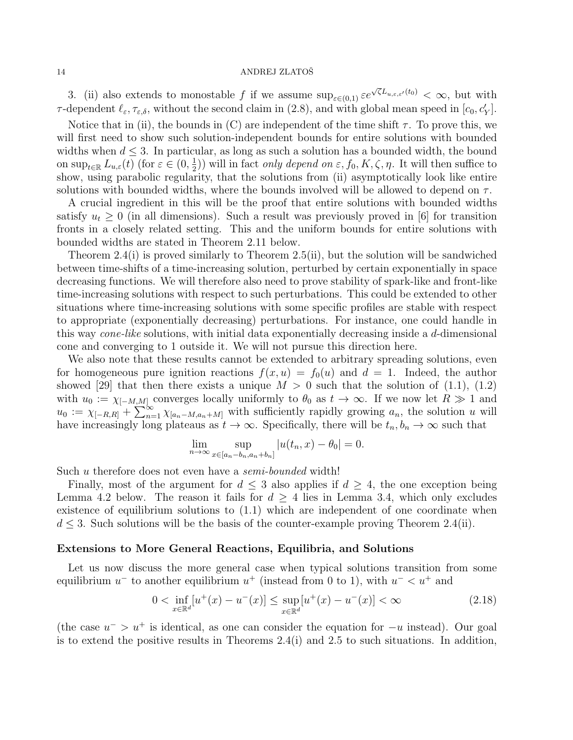3. (ii) also extends to monostable f if we assume  $\sup_{\varepsilon \in (0,1)} \varepsilon e^{\sqrt{\zeta}L_{u,\varepsilon,\varepsilon'}(t_0)} < \infty$ , but with  $\tau$ -dependent  $\ell_{\varepsilon}, \tau_{\varepsilon,\delta}$ , without the second claim in (2.8), and with global mean speed in  $[c_0, c'_Y]$ .

Notice that in (ii), the bounds in (C) are independent of the time shift  $\tau$ . To prove this, we will first need to show such solution-independent bounds for entire solutions with bounded widths when  $d \leq 3$ . In particular, as long as such a solution has a bounded width, the bound on  $\sup_{t\in\mathbb{R}} L_{u,\varepsilon}(t)$  (for  $\varepsilon \in (0, \frac{1}{2})$  $(\frac{1}{2})$ ) will in fact *only depend on*  $\varepsilon$ ,  $f_0$ ,  $K$ ,  $\zeta$ ,  $\eta$ . It will then suffice to show, using parabolic regularity, that the solutions from (ii) asymptotically look like entire solutions with bounded widths, where the bounds involved will be allowed to depend on  $\tau$ .

A crucial ingredient in this will be the proof that entire solutions with bounded widths satisfy  $u_t \geq 0$  (in all dimensions). Such a result was previously proved in [6] for transition fronts in a closely related setting. This and the uniform bounds for entire solutions with bounded widths are stated in Theorem 2.11 below.

Theorem 2.4(i) is proved similarly to Theorem 2.5(ii), but the solution will be sandwiched between time-shifts of a time-increasing solution, perturbed by certain exponentially in space decreasing functions. We will therefore also need to prove stability of spark-like and front-like time-increasing solutions with respect to such perturbations. This could be extended to other situations where time-increasing solutions with some specific profiles are stable with respect to appropriate (exponentially decreasing) perturbations. For instance, one could handle in this way *cone-like* solutions, with initial data exponentially decreasing inside a d-dimensional cone and converging to 1 outside it. We will not pursue this direction here.

We also note that these results cannot be extended to arbitrary spreading solutions, even for homogeneous pure ignition reactions  $f(x, u) = f_0(u)$  and  $d = 1$ . Indeed, the author showed [29] that then there exists a unique  $M > 0$  such that the solution of (1.1), (1.2) with  $u_0 := \chi_{[-M,M]}$  converges locally uniformly to  $\theta_0$  as  $t \to \infty$ . If we now let  $R \gg 1$  and  $u_0 := \chi_{[-R,R]} + \sum_{n=1}^{\infty} \chi_{[a_n-M,a_n+M]}$  with sufficiently rapidly growing  $a_n$ , the solution u will have increasingly long plateaus as  $t \to \infty$ . Specifically, there will be  $t_n, b_n \to \infty$  such that

$$
\lim_{n \to \infty} \sup_{x \in [a_n - b_n, a_n + b_n]} |u(t_n, x) - \theta_0| = 0.
$$

Such u therefore does not even have a *semi-bounded* width!

Finally, most of the argument for  $d \leq 3$  also applies if  $d \geq 4$ , the one exception being Lemma 4.2 below. The reason it fails for  $d \geq 4$  lies in Lemma 3.4, which only excludes existence of equilibrium solutions to (1.1) which are independent of one coordinate when  $d \leq 3$ . Such solutions will be the basis of the counter-example proving Theorem 2.4(ii).

# Extensions to More General Reactions, Equilibria, and Solutions

Let us now discuss the more general case when typical solutions transition from some equilibrium  $u^-$  to another equilibrium  $u^+$  (instead from 0 to 1), with  $u^- < u^+$  and

$$
0 < \inf_{x \in \mathbb{R}^d} [u^+(x) - u^-(x)] \le \sup_{x \in \mathbb{R}^d} [u^+(x) - u^-(x)] < \infty \tag{2.18}
$$

(the case  $u^{-} > u^{+}$  is identical, as one can consider the equation for  $-u$  instead). Our goal is to extend the positive results in Theorems  $2.4(i)$  and  $2.5$  to such situations. In addition,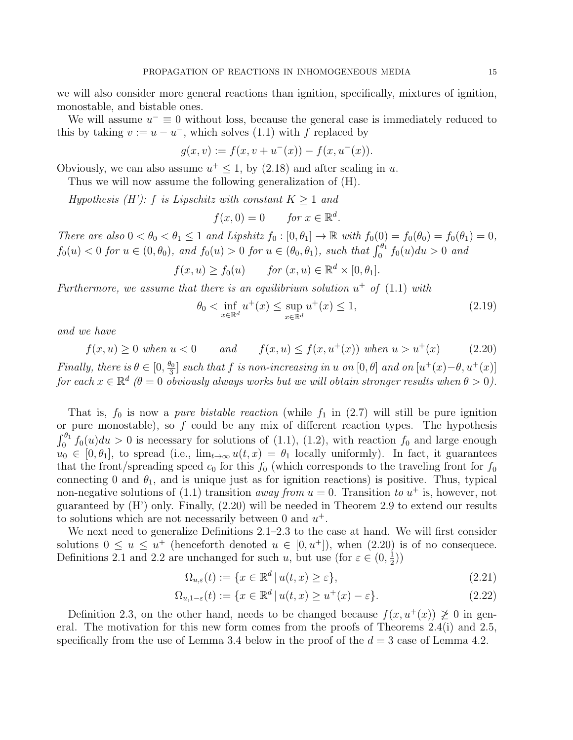we will also consider more general reactions than ignition, specifically, mixtures of ignition, monostable, and bistable ones.

We will assume  $u^{-} \equiv 0$  without loss, because the general case is immediately reduced to this by taking  $v := u - u^{-}$ , which solves (1.1) with f replaced by

$$
g(x, v) := f(x, v + u^{-}(x)) - f(x, u^{-}(x)).
$$

Obviously, we can also assume  $u^+ \leq 1$ , by (2.18) and after scaling in u.

Thus we will now assume the following generalization of (H).

Hypothesis  $(H')$ : f is Lipschitz with constant  $K \geq 1$  and

$$
f(x,0) = 0 \quad \text{for } x \in \mathbb{R}^d.
$$

There are also  $0 < \theta_0 < \theta_1 \leq 1$  and Lipshitz  $f_0 : [0, \theta_1] \to \mathbb{R}$  with  $f_0(0) = f_0(\theta_0) = f_0(\theta_1) = 0$ ,  $f_0(u) < 0$  for  $u \in (0, \theta_0)$ , and  $f_0(u) > 0$  for  $u \in (\theta_0, \theta_1)$ , such that  $\int_0^{\theta_1} f_0(u) du > 0$  and

$$
f(x, u) \ge f_0(u)
$$
 for  $(x, u) \in \mathbb{R}^d \times [0, \theta_1]$ .

Furthermore, we assume that there is an equilibrium solution  $u^+$  of  $(1.1)$  with

$$
\theta_0 < \inf_{x \in \mathbb{R}^d} u^+(x) \le \sup_{x \in \mathbb{R}^d} u^+(x) \le 1,\tag{2.19}
$$

and we have

$$
f(x, u) \ge 0
$$
 when  $u < 0$  and  $f(x, u) \le f(x, u^+(x))$  when  $u > u^+(x)$  (2.20)

Finally, there is  $\theta \in [0, \frac{\theta_0}{3}]$  $\frac{\partial_0}{\partial_3}$  such that f is non-increasing in u on  $[0,\theta]$  and on  $[u^+(x)-\theta,u^+(x)]$ for each  $x \in \mathbb{R}^d$  ( $\theta = 0$  obviously always works but we will obtain stronger results when  $\theta > 0$ ).

That is,  $f_0$  is now a *pure bistable reaction* (while  $f_1$  in (2.7) will still be pure ignition or pure monostable), so  $f$  could be any mix of different reaction types. The hypothesis  $\int_0^{\theta_1} f_0(u) du > 0$  is necessary for solutions of (1.1), (1.2), with reaction  $f_0$  and large enough  $u_0 \in [0, \theta_1],$  to spread (i.e.,  $\lim_{t\to\infty} u(t, x) = \theta_1$  locally uniformly). In fact, it guarantees that the front/spreading speed  $c_0$  for this  $f_0$  (which corresponds to the traveling front for  $f_0$ connecting 0 and  $\theta_1$ , and is unique just as for ignition reactions) is positive. Thus, typical non-negative solutions of (1.1) transition *away from*  $u = 0$ . Transition to  $u^+$  is, however, not guaranteed by (H') only. Finally, (2.20) will be needed in Theorem 2.9 to extend our results to solutions which are not necessarily between 0 and  $u^+$ .

We next need to generalize Definitions 2.1–2.3 to the case at hand. We will first consider solutions  $0 \le u \le u^+$  (henceforth denoted  $u \in [0, u^+]$ ), when  $(2.20)$  is of no consequece. Definitions 2.1 and 2.2 are unchanged for such u, but use (for  $\varepsilon \in (0, \frac{1}{2})$ )  $(\frac{1}{2})$ 

$$
\Omega_{u,\varepsilon}(t) := \{ x \in \mathbb{R}^d \, | \, u(t,x) \ge \varepsilon \},\tag{2.21}
$$

$$
\Omega_{u,1-\varepsilon}(t) := \{ x \in \mathbb{R}^d \mid u(t,x) \ge u^+(x) - \varepsilon \}. \tag{2.22}
$$

Definition 2.3, on the other hand, needs to be changed because  $f(x, u^+(x)) \not\geq 0$  in general. The motivation for this new form comes from the proofs of Theorems 2.4(i) and 2.5, specifically from the use of Lemma 3.4 below in the proof of the  $d = 3$  case of Lemma 4.2.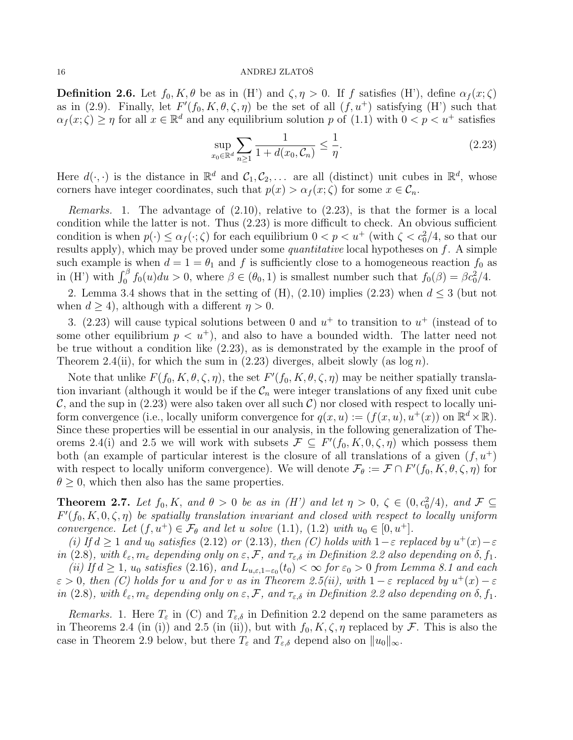**Definition 2.6.** Let  $f_0, K, \theta$  be as in (H') and  $\zeta, \eta > 0$ . If f satisfies (H'), define  $\alpha_f(x;\zeta)$ as in (2.9). Finally, let  $F'(f_0, K, \theta, \zeta, \eta)$  be the set of all  $(f, u^+)$  satisfying  $(H')$  such that  $\alpha_f(x;\zeta) \geq \eta$  for all  $x \in \mathbb{R}^d$  and any equilibrium solution p of  $(1.1)$  with  $0 < p < u^+$  satisfies

$$
\sup_{x_0 \in \mathbb{R}^d} \sum_{n \ge 1} \frac{1}{1 + d(x_0, C_n)} \le \frac{1}{\eta}.
$$
\n(2.23)

Here  $d(\cdot, \cdot)$  is the distance in  $\mathbb{R}^d$  and  $\mathcal{C}_1, \mathcal{C}_2, \ldots$  are all (distinct) unit cubes in  $\mathbb{R}^d$ , whose corners have integer coordinates, such that  $p(x) > \alpha_f(x; \zeta)$  for some  $x \in \mathcal{C}_n$ .

Remarks. 1. The advantage of (2.10), relative to (2.23), is that the former is a local condition while the latter is not. Thus (2.23) is more difficult to check. An obvious sufficient condition is when  $p(\cdot) \leq \alpha_f(\cdot;\zeta)$  for each equilibrium  $0 < p < u^+$  (with  $\zeta < c_0^2/4$ , so that our results apply), which may be proved under some *quantitative* local hypotheses on  $f$ . A simple such example is when  $d = 1 = \theta_1$  and f is sufficiently close to a homogeneous reaction  $f_0$  as in (H') with  $\int_0^\beta f_0(u)du > 0$ , where  $\beta \in (\theta_0, 1)$  is smallest number such that  $f_0(\beta) = \beta c_0^2/4$ .

2. Lemma 3.4 shows that in the setting of  $(H)$ ,  $(2.10)$  implies  $(2.23)$  when  $d \leq 3$  (but not when  $d \geq 4$ ), although with a different  $\eta > 0$ .

3. (2.23) will cause typical solutions between 0 and  $u^+$  to transition to  $u^+$  (instead of to some other equilibrium  $p \langle u^+ \rangle$ , and also to have a bounded width. The latter need not be true without a condition like (2.23), as is demonstrated by the example in the proof of Theorem 2.4(ii), for which the sum in  $(2.23)$  diverges, albeit slowly (as log n).

Note that unlike  $F(f_0, K, \theta, \zeta, \eta)$ , the set  $F'(f_0, K, \theta, \zeta, \eta)$  may be neither spatially translation invariant (although it would be if the  $\mathcal{C}_n$  were integer translations of any fixed unit cube  $\mathcal{C}$ , and the sup in (2.23) were also taken over all such  $\mathcal{C}$ ) nor closed with respect to locally uniform convergence (i.e., locally uniform convergence for  $q(x, u) := (f(x, u), u^+(x))$  on  $\mathbb{R}^d \times \mathbb{R}$ ). Since these properties will be essential in our analysis, in the following generalization of Theorems 2.4(i) and 2.5 we will work with subsets  $\mathcal{F} \subseteq F'(f_0, K, 0, \zeta, \eta)$  which possess them both (an example of particular interest is the closure of all translations of a given  $(f, u^+)$ with respect to locally uniform convergence). We will denote  $\mathcal{F}_{\theta} := \mathcal{F} \cap F'(f_0, K, \theta, \zeta, \eta)$  for  $\theta \geq 0$ , which then also has the same properties.

**Theorem 2.7.** Let  $f_0, K$ , and  $\theta > 0$  be as in (H') and let  $\eta > 0$ ,  $\zeta \in (0, c_0^2/4)$ , and  $\mathcal{F} \subseteq$  $F'(f_0, K, 0, \zeta, \eta)$  be spatially translation invariant and closed with respect to locally uniform convergence. Let  $(f, u^+) \in \mathcal{F}_{\theta}$  and let u solve  $(1.1), (1.2)$  with  $u_0 \in [0, u^+]$ .

(i) If  $d \geq 1$  and  $u_0$  satisfies (2.12) or (2.13), then (C) holds with  $1-\varepsilon$  replaced by  $u^+(x)-\varepsilon$ in (2.8), with  $\ell_{\varepsilon}, m_{\varepsilon}$  depending only on  $\varepsilon, \mathcal{F}$ , and  $\tau_{\varepsilon,\delta}$  in Definition 2.2 also depending on  $\delta, f_1$ .

(ii) If  $d \geq 1$ ,  $u_0$  satisfies (2.16), and  $L_{u,\varepsilon,1-\varepsilon_0}(t_0) < \infty$  for  $\varepsilon_0 > 0$  from Lemma 8.1 and each  $\varepsilon > 0$ , then (C) holds for u and for v as in Theorem 2.5(ii), with  $1 - \varepsilon$  replaced by  $u^+(x) - \varepsilon$ in (2.8), with  $\ell_{\varepsilon}, m_{\varepsilon}$  depending only on  $\varepsilon, \mathcal{F}$ , and  $\tau_{\varepsilon,\delta}$  in Definition 2.2 also depending on  $\delta, f_1$ .

Remarks. 1. Here  $T_{\varepsilon}$  in (C) and  $T_{\varepsilon,\delta}$  in Definition 2.2 depend on the same parameters as in Theorems 2.4 (in (i)) and 2.5 (in (ii)), but with  $f_0, K, \zeta, \eta$  replaced by F. This is also the case in Theorem 2.9 below, but there  $T_{\varepsilon}$  and  $T_{\varepsilon,\delta}$  depend also on  $||u_0||_{\infty}$ .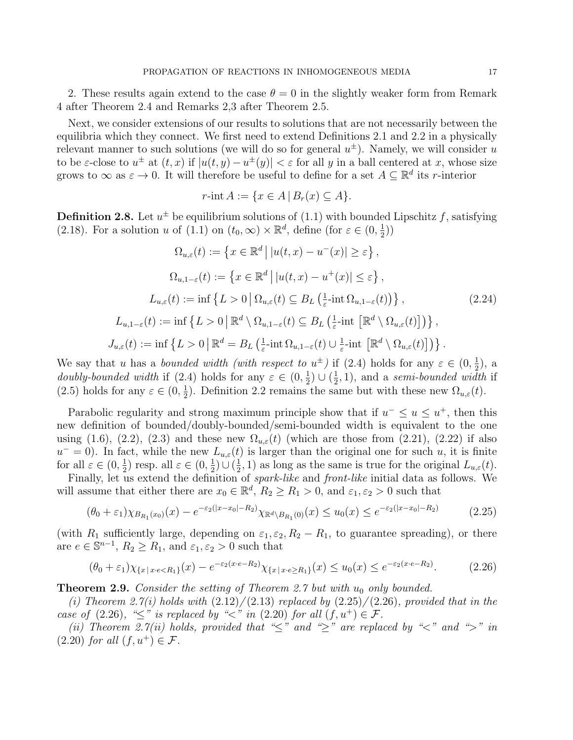2. These results again extend to the case  $\theta = 0$  in the slightly weaker form from Remark 4 after Theorem 2.4 and Remarks 2,3 after Theorem 2.5.

Next, we consider extensions of our results to solutions that are not necessarily between the equilibria which they connect. We first need to extend Definitions 2.1 and 2.2 in a physically relevant manner to such solutions (we will do so for general  $u^{\pm}$ ). Namely, we will consider u to be  $\varepsilon$ -close to  $u^{\pm}$  at  $(t, x)$  if  $|u(t, y) - u^{\pm}(y)| < \varepsilon$  for all y in a ball centered at x, whose size grows to  $\infty$  as  $\varepsilon \to 0$ . It will therefore be useful to define for a set  $A \subseteq \mathbb{R}^d$  its r-interior

$$
r\text{-int }A := \{x \in A \,|\, B_r(x) \subseteq A\}.
$$

**Definition 2.8.** Let  $u^{\pm}$  be equilibrium solutions of (1.1) with bounded Lipschitz f, satisfying (2.18). For a solution u of (1.1) on  $(t_0, \infty) \times \mathbb{R}^d$ , define (for  $\varepsilon \in (0, \frac{1}{2})$  $(\frac{1}{2})$ 

$$
\Omega_{u,\varepsilon}(t) := \left\{ x \in \mathbb{R}^d \, \big| \, |u(t,x) - u^-(x)| \ge \varepsilon \right\},
$$
\n
$$
\Omega_{u,1-\varepsilon}(t) := \left\{ x \in \mathbb{R}^d \, \big| \, |u(t,x) - u^+(x)| \le \varepsilon \right\},
$$
\n
$$
L_{u,\varepsilon}(t) := \inf \left\{ L > 0 \, \big| \, \Omega_{u,\varepsilon}(t) \subseteq B_L \left( \frac{1}{\varepsilon} - \inf \Omega_{u,1-\varepsilon}(t) \right) \right\},
$$
\n
$$
L_{u,1-\varepsilon}(t) := \inf \left\{ L > 0 \, \big| \, \mathbb{R}^d \setminus \Omega_{u,1-\varepsilon}(t) \subseteq B_L \left( \frac{1}{\varepsilon} - \inf \left[ \mathbb{R}^d \setminus \Omega_{u,\varepsilon}(t) \right] \right) \right\},
$$
\n
$$
J_{u,\varepsilon}(t) := \inf \left\{ L > 0 \, \big| \, \mathbb{R}^d = B_L \left( \frac{1}{\varepsilon} - \inf \Omega_{u,1-\varepsilon}(t) \cup \frac{1}{\varepsilon} - \inf \left[ \mathbb{R}^d \setminus \Omega_{u,\varepsilon}(t) \right] \right) \right\}.
$$
\n(2.24)

We say that u has a bounded width (with respect to  $u^{\pm}$ ) if (2.4) holds for any  $\varepsilon \in (0, \frac{1}{2})$  $(\frac{1}{2})$ , a *doubly-bounded width* if (2.4) holds for any  $\varepsilon \in (0, \frac{1}{2})$  $\frac{1}{2}) \cup (\frac{1}{2})$  $(\frac{1}{2}, 1)$ , and a *semi-bounded width* if  $(2.5)$  holds for any  $\varepsilon \in (0, \frac{1}{2})$  $\frac{1}{2}$ ). Definition 2.2 remains the same but with these new  $\Omega_{u,\varepsilon}(t)$ .

Parabolic regularity and strong maximum principle show that if  $u^{-} \leq u \leq u^{+}$ , then this new definition of bounded/doubly-bounded/semi-bounded width is equivalent to the one using (1.6), (2.2), (2.3) and these new  $\Omega_{u,\varepsilon}(t)$  (which are those from (2.21), (2.22) if also  $u^{-}=0$ ). In fact, while the new  $L_{u,\varepsilon}(t)$  is larger than the original one for such u, it is finite for all  $\varepsilon \in (0, \frac{1}{2})$  $(\frac{1}{2})$  resp. all  $\varepsilon \in (0, \frac{1}{2})$  $\frac{1}{2})\cup(\frac{1}{2})$  $(\frac{1}{2}, 1)$  as long as the same is true for the original  $L_{u,\varepsilon}(t)$ .

Finally, let us extend the definition of *spark-like* and *front-like* initial data as follows. We will assume that either there are  $x_0 \in \mathbb{R}^d$ ,  $R_2 \ge R_1 > 0$ , and  $\varepsilon_1, \varepsilon_2 > 0$  such that

$$
(\theta_0 + \varepsilon_1) \chi_{B_{R_1}(x_0)}(x) - e^{-\varepsilon_2(|x - x_0| - R_2)} \chi_{\mathbb{R}^d \setminus B_{R_1}(0)}(x) \le u_0(x) \le e^{-\varepsilon_2(|x - x_0| - R_2)} \tag{2.25}
$$

(with  $R_1$  sufficiently large, depending on  $\varepsilon_1, \varepsilon_2, R_2 - R_1$ , to guarantee spreading), or there are  $e \in \mathbb{S}^{n-1}$ ,  $R_2 \ge R_1$ , and  $\varepsilon_1, \varepsilon_2 > 0$  such that

$$
(\theta_0 + \varepsilon_1)\chi_{\{x \mid x \cdot e < R_1\}}(x) - e^{-\varepsilon_2(x \cdot e - R_2)}\chi_{\{x \mid x \cdot e \ge R_1\}}(x) \le u_0(x) \le e^{-\varepsilon_2(x \cdot e - R_2)}.\tag{2.26}
$$

**Theorem 2.9.** Consider the setting of Theorem 2.7 but with  $u_0$  only bounded.

(i) Theorem 2.7(i) holds with  $(2.12)/(2.13)$  replaced by  $(2.25)/(2.26)$ , provided that in the case of (2.26), " $\leq$ " is replaced by " $\lt$ " in (2.20) for all  $(f, u^+) \in \mathcal{F}$ .

(ii) Theorem 2.7(ii) holds, provided that " $\leq$ " and " $\geq$ " are replaced by " $\lt$ " and " $>$ " in  $(2.20)$  for all  $(f, u^+) \in \mathcal{F}$ .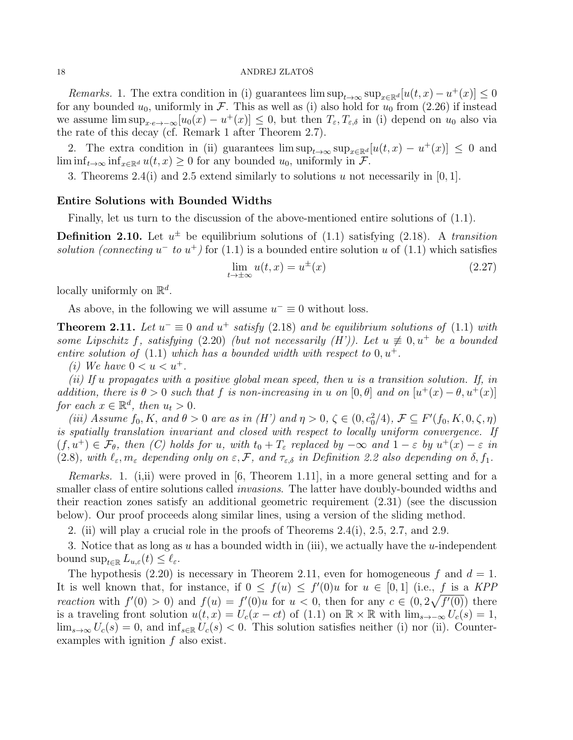Remarks. 1. The extra condition in (i) guarantees  $\limsup_{t\to\infty} \sup_{x\in\mathbb{R}^d} [u(t,x)-u^+(x)] \leq 0$ for any bounded  $u_0$ , uniformly in F. This as well as (i) also hold for  $u_0$  from (2.26) if instead we assume  $\limsup_{x \to \infty} [u_0(x) - u^+(x)] \leq 0$ , but then  $T_{\varepsilon}, T_{\varepsilon,\delta}$  in (i) depend on  $u_0$  also via the rate of this decay (cf. Remark 1 after Theorem 2.7).

2. The extra condition in (ii) guarantees  $\limsup_{t\to\infty} \sup_{x\in\mathbb{R}^d} [u(t,x) - u^+(x)] \leq 0$  and  $\liminf_{t\to\infty} \inf_{x\in\mathbb{R}^d} u(t,x) \geq 0$  for any bounded  $u_0$ , uniformly in F.

3. Theorems 2.4(i) and 2.5 extend similarly to solutions u not necessarily in [0, 1].

# Entire Solutions with Bounded Widths

Finally, let us turn to the discussion of the above-mentioned entire solutions of (1.1).

**Definition 2.10.** Let  $u^{\pm}$  be equilibrium solutions of (1.1) satisfying (2.18). A transition solution (connecting  $u^-$  to  $u^+$ ) for (1.1) is a bounded entire solution u of (1.1) which satisfies

$$
\lim_{t \to \pm \infty} u(t, x) = u^{\pm}(x) \tag{2.27}
$$

locally uniformly on  $\mathbb{R}^d$ .

As above, in the following we will assume  $u^- \equiv 0$  without loss.

**Theorem 2.11.** Let  $u^- \equiv 0$  and  $u^+$  satisfy (2.18) and be equilibrium solutions of (1.1) with some Lipschitz f, satisfying (2.20) (but not necessarily (H')). Let  $u \not\equiv 0, u^+$  be a bounded entire solution of  $(1.1)$  which has a bounded width with respect to  $0, u^+$ .

(i) We have  $0 < u < u^+$ .

(ii) If u propagates with a positive global mean speed, then  $u$  is a transition solution. If, in addition, there is  $\theta > 0$  such that f is non-increasing in u on  $[0, \theta]$  and on  $[u^+(x) - \theta, u^+(x)]$ for each  $x \in \mathbb{R}^d$ , then  $u_t > 0$ .

(iii) Assume  $f_0, K$ , and  $\theta > 0$  are as in (H') and  $\eta > 0$ ,  $\zeta \in (0, c_0^2/4)$ ,  $\mathcal{F} \subseteq F'(f_0, K, 0, \zeta, \eta)$ is spatially translation invariant and closed with respect to locally uniform convergence. If  $(f, u^+) \in \mathcal{F}_{\theta}$ , then (C) holds for u, with  $t_0 + T_{\varepsilon}$  replaced by  $-\infty$  and  $1 - \varepsilon$  by  $u^+(x) - \varepsilon$  in (2.8), with  $\ell_{\varepsilon}, m_{\varepsilon}$  depending only on  $\varepsilon, \mathcal{F}$ , and  $\tau_{\varepsilon,\delta}$  in Definition 2.2 also depending on  $\delta, f_1$ .

Remarks. 1. (i,ii) were proved in [6, Theorem 1.11], in a more general setting and for a smaller class of entire solutions called *invasions*. The latter have doubly-bounded widths and their reaction zones satisfy an additional geometric requirement (2.31) (see the discussion below). Our proof proceeds along similar lines, using a version of the sliding method.

2. (ii) will play a crucial role in the proofs of Theorems 2.4(i), 2.5, 2.7, and 2.9.

3. Notice that as long as u has a bounded width in (iii), we actually have the u-independent bound  $\sup_{t\in\mathbb{R}} L_{u,\varepsilon}(t) \leq \ell_{\varepsilon}$ .

The hypothesis (2.20) is necessary in Theorem 2.11, even for homogeneous f and  $d = 1$ . It is well known that, for instance, if  $0 \le f(u) \le f'(0)u$  for  $u \in [0,1]$  (i.e., f is a KPP reaction with  $f'(0) > 0$  and  $f(u) = f'(0)u$  for  $u < 0$ , then for any  $c \in (0, 2\sqrt{f'(0)})$  there is a traveling front solution  $u(t, x) = U_c(x - ct)$  of  $(1.1)$  on  $\mathbb{R} \times \mathbb{R}$  with  $\lim_{s \to -\infty} U_c(s) = 1$ ,  $\lim_{s\to\infty} U_c(s) = 0$ , and  $\inf_{s\in\mathbb{R}} U_c(s) < 0$ . This solution satisfies neither (i) nor (ii). Counterexamples with ignition  $f$  also exist.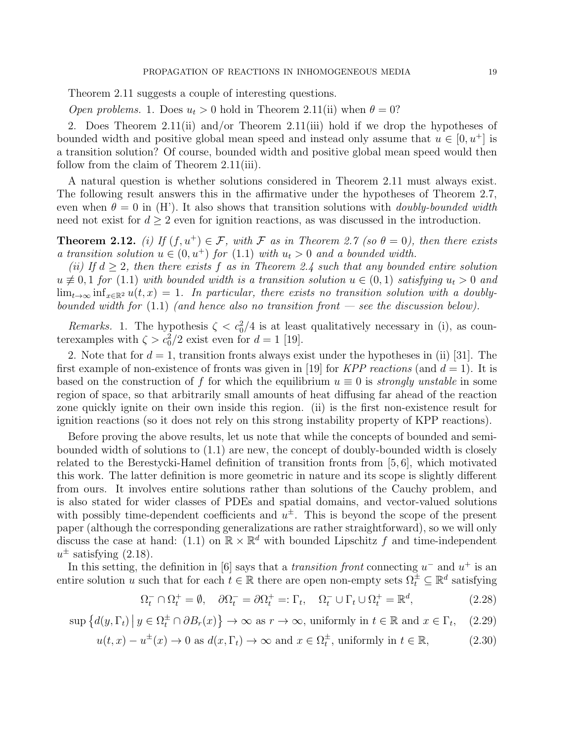Theorem 2.11 suggests a couple of interesting questions.

*Open problems.* 1. Does  $u_t > 0$  hold in Theorem 2.11(ii) when  $\theta = 0$ ?

2. Does Theorem 2.11(ii) and/or Theorem 2.11(iii) hold if we drop the hypotheses of bounded width and positive global mean speed and instead only assume that  $u \in [0, u^+]$  is a transition solution? Of course, bounded width and positive global mean speed would then follow from the claim of Theorem 2.11(iii).

A natural question is whether solutions considered in Theorem 2.11 must always exist. The following result answers this in the affirmative under the hypotheses of Theorem 2.7, even when  $\theta = 0$  in (H'). It also shows that transition solutions with *doubly-bounded width* need not exist for  $d \geq 2$  even for ignition reactions, as was discussed in the introduction.

**Theorem 2.12.** (i) If  $(f, u^+) \in \mathcal{F}$ , with  $\mathcal{F}$  as in Theorem 2.7 (so  $\theta = 0$ ), then there exists a transition solution  $u \in (0, u^+)$  for  $(1.1)$  with  $u_t > 0$  and a bounded width.

(ii) If  $d \geq 2$ , then there exists f as in Theorem 2.4 such that any bounded entire solution  $u \neq 0, 1$  for (1.1) with bounded width is a transition solution  $u \in (0, 1)$  satisfying  $u_t > 0$  and  $\lim_{t\to\infty} \inf_{x\in\mathbb{R}^2} u(t,x) = 1$ . In particular, there exists no transition solution with a doublybounded width for  $(1.1)$  (and hence also no transition front — see the discussion below).

Remarks. 1. The hypothesis  $\zeta < c_0^2/4$  is at least qualitatively necessary in (i), as counterexamples with  $\zeta > c_0^2/2$  exist even for  $d = 1$  [19].

2. Note that for  $d = 1$ , transition fronts always exist under the hypotheses in (ii) [31]. The first example of non-existence of fronts was given in [19] for *KPP reactions* (and  $d = 1$ ). It is based on the construction of f for which the equilibrium  $u \equiv 0$  is strongly unstable in some region of space, so that arbitrarily small amounts of heat diffusing far ahead of the reaction zone quickly ignite on their own inside this region. (ii) is the first non-existence result for ignition reactions (so it does not rely on this strong instability property of KPP reactions).

Before proving the above results, let us note that while the concepts of bounded and semibounded width of solutions to (1.1) are new, the concept of doubly-bounded width is closely related to the Berestycki-Hamel definition of transition fronts from [5, 6], which motivated this work. The latter definition is more geometric in nature and its scope is slightly different from ours. It involves entire solutions rather than solutions of the Cauchy problem, and is also stated for wider classes of PDEs and spatial domains, and vector-valued solutions with possibly time-dependent coefficients and  $u^{\pm}$ . This is beyond the scope of the present paper (although the corresponding generalizations are rather straightforward), so we will only discuss the case at hand: (1.1) on  $\mathbb{R} \times \mathbb{R}^d$  with bounded Lipschitz f and time-independent  $u^{\pm}$  satisfying (2.18).

In this setting, the definition in [6] says that a *transition front* connecting  $u^-$  and  $u^+$  is an entire solution u such that for each  $t \in \mathbb{R}$  there are open non-empty sets  $\Omega_t^{\pm} \subseteq \mathbb{R}^d$  satisfying

$$
\Omega_t^- \cap \Omega_t^+ = \emptyset, \quad \partial \Omega_t^- = \partial \Omega_t^+ =: \Gamma_t, \quad \Omega_t^- \cup \Gamma_t \cup \Omega_t^+ = \mathbb{R}^d, \tag{2.28}
$$

 $\sup \{d(y, \Gamma_t) \mid y \in \Omega_t^{\pm} \cap \partial B_r(x)\} \to \infty$  as  $r \to \infty$ , uniformly in  $t \in \mathbb{R}$  and  $x \in \Gamma_t$  $(2.29)$ 

$$
u(t, x) - u^{\pm}(x) \to 0
$$
 as  $d(x, \Gamma_t) \to \infty$  and  $x \in \Omega_t^{\pm}$ , uniformly in  $t \in \mathbb{R}$ , (2.30)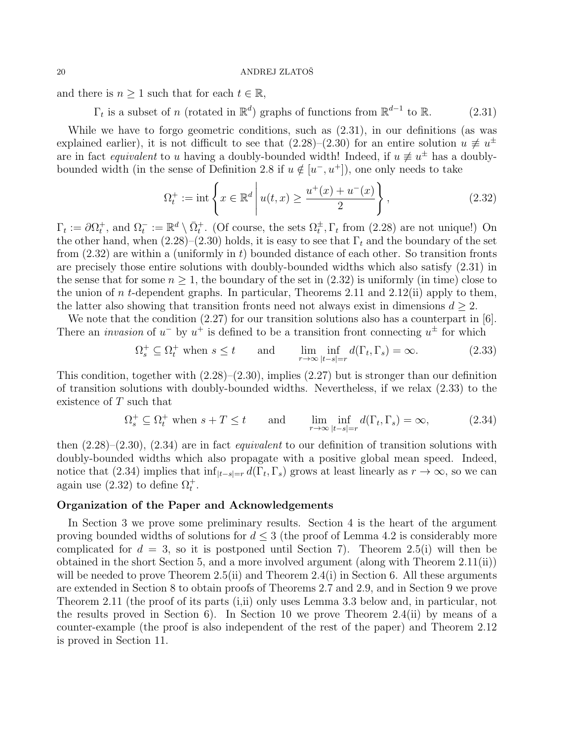and there is  $n \geq 1$  such that for each  $t \in \mathbb{R}$ ,

 $\Gamma_t$  is a subset of n (rotated in  $\mathbb{R}^d$ ) graphs of functions from  $\mathbb{R}^{d-1}$  to  $\mathbb{R}$ . (2.31)

While we have to forgo geometric conditions, such as (2.31), in our definitions (as was explained earlier), it is not difficult to see that  $(2.28)$ – $(2.30)$  for an entire solution  $u \neq u^{\pm}$ are in fact *equivalent* to u having a doubly-bounded width! Indeed, if  $u \neq u^{\pm}$  has a doublybounded width (in the sense of Definition 2.8 if  $u \notin [u^-, u^+]$ ), one only needs to take

$$
\Omega_t^+ := \text{int}\left\{ x \in \mathbb{R}^d \, \middle| \, u(t, x) \ge \frac{u^+(x) + u^-(x)}{2} \right\},\tag{2.32}
$$

 $\Gamma_t := \partial \Omega_t^+$ , and  $\Omega_t^- := \mathbb{R}^d \setminus \overline{\Omega}_t^+$ . (Of course, the sets  $\Omega_t^{\pm}$ ,  $\Gamma_t$  from (2.28) are not unique!) On the other hand, when  $(2.28)$ – $(2.30)$  holds, it is easy to see that  $\Gamma_t$  and the boundary of the set from  $(2.32)$  are within a (uniformly in t) bounded distance of each other. So transition fronts are precisely those entire solutions with doubly-bounded widths which also satisfy (2.31) in the sense that for some  $n \geq 1$ , the boundary of the set in  $(2.32)$  is uniformly (in time) close to the union of n t-dependent graphs. In particular, Theorems 2.11 and 2.12(ii) apply to them, the latter also showing that transition fronts need not always exist in dimensions  $d \geq 2$ .

We note that the condition  $(2.27)$  for our transition solutions also has a counterpart in [6]. There an *invasion* of  $u^-$  by  $u^+$  is defined to be a transition front connecting  $u^{\pm}$  for which

$$
\Omega_s^+ \subseteq \Omega_t^+ \text{ when } s \le t \quad \text{and} \quad \lim_{r \to \infty} \inf_{|t-s|=r} d(\Gamma_t, \Gamma_s) = \infty. \tag{2.33}
$$

This condition, together with  $(2.28)$ – $(2.30)$ , implies  $(2.27)$  but is stronger than our definition of transition solutions with doubly-bounded widths. Nevertheless, if we relax (2.33) to the existence of T such that

$$
\Omega_s^+ \subseteq \Omega_t^+ \text{ when } s + T \le t \quad \text{and} \quad \lim_{r \to \infty} \inf_{|t-s|=r} d(\Gamma_t, \Gamma_s) = \infty,
$$
 (2.34)

then  $(2.28)$ – $(2.30)$ ,  $(2.34)$  are in fact *equivalent* to our definition of transition solutions with doubly-bounded widths which also propagate with a positive global mean speed. Indeed, notice that (2.34) implies that  $\inf_{|t-s|=r} d(\Gamma_t, \Gamma_s)$  grows at least linearly as  $r \to \infty$ , so we can again use (2.32) to define  $\Omega_t^+$ .

# Organization of the Paper and Acknowledgements

In Section 3 we prove some preliminary results. Section 4 is the heart of the argument proving bounded widths of solutions for  $d \leq 3$  (the proof of Lemma 4.2 is considerably more complicated for  $d = 3$ , so it is postponed until Section 7). Theorem 2.5(i) will then be obtained in the short Section 5, and a more involved argument (along with Theorem 2.11(ii)) will be needed to prove Theorem  $2.5(ii)$  and Theorem  $2.4(i)$  in Section 6. All these arguments are extended in Section 8 to obtain proofs of Theorems 2.7 and 2.9, and in Section 9 we prove Theorem 2.11 (the proof of its parts (i,ii) only uses Lemma 3.3 below and, in particular, not the results proved in Section 6). In Section 10 we prove Theorem 2.4(ii) by means of a counter-example (the proof is also independent of the rest of the paper) and Theorem 2.12 is proved in Section 11.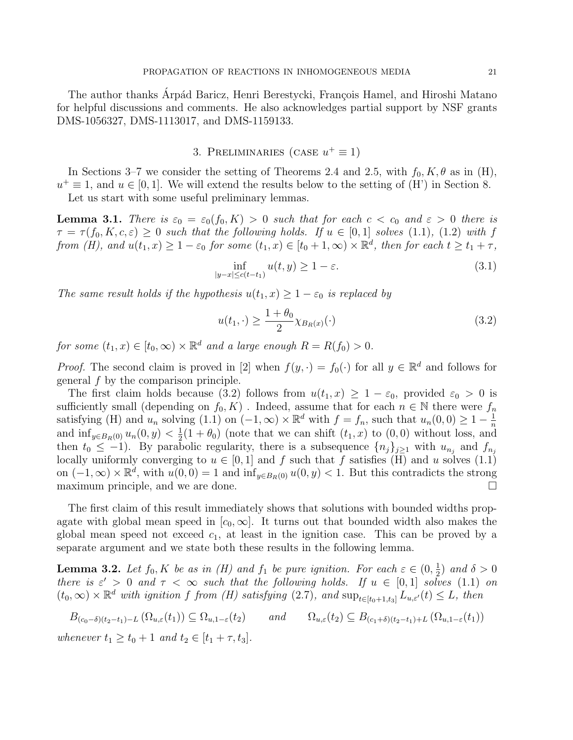The author thanks Arpád Baricz, Henri Berestycki, François Hamel, and Hiroshi Matano for helpful discussions and comments. He also acknowledges partial support by NSF grants DMS-1056327, DMS-1113017, and DMS-1159133.

# 3. PRELIMINARIES (CASE  $u^+ \equiv 1$ )

In Sections 3–7 we consider the setting of Theorems 2.4 and 2.5, with  $f_0, K, \theta$  as in (H),  $u^+ \equiv 1$ , and  $u \in [0, 1]$ . We will extend the results below to the setting of (H') in Section 8.

Let us start with some useful preliminary lemmas.

**Lemma 3.1.** There is  $\varepsilon_0 = \varepsilon_0(f_0, K) > 0$  such that for each  $c < c_0$  and  $\varepsilon > 0$  there is  $\tau = \tau(f_0, K, c, \varepsilon) \geq 0$  such that the following holds. If  $u \in [0, 1]$  solves (1.1), (1.2) with f from (H), and  $u(t_1, x) \geq 1 - \varepsilon_0$  for some  $(t_1, x) \in [t_0 + 1, \infty) \times \mathbb{R}^d$ , then for each  $t \geq t_1 + \tau$ ,

$$
\inf_{|y-x|\leq c(t-t_1)} u(t,y) \geq 1-\varepsilon. \tag{3.1}
$$

The same result holds if the hypothesis  $u(t_1, x) \geq 1 - \varepsilon_0$  is replaced by

$$
u(t_1, \cdot) \ge \frac{1 + \theta_0}{2} \chi_{B_R(x)}(\cdot)
$$
\n
$$
(3.2)
$$

for some  $(t_1, x) \in [t_0, \infty) \times \mathbb{R}^d$  and a large enough  $R = R(f_0) > 0$ .

*Proof.* The second claim is proved in [2] when  $f(y, \cdot) = f_0(\cdot)$  for all  $y \in \mathbb{R}^d$  and follows for general f by the comparison principle.

The first claim holds because (3.2) follows from  $u(t_1, x) \geq 1 - \varepsilon_0$ , provided  $\varepsilon_0 > 0$  is sufficiently small (depending on  $f_0, K$ ). Indeed, assume that for each  $n \in \mathbb{N}$  there were  $f_n$ satisfying (H) and  $u_n$  solving (1.1) on  $(-1,\infty) \times \mathbb{R}^d$  with  $f = f_n$ , such that  $u_n(0,0) \geq 1 - \frac{1}{n}$ n and  $\inf_{y \in B_R(0)} u_n(0, y) < \frac{1}{2}$  $\frac{1}{2}(1+\theta_0)$  (note that we can shift  $(t_1, x)$  to  $(0, 0)$  without loss, and then  $t_0 \leq -1$ ). By parabolic regularity, there is a subsequence  $\{n_j\}_{j\geq 1}$  with  $u_{n_j}$  and  $f_{n_j}$ locally uniformly converging to  $u \in [0, 1]$  and f such that f satisfies (H) and u solves (1.1) on  $(-1, \infty) \times \mathbb{R}^d$ , with  $u(0, 0) = 1$  and  $\inf_{y \in B_R(0)} u(0, y) < 1$ . But this contradicts the strong maximum principle, and we are done.

The first claim of this result immediately shows that solutions with bounded widths propagate with global mean speed in  $[c_0,\infty]$ . It turns out that bounded width also makes the global mean speed not exceed  $c_1$ , at least in the ignition case. This can be proved by a separate argument and we state both these results in the following lemma.

**Lemma 3.2.** Let  $f_0, K$  be as in (H) and  $f_1$  be pure ignition. For each  $\varepsilon \in (0, \frac{1}{2})$  $(\frac{1}{2})$  and  $\delta > 0$ there is  $\varepsilon' > 0$  and  $\tau < \infty$  such that the following holds. If  $u \in [0,1]$  solves (1.1) on  $(t_0,\infty)\times\mathbb{R}^d$  with ignition f from (H) satisfying  $(2.7)$ , and  $\sup_{t\in[t_0+1,t_3]}L_{u,\varepsilon'}(t)\leq L$ , then

$$
B_{(c_0-\delta)(t_2-t_1)-L}(\Omega_{u,\varepsilon}(t_1)) \subseteq \Omega_{u,1-\varepsilon}(t_2) \qquad \text{and} \qquad \Omega_{u,\varepsilon}(t_2) \subseteq B_{(c_1+\delta)(t_2-t_1)+L}(\Omega_{u,1-\varepsilon}(t_1))
$$

whenever  $t_1 \ge t_0 + 1$  and  $t_2 \in [t_1 + \tau, t_3]$ .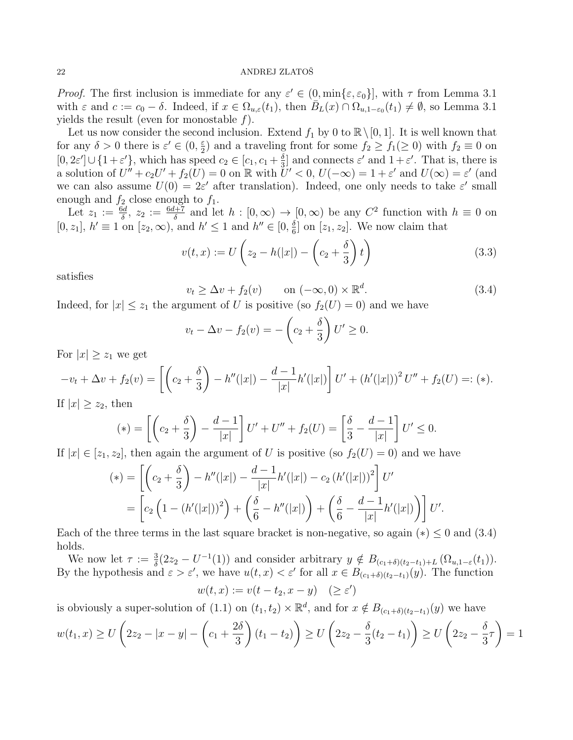*Proof.* The first inclusion is immediate for any  $\varepsilon' \in (0, \min\{\varepsilon, \varepsilon_0\}]$ , with  $\tau$  from Lemma 3.1 with  $\varepsilon$  and  $c := c_0 - \delta$ . Indeed, if  $x \in \Omega_{u,\varepsilon}(t_1)$ , then  $\overline{B}_L(x) \cap \Omega_{u,1-\varepsilon_0}(t_1) \neq \emptyset$ , so Lemma 3.1 yields the result (even for monostable f).

Let us now consider the second inclusion. Extend  $f_1$  by 0 to  $\mathbb{R}\setminus[0, 1]$ . It is well known that for any  $\delta > 0$  there is  $\varepsilon' \in (0, \frac{\varepsilon}{2})$  $\frac{\varepsilon}{2}$  and a traveling front for some  $f_2 \ge f_1(\ge 0)$  with  $f_2 \equiv 0$  on  $[0, 2\varepsilon'] \cup \{1 + \varepsilon'\},\$  which has speed  $c_2 \in [c_1, c_1 + \frac{\delta}{3}]$  $\frac{\delta}{3}$  and connects  $\varepsilon'$  and  $1 + \varepsilon'$ . That is, there is a solution of  $U'' + c_2 U' + f_2(U) = 0$  on  $\mathbb R$  with  $U' < 0$ ,  $U(-\infty) = 1 + \varepsilon'$  and  $U(\infty) = \varepsilon'$  (and we can also assume  $U(0) = 2\varepsilon'$  after translation). Indeed, one only needs to take  $\varepsilon'$  small enough and  $f_2$  close enough to  $f_1$ .

Let  $z_1 := \frac{6d}{\delta}$ ,  $z_2 := \frac{6d+7}{\delta}$  and let  $h : [0, \infty) \to [0, \infty)$  be any  $C^2$  function with  $h \equiv 0$  on  $[0, z_1]$ ,  $h' \equiv 1$  on  $[z_2, \infty)$ , and  $h' \leq 1$  and  $h'' \in [0, \frac{\delta}{6}]$  $\frac{\delta}{6}$  on  $[z_1, z_2]$ . We now claim that

$$
v(t,x) := U\left(z_2 - h(|x|) - \left(c_2 + \frac{\delta}{3}\right)t\right)
$$
\n(3.3)

satisfies

$$
v_t \ge \Delta v + f_2(v) \qquad \text{on } (-\infty, 0) \times \mathbb{R}^d. \tag{3.4}
$$

.

Indeed, for  $|x| \leq z_1$  the argument of U is positive (so  $f_2(U) = 0$ ) and we have

$$
v_t - \Delta v - f_2(v) = -\left(c_2 + \frac{\delta}{3}\right)U' \ge 0.
$$

For  $|x| \geq z_1$  we get

$$
-v_t + \Delta v + f_2(v) = \left[ \left( c_2 + \frac{\delta}{3} \right) - h''(|x|) - \frac{d-1}{|x|} h'(|x|) \right] U' + \left( h'(|x|) \right)^2 U'' + f_2(U) =: (*)
$$

If  $|x| \geq z_2$ , then

$$
(*) = \left[ \left( c_2 + \frac{\delta}{3} \right) - \frac{d-1}{|x|} \right] U' + U'' + f_2(U) = \left[ \frac{\delta}{3} - \frac{d-1}{|x|} \right] U' \le 0.
$$

If  $|x| \in [z_1, z_2]$ , then again the argument of U is positive (so  $f_2(U) = 0$ ) and we have

$$
(*) = \left[ \left( c_2 + \frac{\delta}{3} \right) - h''(|x|) - \frac{d-1}{|x|} h'(|x|) - c_2 \left( h'(|x|) \right)^2 \right] U'
$$
  
= 
$$
\left[ c_2 \left( 1 - \left( h'(|x|) \right)^2 \right) + \left( \frac{\delta}{6} - h''(|x|) \right) + \left( \frac{\delta}{6} - \frac{d-1}{|x|} h'(|x|) \right) \right] U'
$$

Each of the three terms in the last square bracket is non-negative, so again  $(*) \leq 0$  and  $(3.4)$ holds.

We now let  $\tau := \frac{3}{\delta}(2z_2 - U^{-1}(1))$  and consider arbitrary  $y \notin B_{(c_1+\delta)(t_2-t_1)+L}(\Omega_{u,1-\epsilon}(t_1)).$ By the hypothesis and  $\varepsilon > \varepsilon'$ , we have  $u(t, x) < \varepsilon'$  for all  $x \in B_{(c_1 + \delta)(t_2 - t_1)}(y)$ . The function

$$
w(t,x) := v(t - t_2, x - y) \quad (\ge \varepsilon')
$$

is obviously a super-solution of (1.1) on  $(t_1, t_2) \times \mathbb{R}^d$ , and for  $x \notin B_{(c_1+\delta)(t_2-t_1)}(y)$  we have

$$
w(t_1, x) \ge U\left(2z_2 - |x - y| - \left(c_1 + \frac{2\delta}{3}\right)(t_1 - t_2)\right) \ge U\left(2z_2 - \frac{\delta}{3}(t_2 - t_1)\right) \ge U\left(2z_2 - \frac{\delta}{3}\tau\right) = 1
$$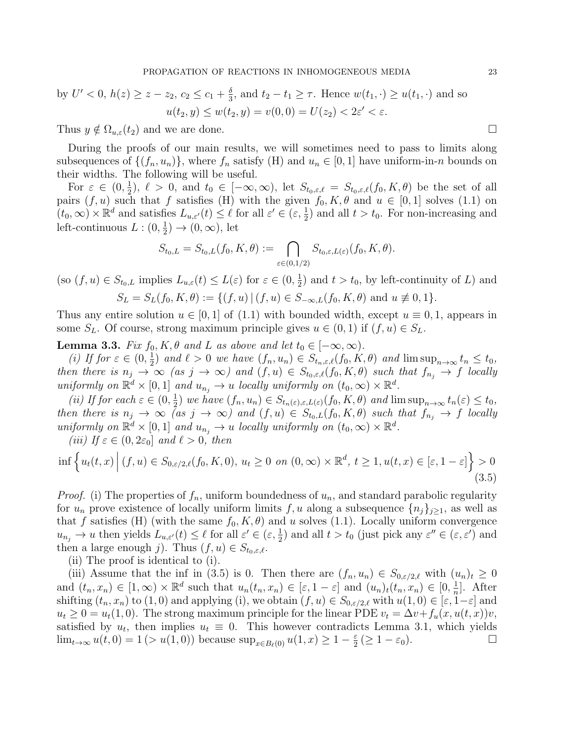by 
$$
U' < 0
$$
,  $h(z) \ge z - z_2$ ,  $c_2 \le c_1 + \frac{\delta}{3}$ , and  $t_2 - t_1 \ge \tau$ . Hence  $w(t_1, \cdot) \ge u(t_1, \cdot)$  and so  $u(t_2, y) \le w(t_2, y) = v(0, 0) = U(z_2) < 2\varepsilon' < \varepsilon$ .

Thus  $y \notin \Omega_{u,\varepsilon}(t_2)$  and we are done.

During the proofs of our main results, we will sometimes need to pass to limits along subsequences of  $\{(f_n, u_n)\}\)$ , where  $f_n$  satisfy (H) and  $u_n \in [0, 1]$  have uniform-in-n bounds on their widths. The following will be useful.

For  $\varepsilon \in (0, \frac{1}{2})$  $\frac{1}{2}$ ,  $\ell > 0$ , and  $t_0 \in [-\infty,\infty)$ , let  $S_{t_0,\varepsilon,\ell} = S_{t_0,\varepsilon,\ell}(f_0,K,\theta)$  be the set of all pairs  $(f, u)$  such that f satisfies (H) with the given  $f_0, K, \theta$  and  $u \in [0, 1]$  solves (1.1) on  $(t_0, \infty) \times \mathbb{R}^d$  and satisfies  $L_{u, \varepsilon'}(t) \leq \ell$  for all  $\varepsilon' \in (\varepsilon, \frac{1}{2})$  and all  $t > t_0$ . For non-increasing and left-continuous  $L: (0, \frac{1}{2})$  $(\frac{1}{2}) \rightarrow (0, \infty)$ , let

$$
S_{t_0,L} = S_{t_0,L}(f_0, K, \theta) := \bigcap_{\varepsilon \in (0,1/2)} S_{t_0,\varepsilon,L(\varepsilon)}(f_0, K, \theta).
$$

(so  $(f, u) \in S_{t_0, L}$  implies  $L_{u, \varepsilon}(t) \leq L(\varepsilon)$  for  $\varepsilon \in (0, \frac{1}{2})$  $(\frac{1}{2})$  and  $t > t_0$ , by left-continuity of L) and  $S_L = S_L(f_0, K, \theta) := \{(f, u) | (f, u) \in S_{-\infty,L}(f_0, K, \theta) \text{ and } u \neq 0, 1\}.$ 

Thus any entire solution  $u \in [0,1]$  of (1.1) with bounded width, except  $u \equiv 0,1$ , appears in some  $S_L$ . Of course, strong maximum principle gives  $u \in (0,1)$  if  $(f, u) \in S_L$ .

**Lemma 3.3.** Fix  $f_0, K, \theta$  and L as above and let  $t_0 \in [-\infty, \infty)$ .

(i) If for  $\varepsilon \in (0, \frac{1}{2})$  $\frac{1}{2}$ ) and  $\ell > 0$  we have  $(f_n, u_n) \in S_{t_n, \varepsilon, \ell}(f_0, K, \theta)$  and  $\limsup_{n \to \infty} t_n \leq t_0$ , then there is  $n_j \to \infty$  (as  $j \to \infty$ ) and  $(f, u) \in S_{t_0, \varepsilon, \ell}(f_0, K, \theta)$  such that  $f_{n_j} \to f$  locally uniformly on  $\mathbb{R}^d \times [0,1]$  and  $u_{n_j} \to u$  locally uniformly on  $(t_0,\infty) \times \mathbb{R}^d$ .

(*ii*) If for each  $\varepsilon \in (0, \frac{1}{2})$  $(\frac{1}{2})$  we have  $(f_n, u_n) \in S_{t_n(\varepsilon), \varepsilon, L(\varepsilon)}(f_0, K, \theta)$  and  $\limsup_{n \to \infty} t_n(\varepsilon) \leq t_0$ , then there is  $n_j \to \infty$  (as  $j \to \infty$ ) and  $(f, u) \in S_{t_0, L}(f_0, K, \theta)$  such that  $f_{n_j} \to f$  locally uniformly on  $\mathbb{R}^d \times [0,1]$  and  $u_{n_j} \to u$  locally uniformly on  $(t_0,\infty) \times \mathbb{R}^d$ .

(iii) If  $\varepsilon \in (0, 2\varepsilon_0]$  and  $\ell > 0$ , then

$$
\inf \left\{ u_t(t,x) \mid (f,u) \in S_{0,\varepsilon/2,\ell}(f_0,K,0), u_t \ge 0 \text{ on } (0,\infty) \times \mathbb{R}^d, t \ge 1, u(t,x) \in [\varepsilon,1-\varepsilon] \right\} > 0
$$
\n
$$
(3.5)
$$

*Proof.* (i) The properties of  $f_n$ , uniform boundedness of  $u_n$ , and standard parabolic regularity for  $u_n$  prove existence of locally uniform limits f, u along a subsequence  $\{n_i\}_{i\geq 1}$ , as well as that f satisfies (H) (with the same  $f_0, K, \theta$ ) and u solves (1.1). Locally uniform convergence  $u_{n_j} \to u$  then yields  $L_{u,\varepsilon'}(t) \leq \ell$  for all  $\varepsilon' \in (\varepsilon, \frac{1}{2})$  and all  $t > t_0$  (just pick any  $\varepsilon'' \in (\varepsilon, \varepsilon')$  and then a large enough j). Thus  $(f, u) \in S_{t_0, \varepsilon, \ell}$ .

(ii) The proof is identical to (i).

(iii) Assume that the inf in (3.5) is 0. Then there are  $(f_n, u_n) \in S_{0,\varepsilon/2,\ell}$  with  $(u_n)_t \geq 0$ and  $(t_n, x_n) \in [1, \infty) \times \mathbb{R}^d$  such that  $u_n(t_n, x_n) \in [\varepsilon, 1-\varepsilon]$  and  $(u_n)_t(t_n, x_n) \in [0, \frac{1}{n}]$  $\frac{1}{n}$ . After shifting  $(t_n, x_n)$  to  $(1, 0)$  and applying (i), we obtain  $(f, u) \in S_{0, \varepsilon/2, \ell}$  with  $u(1, 0) \in [\varepsilon, 1-\varepsilon]$  and  $u_t \geq 0 = u_t(1,0)$ . The strong maximum principle for the linear PDE  $v_t = \Delta v + f_u(x, u(t, x))v$ , satisfied by  $u_t$ , then implies  $u_t \equiv 0$ . This however contradicts Lemma 3.1, which yields lim<sub>t→∞</sub>  $u(t, 0) = 1$  (>  $u(1, 0)$ ) because sup<sub> $x \in B_{\ell}(0)$ </sub>  $u(1, x) \ge 1 - \frac{\varepsilon}{2}$  $\frac{\varepsilon}{2}$  ( $\geq 1 - \varepsilon_0$ ).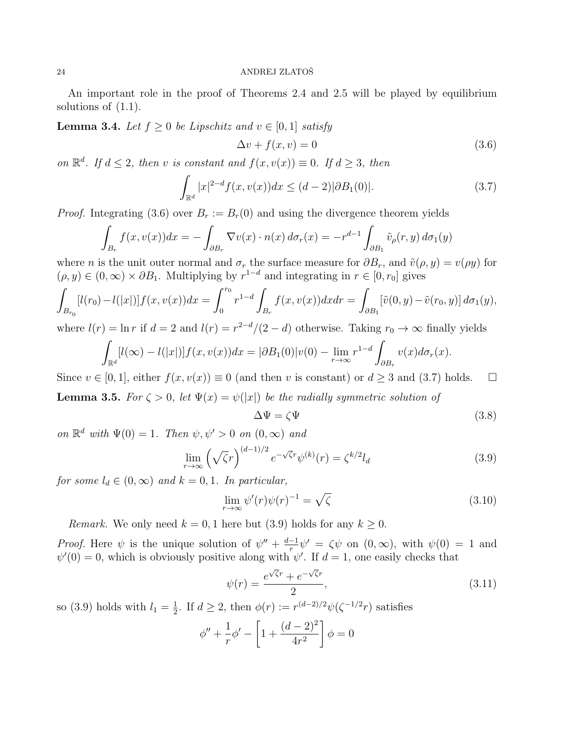An important role in the proof of Theorems 2.4 and 2.5 will be played by equilibrium solutions of (1.1).

**Lemma 3.4.** Let  $f \geq 0$  be Lipschitz and  $v \in [0,1]$  satisfy

$$
\Delta v + f(x, v) = 0 \tag{3.6}
$$

on  $\mathbb{R}^d$ . If  $d \leq 2$ , then v is constant and  $f(x, v(x)) \equiv 0$ . If  $d \geq 3$ , then

$$
\int_{\mathbb{R}^d} |x|^{2-d} f(x, v(x)) dx \le (d-2) |\partial B_1(0)|. \tag{3.7}
$$

*Proof.* Integrating (3.6) over  $B_r := B_r(0)$  and using the divergence theorem yields

$$
\int_{B_r} f(x, v(x)) dx = - \int_{\partial B_r} \nabla v(x) \cdot n(x) d\sigma_r(x) = -r^{d-1} \int_{\partial B_1} \tilde{v}_\rho(r, y) d\sigma_1(y)
$$

where *n* is the unit outer normal and  $\sigma_r$  the surface measure for  $\partial B_r$ , and  $\tilde{v}(\rho, y) = v(\rho y)$  for  $(\rho, y) \in (0, \infty) \times \partial B_1$ . Multiplying by  $r^{1-d}$  and integrating in  $r \in [0, r_0]$  gives

$$
\int_{B_{r_0}} [l(r_0) - l(|x|)] f(x, v(x)) dx = \int_0^{r_0} r^{1-d} \int_{B_r} f(x, v(x)) dx dr = \int_{\partial B_1} [\tilde{v}(0, y) - \tilde{v}(r_0, y)] d\sigma_1(y),
$$

where  $l(r) = \ln r$  if  $d = 2$  and  $l(r) = r^{2-d}/(2-d)$  otherwise. Taking  $r_0 \to \infty$  finally yields

$$
\int_{\mathbb{R}^d} [l(\infty) - l(|x|)] f(x, v(x)) dx = |\partial B_1(0)|v(0) - \lim_{r \to \infty} r^{1-d} \int_{\partial B_r} v(x) d\sigma_r(x).
$$

Since  $v \in [0, 1]$ , either  $f(x, v(x)) \equiv 0$  (and then v is constant) or  $d \geq 3$  and (3.7) holds.  $\Box$ **Lemma 3.5.** For  $\zeta > 0$ , let  $\Psi(x) = \psi(|x|)$  be the radially symmetric solution of

$$
\Delta \Psi = \zeta \Psi \tag{3.8}
$$

on  $\mathbb{R}^d$  with  $\Psi(0) = 1$ . Then  $\psi, \psi' > 0$  on  $(0, \infty)$  and

$$
\lim_{r \to \infty} \left(\sqrt{\zeta}r\right)^{(d-1)/2} e^{-\sqrt{\zeta}r} \psi^{(k)}(r) = \zeta^{k/2} l_d \tag{3.9}
$$

for some  $l_d \in (0,\infty)$  and  $k = 0,1$ . In particular,

$$
\lim_{r \to \infty} \psi'(r)\psi(r)^{-1} = \sqrt{\zeta}
$$
\n(3.10)

Remark. We only need  $k = 0, 1$  here but (3.9) holds for any  $k \geq 0$ .

*Proof.* Here  $\psi$  is the unique solution of  $\psi'' + \frac{d-1}{r}$  $\frac{-1}{r}\psi' = \zeta\psi$  on  $(0,\infty)$ , with  $\psi(0) = 1$  and  $\psi'(0) = 0$ , which is obviously positive along with  $\psi'$ . If  $d = 1$ , one easily checks that

$$
\psi(r) = \frac{e^{\sqrt{\zeta}r} + e^{-\sqrt{\zeta}r}}{2},\tag{3.11}
$$

so (3.9) holds with  $l_1 = \frac{1}{2}$  $\frac{1}{2}$ . If  $d \geq 2$ , then  $\phi(r) := r^{(d-2)/2} \psi(\zeta^{-1/2} r)$  satisfies

$$
\phi'' + \frac{1}{r}\phi' - \left[1 + \frac{(d-2)^2}{4r^2}\right]\phi = 0
$$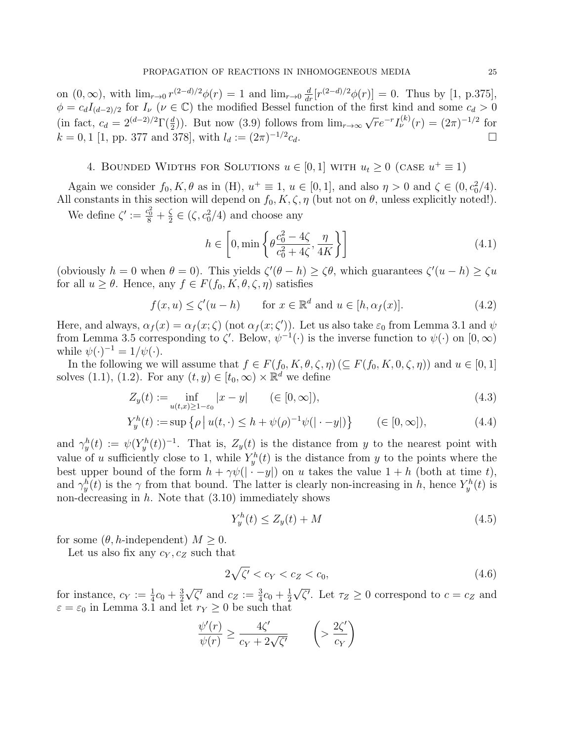on  $(0, \infty)$ , with  $\lim_{r \to 0} r^{(2-d)/2} \phi(r) = 1$  and  $\lim_{r \to 0} \frac{d}{dr} [r^{(2-d)/2} \phi(r)] = 0$ . Thus by [1, p.375],  $\phi = c_d I_{(d-2)/2}$  for  $I_{\nu}$  ( $\nu \in \mathbb{C}$ ) the modified Bessel function of the first kind and some  $c_d > 0$ (in fact,  $c_d = 2^{(d-2)/2} \Gamma(\frac{d}{2})$ ). But now (3.9) follows from  $\lim_{r\to\infty} \sqrt{r}e^{-r}I_{\nu}^{(k)}(r) = (2\pi)^{-1/2}$  for  $k = 0, 1$  [1, pp. 377 and 378], with  $l_d := (2\pi)^{-1/2}$  $c_d$ .

4. BOUNDED WIDTHS FOR SOLUTIONS 
$$
u \in [0,1]
$$
 WITH  $u_t \geq 0$  (case  $u^+ \equiv 1$ )

Again we consider  $f_0, K, \theta$  as in (H),  $u^+ \equiv 1$ ,  $u \in [0, 1]$ , and also  $\eta > 0$  and  $\zeta \in (0, c_0^2/4)$ . All constants in this section will depend on  $f_0, K, \zeta, \eta$  (but not on  $\theta$ , unless explicitly noted!).

We define  $\zeta' := \frac{c_0^2}{8} + \frac{\zeta}{2}$  $\frac{\zeta}{2} \in (\zeta, c_0^2/4)$  and choose any

$$
h \in \left[0, \min\left\{\theta \frac{c_0^2 - 4\zeta}{c_0^2 + 4\zeta}, \frac{\eta}{4K}\right\}\right]
$$
\n(4.1)

(obviously  $h = 0$  when  $\theta = 0$ ). This yields  $\zeta'(\theta - h) \geq \zeta \theta$ , which guarantees  $\zeta'(u - h) \geq \zeta u$ for all  $u \geq \theta$ . Hence, any  $f \in F(f_0, K, \theta, \zeta, \eta)$  satisfies

$$
f(x, u) \le \zeta'(u - h) \qquad \text{for } x \in \mathbb{R}^d \text{ and } u \in [h, \alpha_f(x)]. \tag{4.2}
$$

Here, and always,  $\alpha_f(x) = \alpha_f(x;\zeta)$  (not  $\alpha_f(x;\zeta')$ ). Let us also take  $\varepsilon_0$  from Lemma 3.1 and  $\psi$ from Lemma 3.5 corresponding to  $\zeta'$ . Below,  $\psi^{-1}(\cdot)$  is the inverse function to  $\psi(\cdot)$  on  $[0,\infty)$ while  $\psi(\cdot)^{-1} = 1/\psi(\cdot)$ .

In the following we will assume that  $f \in F(f_0, K, \theta, \zeta, \eta) \ (\subseteq F(f_0, K, 0, \zeta, \eta))$  and  $u \in [0, 1]$ solves (1.1), (1.2). For any  $(t, y) \in [t_0, \infty) \times \mathbb{R}^d$  we define

$$
Z_y(t) := \inf_{u(t,x) \ge 1 - \varepsilon_0} |x - y| \qquad (\in [0, \infty]),
$$
\n(4.3)

$$
Y_y^h(t) := \sup \left\{ \rho \, \big| \, u(t, \cdot) \le h + \psi(\rho)^{-1} \psi(|\cdot - y|) \right\} \qquad (\in [0, \infty]), \tag{4.4}
$$

and  $\gamma_y^h(t) := \psi(Y_y^h(t))^{-1}$ . That is,  $Z_y(t)$  is the distance from y to the nearest point with value of u sufficiently close to 1, while  $Y_y^h(t)$  is the distance from y to the points where the best upper bound of the form  $h + \gamma \psi(|\cdot - y|)$  on u takes the value  $1 + h$  (both at time t), and  $\gamma_y^h(t)$  is the  $\gamma$  from that bound. The latter is clearly non-increasing in h, hence  $Y_y^h(t)$  is non-decreasing in  $h$ . Note that  $(3.10)$  immediately shows

$$
Y_y^h(t) \le Z_y(t) + M \tag{4.5}
$$

for some  $(\theta, h$ -independent)  $M \geq 0$ .

Let us also fix any  $c_Y, c_Z$  such that

$$
2\sqrt{\zeta'} < c_Y < c_Z < c_0,\tag{4.6}
$$

for instance,  $c_Y := \frac{1}{4}c_0 + \frac{3}{2}$ 2 √  $\overline{\zeta'}$  and  $c_Z := \frac{3}{4}c_0 + \frac{1}{2}$ 2 √  $\overline{\zeta'}$ . Let  $\tau_Z \geq 0$  correspond to  $c = c_Z$  and  $\varepsilon = \varepsilon_0$  in Lemma 3.1 and let  $r_Y \geq 0$  be such that

$$
\frac{\psi'(r)}{\psi(r)} \ge \frac{4\zeta'}{c_Y + 2\sqrt{\zeta'}} \qquad \left(>\frac{2\zeta'}{c_Y}\right)
$$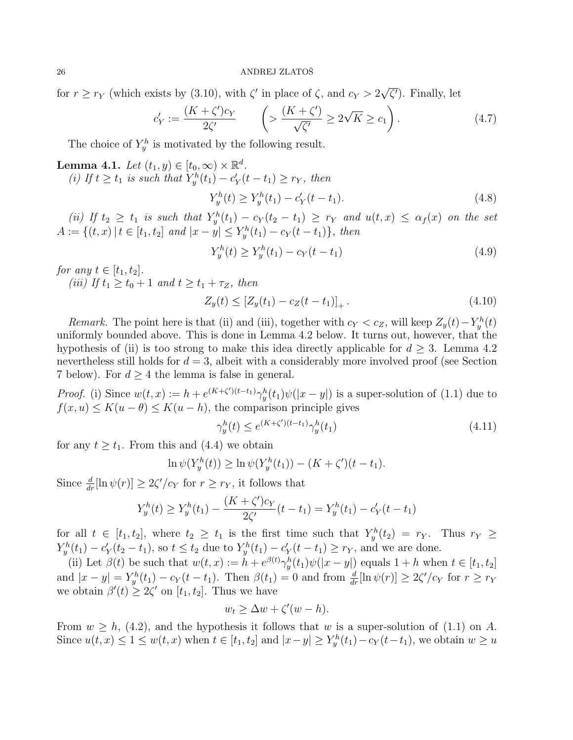for  $r \geq r_Y$  (which exists by (3.10), with  $\zeta'$  in place of  $\zeta$ , and  $c_Y > 2$ √  $\overline{\zeta'}$ ). Finally, let

$$
c'_Y := \frac{(K + \zeta')c_Y}{2\zeta'} \qquad \left(>\frac{(K + \zeta')}{\sqrt{\zeta'}}\ge 2\sqrt{K}\ge c_1\right). \tag{4.7}
$$

The choice of  $Y_y^h$  is motivated by the following result.

**Lemma 4.1.** Let  $(t_1, y) \in [t_0, \infty) \times \mathbb{R}^d$ . (i) If  $t \ge t_1$  is such that  $Y^h_y(t_1) - c'_Y(t - t_1) \ge r_Y$ , then

$$
Y_y^h(t) \ge Y_y^h(t_1) - c_Y'(t - t_1). \tag{4.8}
$$

(ii) If  $t_2 \geq t_1$  is such that  $Y_y^h(t_1) - c_Y(t_2 - t_1) \geq r_Y$  and  $u(t,x) \leq \alpha_f(x)$  on the set  $A := \{(t, x) | t \in [t_1, t_2] \text{ and } |x - y| \leq Y_y^h(t_1) - c_Y(t - t_1)\},\text{ then}$ 

$$
Y_y^h(t) \ge Y_y^h(t_1) - c_Y(t - t_1)
$$
\n(4.9)

for any  $t \in [t_1, t_2]$ .

(iii) If  $t_1 > t_0 + 1$  and  $t > t_1 + \tau_z$ , then

$$
Z_y(t) \le [Z_y(t_1) - c_Z(t - t_1)]_+.
$$
\n(4.10)

Remark. The point here is that (ii) and (iii), together with  $c_Y < c_Z$ , will keep  $Z_y(t) - Y_y^h(t)$ uniformly bounded above. This is done in Lemma 4.2 below. It turns out, however, that the hypothesis of (ii) is too strong to make this idea directly applicable for  $d \geq 3$ . Lemma 4.2 nevertheless still holds for  $d = 3$ , albeit with a considerably more involved proof (see Section 7 below). For  $d \geq 4$  the lemma is false in general.

*Proof.* (i) Since  $w(t, x) := h + e^{(K+\zeta')(t-t_1)} \gamma_y^h(t_1) \psi(|x-y|)$  is a super-solution of (1.1) due to  $f(x, u) \leq K(u - \theta) \leq K(u - h)$ , the comparison principle gives

$$
\gamma_y^h(t) \le e^{(K+\zeta')(t-t_1)} \gamma_y^h(t_1) \tag{4.11}
$$

for any  $t \geq t_1$ . From this and (4.4) we obtain

$$
\ln \psi(Y^h_y(t)) \ge \ln \psi(Y^h_y(t_1)) - (K + \zeta')(t - t_1).
$$

Since  $\frac{d}{dr}[\ln \psi(r)] \geq 2\zeta'/c_Y$  for  $r \geq r_Y$ , it follows that

$$
Y_y^h(t) \ge Y_y^h(t_1) - \frac{(K + \zeta')c_Y}{2\zeta'}(t - t_1) = Y_y^h(t_1) - c'_Y(t - t_1)
$$

for all  $t \in [t_1, t_2]$ , where  $t_2 \geq t_1$  is the first time such that  $Y_y^h(t_2) = r_Y$ . Thus  $r_Y \geq$  $Y_{y}^{h}(t_1) - c'_{Y}(t_2 - t_1)$ , so  $t \leq t_2$  due to  $Y_{y}^{h}(t_1) - c'_{Y}(t - t_1) \geq r_{Y}$ , and we are done.

(ii) Let  $\beta(t)$  be such that  $w(t,x) := h + e^{\beta(t)} \gamma_y^h(t_1) \psi(|x-y|)$  equals  $1+h$  when  $t \in [t_1, t_2]$ and  $|x-y| = Y_y^h(t_1) - c_Y(t-t_1)$ . Then  $\beta(t_1) = 0$  and from  $\frac{d}{dr}[\ln \psi(r)] \ge 2\zeta'/c_Y$  for  $r \ge r_Y$ we obtain  $\beta'(t) \geq 2\zeta'$  on  $[t_1, t_2]$ . Thus we have

$$
w_t \ge \Delta w + \zeta'(w - h).
$$

From  $w \geq h$ , (4.2), and the hypothesis it follows that w is a super-solution of (1.1) on A. Since  $u(t, x) \leq 1 \leq w(t, x)$  when  $t \in [t_1, t_2]$  and  $|x - y| \geq Y_y^h(t_1) - c_Y(t - t_1)$ , we obtain  $w \geq u$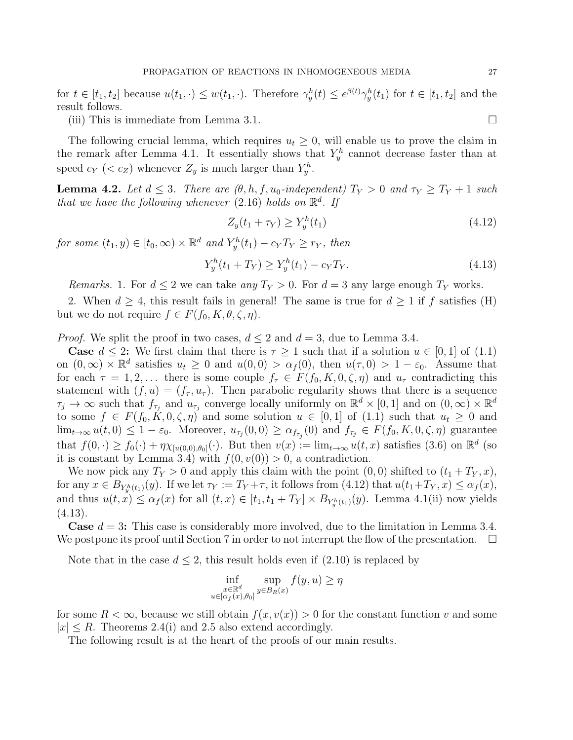for  $t \in [t_1, t_2]$  because  $u(t_1, \cdot) \leq w(t_1, \cdot)$ . Therefore  $\gamma_y^h(t) \leq e^{\beta(t)} \gamma_y^h(t_1)$  for  $t \in [t_1, t_2]$  and the result follows.

(iii) This is immediate from Lemma 3.1.

The following crucial lemma, which requires  $u_t \geq 0$ , will enable us to prove the claim in the remark after Lemma 4.1. It essentially shows that  $Y^h_y$  cannot decrease faster than at speed  $c_Y$  (<  $c_Z$ ) whenever  $Z_y$  is much larger than  $Y_y^h$ .

**Lemma 4.2.** Let  $d \leq 3$ . There are  $(\theta, h, f, u_0$ -independent)  $T_Y > 0$  and  $\tau_Y \geq T_Y + 1$  such that we have the following whenever  $(2.16)$  holds on  $\mathbb{R}^d$ . If

$$
Z_y(t_1 + \tau_Y) \ge Y_y^h(t_1) \tag{4.12}
$$

for some  $(t_1, y) \in [t_0, \infty) \times \mathbb{R}^d$  and  $Y_y^h(t_1) - c_Y T_Y \geq r_Y$ , then

$$
Y_y^h(t_1 + T_Y) \ge Y_y^h(t_1) - c_Y T_Y. \tag{4.13}
$$

*Remarks.* 1. For  $d \leq 2$  we can take any  $T_Y > 0$ . For  $d = 3$  any large enough  $T_Y$  works.

2. When  $d \geq 4$ , this result fails in general! The same is true for  $d \geq 1$  if f satisfies (H) but we do not require  $f \in F(f_0, K, \theta, \zeta, \eta)$ .

*Proof.* We split the proof in two cases,  $d \leq 2$  and  $d = 3$ , due to Lemma 3.4.

**Case**  $d \leq 2$ : We first claim that there is  $\tau \geq 1$  such that if a solution  $u \in [0, 1]$  of (1.1) on  $(0,\infty) \times \mathbb{R}^d$  satisfies  $u_t \geq 0$  and  $u(0,0) > \alpha_f(0)$ , then  $u(\tau,0) > 1 - \varepsilon_0$ . Assume that for each  $\tau = 1, 2, \ldots$  there is some couple  $f_{\tau} \in F(f_0, K, 0, \zeta, \eta)$  and  $u_{\tau}$  contradicting this statement with  $(f, u) = (f_\tau, u_\tau)$ . Then parabolic regularity shows that there is a sequence  $\tau_j \to \infty$  such that  $f_{\tau_j}$  and  $u_{\tau_j}$  converge locally uniformly on  $\mathbb{R}^d \times [0,1]$  and on  $(0,\infty) \times \mathbb{R}^d$ to some  $f \in F(f_0, K, 0, \zeta, \eta)$  and some solution  $u \in [0, 1]$  of  $(1.1)$  such that  $u_t \geq 0$  and  $\lim_{t\to\infty} u(t,0) \leq 1-\varepsilon_0$ . Moreover,  $u_{\tau_j}(0,0) \geq \alpha_{f_{\tau_j}}(0)$  and  $f_{\tau_j} \in F(f_0,K,0,\zeta,\eta)$  guarantee that  $f(0, \cdot) \ge f_0(\cdot) + \eta \chi_{[u(0,0),\theta_0]}(\cdot)$ . But then  $v(x) := \lim_{t \to \infty} u(t,x)$  satisfies (3.6) on  $\mathbb{R}^d$  (so it is constant by Lemma 3.4) with  $f(0, v(0)) > 0$ , a contradiction.

We now pick any  $T_Y > 0$  and apply this claim with the point  $(0,0)$  shifted to  $(t_1 + T_Y, x)$ , for any  $x \in B_{Y_{y}^{h}(t_{1})}(y)$ . If we let  $\tau_{Y} := T_{Y} + \tau$ , it follows from  $(4.12)$  that  $u(t_{1}+T_{Y}, x) \leq \alpha_{f}(x)$ , and thus  $u(t, x) \leq \alpha_f(x)$  for all  $(t, x) \in [t_1, t_1 + T_Y] \times B_{Y^h_y(t_1)}(y)$ . Lemma 4.1(ii) now yields (4.13).

**Case**  $d = 3$ : This case is considerably more involved, due to the limitation in Lemma 3.4. We postpone its proof until Section 7 in order to not interrupt the flow of the presentation.  $\Box$ 

Note that in the case  $d \leq 2$ , this result holds even if  $(2.10)$  is replaced by

$$
\inf_{\substack{x \in \mathbb{R}^d \\ u \in [\alpha_f(x), \theta_0]}} \sup_{y \in B_R(x)} f(y, u) \ge \eta
$$

for some  $R < \infty$ , because we still obtain  $f(x, v(x)) > 0$  for the constant function v and some  $|x| \le R$ . Theorems 2.4(i) and 2.5 also extend accordingly.

The following result is at the heart of the proofs of our main results.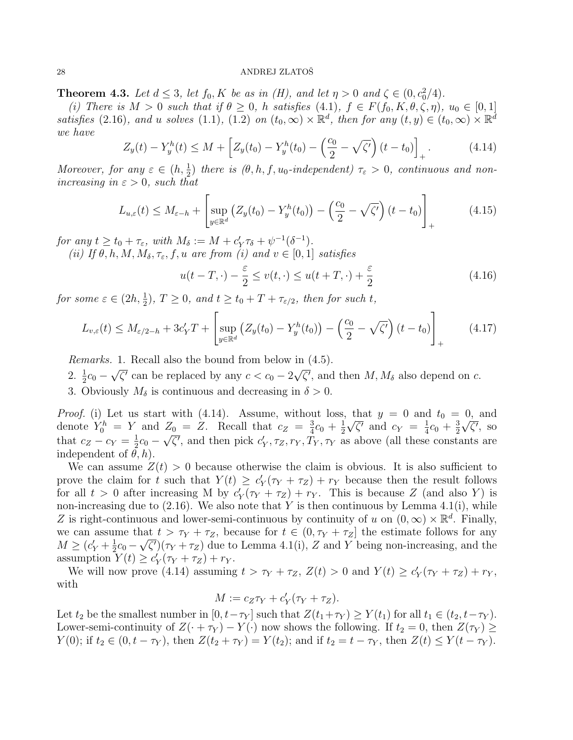**Theorem 4.3.** Let  $d \leq 3$ , let  $f_0$ , K be as in (H), and let  $\eta > 0$  and  $\zeta \in (0, c_0^2/4)$ .

(i) There is  $M > 0$  such that if  $\theta \geq 0$ , h satisfies (4.1),  $f \in F(f_0, K, \theta, \zeta, \eta)$ ,  $u_0 \in [0, 1]$ satisfies (2.16), and u solves (1.1), (1.2) on  $(t_0, \infty) \times \mathbb{R}^d$ , then for any  $(t, y) \in (t_0, \infty) \times \mathbb{R}^d$ we have

$$
Z_y(t) - Y_y^h(t) \le M + \left[ Z_y(t_0) - Y_y^h(t_0) - \left( \frac{c_0}{2} - \sqrt{\zeta'} \right) (t - t_0) \right]_+.
$$
 (4.14)

Moreover, for any  $\varepsilon \in (h, \frac{1}{2})$  there is  $(\theta, h, f, u_0$ -independent)  $\tau_{\varepsilon} > 0$ , continuous and nonincreasing in  $\varepsilon > 0$ , such that

$$
L_{u,\varepsilon}(t) \leq M_{\varepsilon-h} + \left[ \sup_{y \in \mathbb{R}^d} \left( Z_y(t_0) - Y_y^h(t_0) \right) - \left( \frac{c_0}{2} - \sqrt{\zeta'} \right) (t - t_0) \right]_+ \tag{4.15}
$$

for any  $t \ge t_0 + \tau_{\varepsilon}$ , with  $M_{\delta} := M + c_Y' \tau_{\delta} + \psi^{-1}(\delta^{-1})$ .

(ii) If  $\theta$ , h, M,  $M_{\delta}$ ,  $\tau_{\varepsilon}$ , f, u are from (i) and  $v \in [0, 1]$  satisfies

$$
u(t - T, \cdot) - \frac{\varepsilon}{2} \le v(t, \cdot) \le u(t + T, \cdot) + \frac{\varepsilon}{2}
$$
\n(4.16)

for some  $\varepsilon \in (2h, \frac{1}{2}), T \ge 0$ , and  $t \ge t_0 + T + \tau_{\varepsilon/2}$ , then for such t,

$$
L_{v,\varepsilon}(t) \le M_{\varepsilon/2 - h} + 3c'_Y T + \left[ \sup_{y \in \mathbb{R}^d} \left( Z_y(t_0) - Y_y^h(t_0) \right) - \left( \frac{c_0}{2} - \sqrt{\zeta'} \right) (t - t_0) \right]_+ \tag{4.17}
$$

Remarks. 1. Recall also the bound from below in (4.5). √ √

- 2.  $\frac{1}{2}c_0$   $\overline{\zeta'}$  can be replaced by any  $c < c_0 - 2$  $\overline{\zeta'}$ , and then  $M, M_{\delta}$  also depend on c.
- 3. Obviously  $M_{\delta}$  is continuous and decreasing in  $\delta > 0$ .

*Proof.* (i) Let us start with (4.14). Assume, without loss, that  $y = 0$  and  $t_0 = 0$ , and denote  $Y_0^h = Y$  and  $Z_0 = Z$ . Recall that  $c_Z = \frac{3}{4}$  $\frac{3}{4}c_0 + \frac{1}{2}$  $\frac{1}{2}\sqrt{\zeta'}$  and  $c_Y = \frac{1}{4}$  $rac{1}{4}c_0 + \frac{3}{2}$  $Z_0 = Z$ . Recall that  $c_Z = \frac{3}{4}c_0 + \frac{1}{2}\sqrt{\zeta'}$  and  $c_Y = \frac{1}{4}c_0 + \frac{3}{2}\sqrt{\zeta'}$ , so that  $c_Z - c_Y = \frac{1}{2}$  $\frac{1}{2}c_0 - \sqrt{\zeta'}$ , and then pick  $c'_Y, \tau_Z, r_Y, T_Y, \tau_Y$  as above (all these constants are independent of  $\theta$ , h).

We can assume  $Z(t) > 0$  because otherwise the claim is obvious. It is also sufficient to prove the claim for t such that  $Y(t) \geq c_Y'(\tau_Y + \tau_Z) + r_Y$  because then the result follows for all  $t > 0$  after increasing M by  $c'_Y(\tau_Y + \tau_Z) + r_Y$ . This is because Z (and also Y) is non-increasing due to  $(2.16)$ . We also note that Y is then continuous by Lemma 4.1(i), while Z is right-continuous and lower-semi-continuous by continuity of u on  $(0, \infty) \times \mathbb{R}^d$ . Finally, we can assume that  $t > \tau_Y + \tau_Z$ , because for  $t \in (0, \tau_Y + \tau_Z]$  the estimate follows for any  $M \ge (c'_Y + \frac{1}{2})$  $\frac{1}{2}c_0 - \sqrt{\zeta'}(\tau_Y + \tau_Z)$  due to Lemma 4.1(i), Z and Y being non-increasing, and the assumption  $Y(t) \ge c'_Y(\tau_Y + \tau_Z) + r_Y$ .

We will now prove (4.14) assuming  $t > \tau_Y + \tau_Z$ ,  $Z(t) > 0$  and  $Y(t) \ge c'_Y(\tau_Y + \tau_Z) + r_Y$ , with

$$
M := c_Z \tau_Y + c'_Y(\tau_Y + \tau_Z).
$$

Let  $t_2$  be the smallest number in  $[0, t-\tau_Y]$  such that  $Z(t_1+\tau_Y) \geq Y(t_1)$  for all  $t_1 \in (t_2, t-\tau_Y)$ . Lower-semi-continuity of  $Z(\cdot + \tau_Y) - Y(\cdot)$  now shows the following. If  $t_2 = 0$ , then  $Z(\tau_Y) \ge$  $Y(0)$ ; if  $t_2 \in (0, t - \tau_Y)$ , then  $Z(t_2 + \tau_Y) = Y(t_2)$ ; and if  $t_2 = t - \tau_Y$ , then  $Z(t) \leq Y(t - \tau_Y)$ .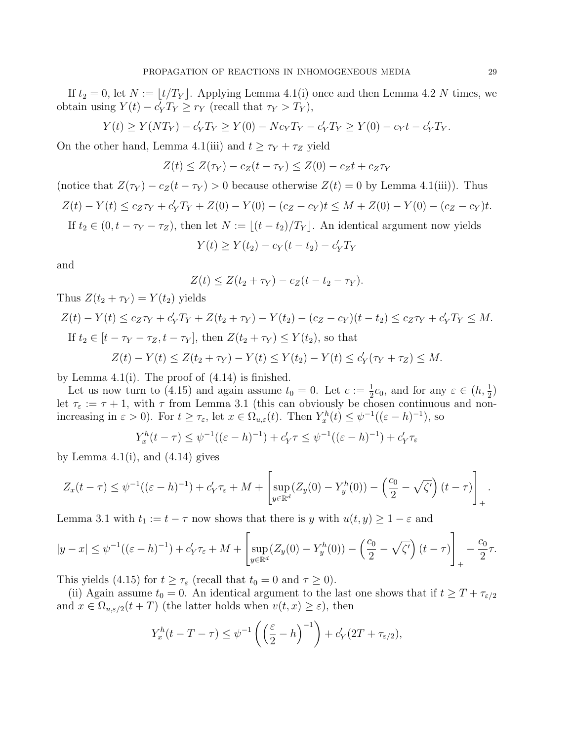If  $t_2 = 0$ , let  $N := \lfloor t/T_Y \rfloor$ . Applying Lemma 4.1(i) once and then Lemma 4.2 N times, we obtain using  $Y(t) - c'_Y T_Y \ge r_Y$  (recall that  $\tau_Y > T_Y$ ),

$$
Y(t) \ge Y(NT_Y) - c'_Y T_Y \ge Y(0) - N c_Y T_Y - c'_Y T_Y \ge Y(0) - c_Y t - c'_Y T_Y.
$$

On the other hand, Lemma 4.1(iii) and  $t \geq \tau_Y + \tau_Z$  yield

$$
Z(t) \leq Z(\tau_Y) - c_Z(t - \tau_Y) \leq Z(0) - c_Z t + c_Z \tau_Y
$$

(notice that  $Z(\tau_Y) - c_Z(t - \tau_Y) > 0$  because otherwise  $Z(t) = 0$  by Lemma 4.1(iii)). Thus  $Z(t) - Y(t) \le c_Z \tau_Y + c'_Y T_Y + Z(0) - Y(0) - (c_Z - c_Y)t \le M + Z(0) - Y(0) - (c_Z - c_Y)t.$ If  $t_2 \in (0, t - \tau_Y - \tau_Z)$ , then let  $N := |(t - t_2)/T_Y|$ . An identical argument now yields

$$
Y(t) \ge Y(t_2) - c_Y(t - t_2) - c'_Y T_Y
$$

and

$$
Z(t) \leq Z(t_2 + \tau_Y) - c_Z(t - t_2 - \tau_Y).
$$

Thus  $Z(t_2 + \tau_Y) = Y(t_2)$  yields

$$
Z(t) - Y(t) \le c_Z \tau_Y + c'_Y T_Y + Z(t_2 + \tau_Y) - Y(t_2) - (c_Z - c_Y)(t - t_2) \le c_Z \tau_Y + c'_Y T_Y \le M.
$$
  
If  $t_2 \in [t - \tau_Y - \tau_Z, t - \tau_Y]$ , then  $Z(t_2 + \tau_Y) \le Y(t_2)$ , so that  

$$
Z(t) - Y(t) \le Z(t_2 + \tau_Y) - Y(t) \le Y(t_2) - Y(t) \le c'_Y(\tau_Y + \tau_Z) \le M.
$$

by Lemma  $4.1(i)$ . The proof of  $(4.14)$  is finished.

Let us now turn to (4.15) and again assume  $t_0 = 0$ . Let  $c := \frac{1}{2}c_0$ , and for any  $\varepsilon \in (h, \frac{1}{2})$ let  $\tau_{\varepsilon} := \tau + 1$ , with  $\tau$  from Lemma 3.1 (this can obviously be chosen continuous and nonincreasing in  $\varepsilon > 0$ ). For  $t \ge \tau_{\varepsilon}$ , let  $x \in \Omega_{u,\varepsilon}(t)$ . Then  $Y_x^h(t) \le \psi^{-1}((\varepsilon - h)^{-1})$ , so

$$
Y_x^h(t - \tau) \le \psi^{-1}((\varepsilon - h)^{-1}) + c'_Y \tau \le \psi^{-1}((\varepsilon - h)^{-1}) + c'_Y \tau_{\varepsilon}
$$

by Lemma  $4.1(i)$ , and  $(4.14)$  gives

$$
Z_x(t-\tau) \leq \psi^{-1}((\varepsilon-h)^{-1}) + c_Y'\tau_{\varepsilon} + M + \left[\sup_{y \in \mathbb{R}^d} (Z_y(0) - Y_y^h(0)) - \left(\frac{c_0}{2} - \sqrt{\zeta'}\right)(t-\tau)\right]_+.
$$

Lemma 3.1 with  $t_1 := t - \tau$  now shows that there is y with  $u(t, y) \geq 1 - \varepsilon$  and

$$
|y - x| \le \psi^{-1}((\varepsilon - h)^{-1}) + c_Y' \tau_{\varepsilon} + M + \left[ \sup_{y \in \mathbb{R}^d} (Z_y(0) - Y_y^h(0)) - \left( \frac{c_0}{2} - \sqrt{\zeta'} \right) (t - \tau) \right]_+ - \frac{c_0}{2} \tau.
$$

This yields (4.15) for  $t \geq \tau_{\varepsilon}$  (recall that  $t_0 = 0$  and  $\tau \geq 0$ ).

(ii) Again assume  $t_0 = 0$ . An identical argument to the last one shows that if  $t \geq T + \tau_{\epsilon/2}$ and  $x \in \Omega_{u,\varepsilon/2}(t+T)$  (the latter holds when  $v(t,x) \geq \varepsilon$ ), then

$$
Y_x^h(t - T - \tau) \le \psi^{-1} \left( \left( \frac{\varepsilon}{2} - h \right)^{-1} \right) + c_Y'(2T + \tau_{\varepsilon/2}),
$$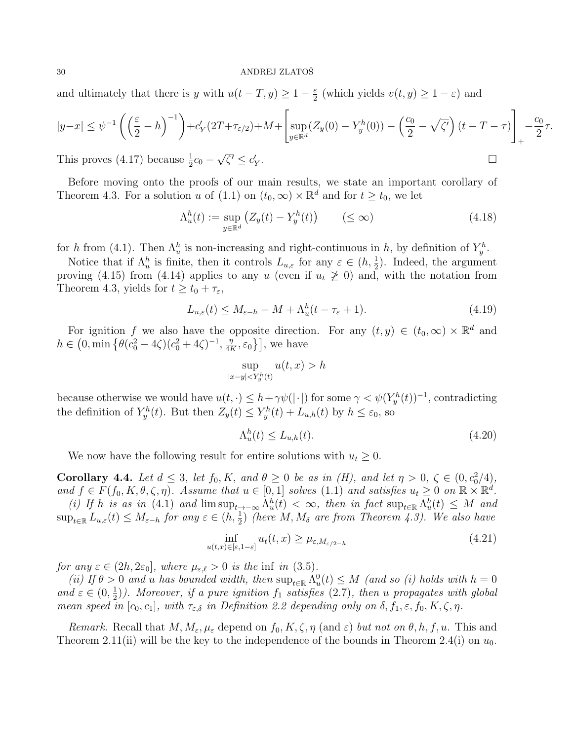and ultimately that there is y with  $u(t-T, y) \geq 1 - \frac{\varepsilon}{2}$  $\frac{\varepsilon}{2}$  (which yields  $v(t, y) \geq 1 - \varepsilon$ ) and

$$
|y-x| \le \psi^{-1}\left(\left(\frac{\varepsilon}{2} - h\right)^{-1}\right) + c_Y'(2T + \tau_{\varepsilon/2}) + M + \left[\sup_{y \in \mathbb{R}^d} (Z_y(0) - Y_y^h(0)) - \left(\frac{c_0}{2} - \sqrt{\zeta'}\right)(t - T - \tau)\right]_+ - \frac{c_0}{2}\tau.
$$
  
This proves (4.17) because  $\frac{1}{2}c_0 - \sqrt{\zeta'} \le c_Y'.$ 

This proves (4.17) because  $\frac{1}{2}c_0$  –  $\overline{\zeta'} \leq c'_Y$ 

Before moving onto the proofs of our main results, we state an important corollary of Theorem 4.3. For a solution u of (1.1) on  $(t_0, \infty) \times \mathbb{R}^d$  and for  $t \geq t_0$ , we let

$$
\Lambda_u^h(t) := \sup_{y \in \mathbb{R}^d} \left( Z_y(t) - Y_y^h(t) \right) \qquad (\leq \infty)
$$
\n(4.18)

for h from (4.1). Then  $\Lambda_u^h$  is non-increasing and right-continuous in h, by definition of  $Y_y^h$ .

Notice that if  $\Lambda_u^h$  is finite, then it controls  $L_{u,\varepsilon}$  for any  $\varepsilon \in (h, \frac{1}{2})$ . Indeed, the argument proving (4.15) from (4.14) applies to any u (even if  $u_t \geq 0$ ) and, with the notation from Theorem 4.3, yields for  $t \ge t_0 + \tau_{\varepsilon}$ ,

$$
L_{u,\varepsilon}(t) \le M_{\varepsilon-h} - M + \Lambda_u^h(t - \tau_{\varepsilon} + 1). \tag{4.19}
$$

For ignition f we also have the opposite direction. For any  $(t, y) \in (t_0, \infty) \times \mathbb{R}^d$  and  $h \in (0, \min\left\{\theta(c_0^2 - 4\zeta)(c_0^2 + 4\zeta)^{-1}, \frac{\eta}{4R}\right\})$  $\left[\frac{\eta}{4K}, \varepsilon_0\right]$ , we have

$$
\sup_{|x-y| h
$$

because otherwise we would have  $u(t, \cdot) \leq h + \gamma \psi(|\cdot|)$  for some  $\gamma < \psi(Y_{y}^{h}(t))^{-1}$ , contradicting the definition of  $Y_y^h(t)$ . But then  $Z_y(t) \leq Y_y^h(t) + L_{u,h}(t)$  by  $h \leq \varepsilon_0$ , so

$$
\Lambda_u^h(t) \le L_{u,h}(t). \tag{4.20}
$$

We now have the following result for entire solutions with  $u_t \geq 0$ .

**Corollary 4.4.** Let  $d \leq 3$ , let  $f_0, K$ , and  $\theta \geq 0$  be as in (H), and let  $\eta > 0$ ,  $\zeta \in (0, c_0^2/4)$ , and  $f \in F(f_0, K, \theta, \zeta, \eta)$ . Assume that  $u \in [0, 1]$  solves  $(1.1)$  and satisfies  $u_t \geq 0$  on  $\mathbb{R} \times \mathbb{R}^d$ .

(i) If h is as in (4.1) and  $\limsup_{t\to-\infty} \Lambda_u^h(t) < \infty$ , then in fact  $\sup_{t\in\mathbb{R}} \Lambda_u^h(t) \leq M$  and  $\sup_{t\in\mathbb{R}}L_{u,\varepsilon}(t)\leq M_{\varepsilon-h}$  for any  $\varepsilon\in (h,\frac{1}{2})$  (here  $M,M_{\delta}$  are from Theorem 4.3). We also have

$$
\inf_{u(t,x)\in[\varepsilon,1-\varepsilon]} u_t(t,x) \ge \mu_{\varepsilon,M_{\varepsilon/2-h}} \tag{4.21}
$$

for any  $\varepsilon \in (2h, 2\varepsilon_0]$ , where  $\mu_{\varepsilon,\ell} > 0$  is the inf in (3.5).

(ii) If  $\theta > 0$  and u has bounded width, then  $\sup_{t \in \mathbb{R}} \Lambda_u^0(t) \leq M$  (and so (i) holds with  $h = 0$ and  $\varepsilon \in (0, \frac{1}{2})$  $\frac{1}{2}$ ). Moreover, if a pure ignition  $f_1$  satisfies (2.7), then u propagates with global mean speed in  $[c_0, c_1]$ , with  $\tau_{\varepsilon,\delta}$  in Definition 2.2 depending only on  $\delta, f_1, \varepsilon, f_0, K, \zeta, \eta$ .

Remark. Recall that  $M, M_{\varepsilon}, \mu_{\varepsilon}$  depend on  $f_0, K, \zeta, \eta$  (and  $\varepsilon$ ) but not on  $\theta, h, f, u$ . This and Theorem 2.11(ii) will be the key to the independence of the bounds in Theorem 2.4(i) on  $u_0$ .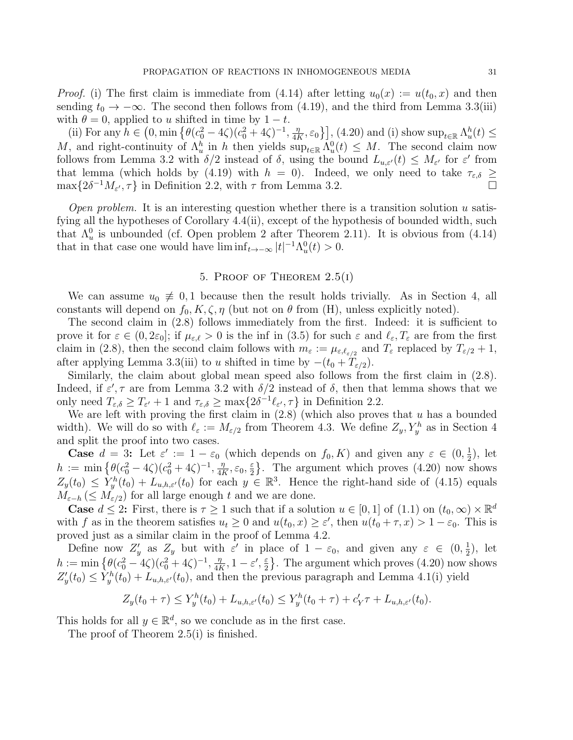*Proof.* (i) The first claim is immediate from (4.14) after letting  $u_0(x) := u(t_0, x)$  and then sending  $t_0 \to -\infty$ . The second then follows from (4.19), and the third from Lemma 3.3(iii) with  $\theta = 0$ , applied to u shifted in time by  $1 - t$ .

(ii) For any  $h \in (0, \min\left\{\theta(c_0^2 - 4\zeta)(c_0^2 + 4\zeta)^{-1}, \frac{\eta}{4l}\right\})$  $\left[\frac{\eta}{4K}, \varepsilon_0\right]$ , (4.20) and (i) show  $\sup_{t\in\mathbb{R}} \Lambda_u^h(t) \leq$ M, and right-continuity of  $\Lambda_u^h$  in h then yields  $\sup_{t\in\mathbb{R}} \Lambda_u^0(t) \leq M$ . The second claim now follows from Lemma 3.2 with  $\delta/2$  instead of  $\delta$ , using the bound  $L_{u,\varepsilon'}(t) \leq M_{\varepsilon'}$  for  $\varepsilon'$  from that lemma (which holds by (4.19) with  $h = 0$ ). Indeed, we only need to take  $\tau_{\varepsilon,\delta} \geq$  $\max\{2\delta^{-1}M_{\varepsilon'},\tau\}$  in Definition 2.2, with  $\tau$  from Lemma 3.2.

Open problem. It is an interesting question whether there is a transition solution  $u$  satisfying all the hypotheses of Corollary 4.4(ii), except of the hypothesis of bounded width, such that  $\Lambda_u^0$  is unbounded (cf. Open problem 2 after Theorem 2.11). It is obvious from (4.14) that in that case one would have  $\liminf_{t\to-\infty} |t|^{-1} \Lambda_u^0(t) > 0$ .

# 5. PROOF OF THEOREM  $2.5(i)$

We can assume  $u_0 \neq 0, 1$  because then the result holds trivially. As in Section 4, all constants will depend on  $f_0, K, \zeta, \eta$  (but not on  $\theta$  from (H), unless explicitly noted).

The second claim in (2.8) follows immediately from the first. Indeed: it is sufficient to prove it for  $\varepsilon \in (0, 2\varepsilon_0]$ ; if  $\mu_{\varepsilon,\ell} > 0$  is the inf in (3.5) for such  $\varepsilon$  and  $\ell_{\varepsilon}, T_{\varepsilon}$  are from the first claim in (2.8), then the second claim follows with  $m_{\varepsilon} := \mu_{\varepsilon,\ell_{\varepsilon/2}}$  and  $T_{\varepsilon}$  replaced by  $T_{\varepsilon/2} + 1$ , after applying Lemma 3.3(iii) to u shifted in time by  $-(t_0 + T_{\varepsilon/2})$ .

Similarly, the claim about global mean speed also follows from the first claim in (2.8). Indeed, if  $\varepsilon', \tau$  are from Lemma 3.2 with  $\delta/2$  instead of  $\delta$ , then that lemma shows that we only need  $T_{\varepsilon,\delta} \geq T_{\varepsilon'} + 1$  and  $\tau_{\varepsilon,\delta} \geq \max\{2\delta^{-1}\ell_{\varepsilon'},\tau\}$  in Definition 2.2.

We are left with proving the first claim in  $(2.8)$  (which also proves that u has a bounded width). We will do so with  $\ell_{\varepsilon} := M_{\varepsilon/2}$  from Theorem 4.3. We define  $Z_y, Y_y^h$  as in Section 4 and split the proof into two cases.

**Case**  $d = 3$ : Let  $\varepsilon' := 1 - \varepsilon_0$  (which depends on  $f_0, K$ ) and given any  $\varepsilon \in (0, \frac{1}{2})$  $(\frac{1}{2})$ , let  $h := \min \left\{ \theta(c_0^2 - 4\zeta)(c_0^2 + 4\zeta)^{-1}, \frac{\eta}{4R} \right\}$  $\frac{\eta}{4K}, \varepsilon_0, \frac{\varepsilon}{2}$  $\frac{\epsilon}{2}$ . The argument which proves (4.20) now shows  $Z_y(t_0) \le \hat{Y}_y^h(t_0) + L_{u,h,\varepsilon'}(t_0)$  for each  $y \in \mathbb{R}^3$ . Hence the right-hand side of (4.15) equals  $M_{\varepsilon-h} \, (\leq M_{\varepsilon/2})$  for all large enough t and we are done.

**Case**  $d \leq 2$ : First, there is  $\tau \geq 1$  such that if a solution  $u \in [0,1]$  of  $(1.1)$  on  $(t_0,\infty) \times \mathbb{R}^d$ with f as in the theorem satisfies  $u_t \geq 0$  and  $u(t_0, x) \geq \varepsilon'$ , then  $u(t_0 + \tau, x) > 1 - \varepsilon_0$ . This is proved just as a similar claim in the proof of Lemma 4.2.

Define now  $Z'_y$  as  $Z_y$  but with  $\varepsilon'$  in place of  $1 - \varepsilon_0$ , and given any  $\varepsilon \in (0, \frac{1}{2})$  $(\frac{1}{2})$ , let  $h := \min \left\{ \theta(c_0^2 - 4\zeta)(c_0^2 + 4\zeta)^{-1}, \frac{\eta}{4R} \right\}$  $\frac{\eta}{4K}, 1-\varepsilon', \frac{\varepsilon}{2}$  $\frac{\varepsilon}{2}$ . The argument which proves (4.20) now shows  $Z'_{y}(t_0) \leq Y_{y}^{h}(t_0) + L_{u,h,\varepsilon'}(t_0)$ , and then the previous paragraph and Lemma 4.1(i) yield

$$
Z_y(t_0+\tau) \le Y_y^h(t_0) + L_{u,h,\varepsilon'}(t_0) \le Y_y^h(t_0+\tau) + c'_Y\tau + L_{u,h,\varepsilon'}(t_0).
$$

This holds for all  $y \in \mathbb{R}^d$ , so we conclude as in the first case.

The proof of Theorem 2.5(i) is finished.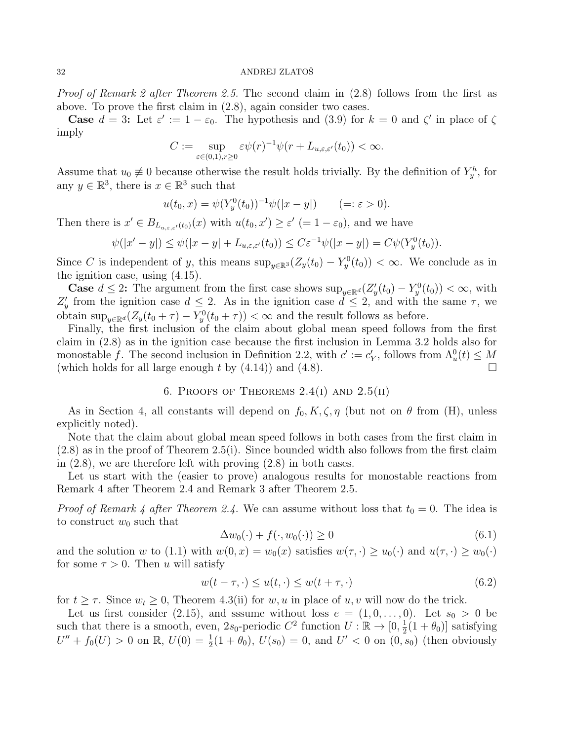*Proof of Remark 2 after Theorem 2.5.* The second claim in (2.8) follows from the first as above. To prove the first claim in (2.8), again consider two cases.

**Case**  $d = 3$ : Let  $\varepsilon' := 1 - \varepsilon_0$ . The hypothesis and (3.9) for  $k = 0$  and  $\zeta'$  in place of  $\zeta$ imply

$$
C := \sup_{\varepsilon \in (0,1), r \ge 0} \varepsilon \psi(r)^{-1} \psi(r + L_{u,\varepsilon,\varepsilon'}(t_0)) < \infty.
$$

Assume that  $u_0 \neq 0$  because otherwise the result holds trivially. By the definition of  $Y_y^h$ , for any  $y \in \mathbb{R}^3$ , there is  $x \in \mathbb{R}^3$  such that

$$
u(t_0, x) = \psi(Y_y^0(t_0))^{-1}\psi(|x - y|) \qquad (=: \varepsilon > 0).
$$

Then there is  $x' \in B_{L_{u,\varepsilon,\varepsilon'}(t_0)}(x)$  with  $u(t_0,x') \geq \varepsilon'$  (=  $1-\varepsilon_0$ ), and we have

$$
\psi(|x'-y|) \le \psi(|x-y| + L_{u,\varepsilon,\varepsilon'}(t_0)) \le C\varepsilon^{-1}\psi(|x-y|) = C\psi(Y_y^0(t_0)).
$$

Since C is independent of y, this means  $\sup_{y\in\mathbb{R}^3} (Z_y(t_0) - Y_y^0(t_0)) < \infty$ . We conclude as in the ignition case, using (4.15).

**Case**  $d \leq 2$ : The argument from the first case shows  $\sup_{y \in \mathbb{R}^d} (Z'_y(t_0) - Y_y^0(t_0)) < \infty$ , with  $Z'_y$  from the ignition case  $d \leq 2$ . As in the ignition case  $d \leq 2$ , and with the same  $\tau$ , we obtain  $\sup_{y \in \mathbb{R}^d} (Z_y(t_0 + \tau) - Y_y^0(t_0 + \tau)) < \infty$  and the result follows as before.

Finally, the first inclusion of the claim about global mean speed follows from the first claim in (2.8) as in the ignition case because the first inclusion in Lemma 3.2 holds also for monostable f. The second inclusion in Definition 2.2, with  $c' := c_Y'$ , follows from  $\Lambda_u^0(t) \leq M$ (which holds for all large enough t by  $(4.14)$ ) and  $(4.8)$ .

# 6. PROOFS OF THEOREMS  $2.4(I)$  AND  $2.5(II)$

As in Section 4, all constants will depend on  $f_0, K, \zeta, \eta$  (but not on  $\theta$  from (H), unless explicitly noted).

Note that the claim about global mean speed follows in both cases from the first claim in  $(2.8)$  as in the proof of Theorem  $(2.5)$ . Since bounded width also follows from the first claim in (2.8), we are therefore left with proving (2.8) in both cases.

Let us start with the (easier to prove) analogous results for monostable reactions from Remark 4 after Theorem 2.4 and Remark 3 after Theorem 2.5.

*Proof of Remark 4 after Theorem 2.4.* We can assume without loss that  $t_0 = 0$ . The idea is to construct  $w_0$  such that

$$
\Delta w_0(\cdot) + f(\cdot, w_0(\cdot)) \ge 0 \tag{6.1}
$$

and the solution w to (1.1) with  $w(0, x) = w_0(x)$  satisfies  $w(\tau, \cdot) \geq u_0(\cdot)$  and  $u(\tau, \cdot) \geq w_0(\cdot)$ for some  $\tau > 0$ . Then u will satisfy

$$
w(t - \tau, \cdot) \le u(t, \cdot) \le w(t + \tau, \cdot) \tag{6.2}
$$

for  $t \geq \tau$ . Since  $w_t \geq 0$ , Theorem 4.3(ii) for w, u in place of u, v will now do the trick.

Let us first consider (2.15), and sssume without loss  $e = (1, 0, \ldots, 0)$ . Let  $s_0 > 0$  be such that there is a smooth, even, 2s<sub>0</sub>-periodic  $C^2$  function  $U: \mathbb{R} \to [0, \frac{1}{2}]$  $\frac{1}{2}(1+\theta_0)$ ] satisfying  $U'' + f_0(U) > 0$  on  $\mathbb{R}, U(0) = \frac{1}{2}(1 + \theta_0), U(s_0) = 0$ , and  $U' < 0$  on  $(0, s_0)$  (then obviously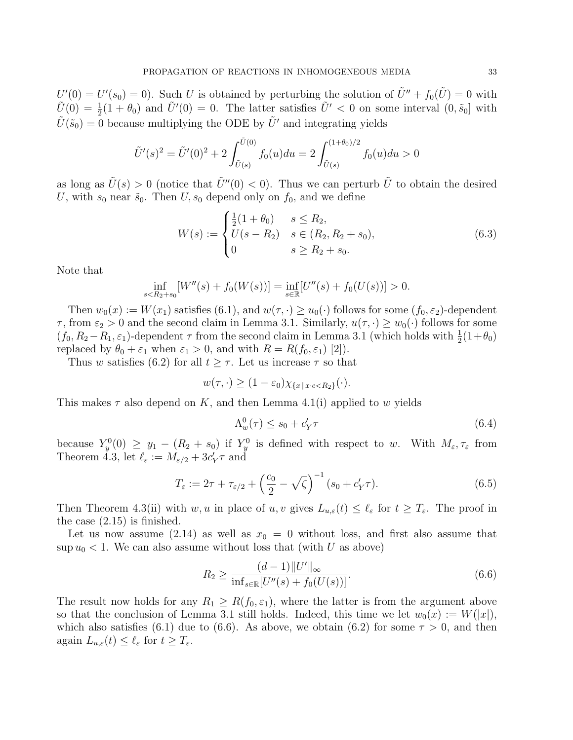$U'(0) = U'(s_0) = 0$ . Such U is obtained by perturbing the solution of  $\tilde{U}'' + f_0(\tilde{U}) = 0$  with  $\tilde{U}(0) = \frac{1}{2}(1 + \theta_0)$  and  $\tilde{U}'(0) = 0$ . The latter satisfies  $\tilde{U}' < 0$  on some interval  $(0, \tilde{s}_0]$  with  $\tilde{U}(\tilde{s}_0) = 0$  because multiplying the ODE by  $\tilde{U}'$  and integrating yields

$$
\tilde{U}'(s)^{2} = \tilde{U}'(0)^{2} + 2 \int_{\tilde{U}(s)}^{\tilde{U}(0)} f_{0}(u) du = 2 \int_{\tilde{U}(s)}^{(1+\theta_{0})/2} f_{0}(u) du > 0
$$

as long as  $\tilde{U}(s) > 0$  (notice that  $\tilde{U}''(0) < 0$ ). Thus we can perturb  $\tilde{U}$  to obtain the desired U, with  $s_0$  near  $\tilde{s}_0$ . Then U,  $s_0$  depend only on  $f_0$ , and we define

$$
W(s) := \begin{cases} \frac{1}{2}(1+\theta_0) & s \le R_2, \\ U(s-R_2) & s \in (R_2, R_2+s_0), \\ 0 & s \ge R_2+s_0. \end{cases}
$$
(6.3)

Note that

$$
\inf_{s < R_2 + s_0} [W''(s) + f_0(W(s))] = \inf_{s \in \mathbb{R}} [U''(s) + f_0(U(s))] > 0.
$$

Then  $w_0(x) := W(x_1)$  satisfies  $(6.1)$ , and  $w(\tau, \cdot) \geq u_0(\cdot)$  follows for some  $(f_0, \varepsilon_2)$ -dependent  $\tau$ , from  $\varepsilon_2 > 0$  and the second claim in Lemma 3.1. Similarly,  $u(\tau, \cdot) \geq w_0(\cdot)$  follows for some  $(f_0, R_2 - R_1, \varepsilon_1)$ -dependent  $\tau$  from the second claim in Lemma 3.1 (which holds with  $\frac{1}{2}(1+\theta_0)$ replaced by  $\theta_0 + \varepsilon_1$  when  $\varepsilon_1 > 0$ , and with  $R = R(f_0, \varepsilon_1)$  [2]).

Thus w satisfies (6.2) for all  $t \geq \tau$ . Let us increase  $\tau$  so that

$$
w(\tau, \cdot) \ge (1 - \varepsilon_0) \chi_{\{x \mid x \cdot \epsilon < R_2\}}(\cdot).
$$

This makes  $\tau$  also depend on K, and then Lemma 4.1(i) applied to w yields

$$
\Lambda_w^0(\tau) \le s_0 + c_Y' \tau \tag{6.4}
$$

because  $Y_y^0(0) \ge y_1 - (R_2 + s_0)$  if  $Y_y^0$  is defined with respect to w. With  $M_\varepsilon, \tau_\varepsilon$  from Theorem 4.3, let  $\ell_{\varepsilon} := M_{\varepsilon/2} + 3c'_Y \tau$  and

$$
T_{\varepsilon} := 2\tau + \tau_{\varepsilon/2} + \left(\frac{c_0}{2} - \sqrt{\zeta}\right)^{-1} (s_0 + c'_Y \tau). \tag{6.5}
$$

Then Theorem 4.3(ii) with w, u in place of u, v gives  $L_{u,\varepsilon}(t) \leq \ell_{\varepsilon}$  for  $t \geq T_{\varepsilon}$ . The proof in the case (2.15) is finished.

Let us now assume (2.14) as well as  $x_0 = 0$  without loss, and first also assume that sup  $u_0$  < 1. We can also assume without loss that (with U as above)

$$
R_2 \ge \frac{(d-1)\|U'\|_{\infty}}{\inf_{s \in \mathbb{R}} [U''(s) + f_0(U(s))]}.
$$
\n(6.6)

The result now holds for any  $R_1 \geq R(f_0, \varepsilon_1)$ , where the latter is from the argument above so that the conclusion of Lemma 3.1 still holds. Indeed, this time we let  $w_0(x) := W(|x|)$ , which also satisfies (6.1) due to (6.6). As above, we obtain (6.2) for some  $\tau > 0$ , and then again  $L_{u,\varepsilon}(t) \leq \ell_{\varepsilon}$  for  $t \geq T_{\varepsilon}$ .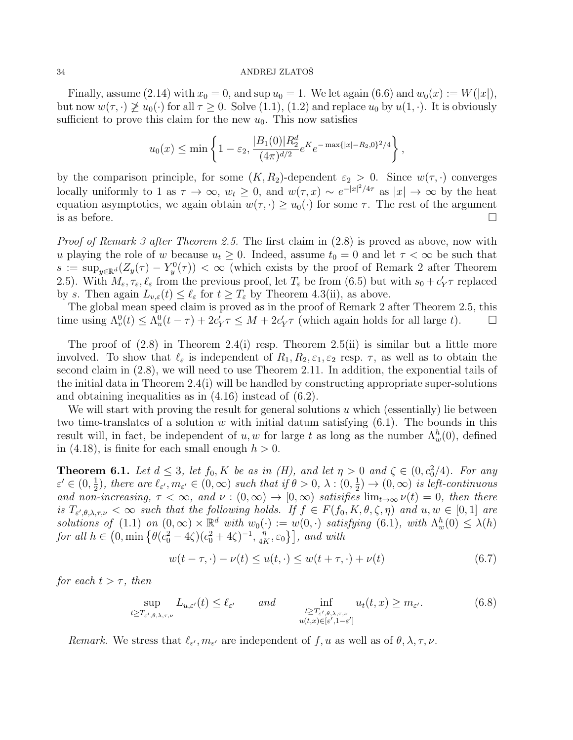Finally, assume (2.14) with  $x_0 = 0$ , and sup  $u_0 = 1$ . We let again (6.6) and  $w_0(x) := W(|x|)$ , but now  $w(\tau, \cdot) \not\geq u_0(\cdot)$  for all  $\tau \geq 0$ . Solve  $(1.1), (1.2)$  and replace  $u_0$  by  $u(1, \cdot)$ . It is obviously sufficient to prove this claim for the new  $u_0$ . This now satisfies

$$
u_0(x) \le \min\left\{1 - \varepsilon_2, \frac{|B_1(0)|R_2^d}{(4\pi)^{d/2}} e^{K} e^{-\max\{|x| - R_2, 0\}^2/4}\right\},
$$

by the comparison principle, for some  $(K, R_2)$ -dependent  $\varepsilon_2 > 0$ . Since  $w(\tau, \cdot)$  converges locally uniformly to 1 as  $\tau \to \infty$ ,  $w_t \geq 0$ , and  $w(\tau, x) \sim e^{-|x|^2/4\tau}$  as  $|x| \to \infty$  by the heat equation asymptotics, we again obtain  $w(\tau, \cdot) \geq u_0(\cdot)$  for some  $\tau$ . The rest of the argument is as before.  $\square$ 

Proof of Remark 3 after Theorem 2.5. The first claim in  $(2.8)$  is proved as above, now with u playing the role of w because  $u_t \geq 0$ . Indeed, assume  $t_0 = 0$  and let  $\tau < \infty$  be such that  $s := \sup_{y \in \mathbb{R}^d} (Z_y(\tau) - Y_y^0(\tau)) < \infty$  (which exists by the proof of Remark 2 after Theorem 2.5). With  $M_{\varepsilon}, \tau_{\varepsilon}, \ell_{\varepsilon}$  from the previous proof, let  $T_{\varepsilon}$  be from (6.5) but with  $s_0 + c'_Y \tau$  replaced by s. Then again  $L_{v,\varepsilon}(t) \leq \ell_{\varepsilon}$  for  $t \geq T_{\varepsilon}$  by Theorem 4.3(ii), as above.

The global mean speed claim is proved as in the proof of Remark 2 after Theorem 2.5, this time using  $\Lambda_v^0(t) \leq \Lambda_u^0(t-\tau) + 2c'_Y\tau \leq M + 2c'_Y\tau$  (which again holds for all large t).

The proof of  $(2.8)$  in Theorem  $2.4(i)$  resp. Theorem  $2.5(ii)$  is similar but a little more involved. To show that  $\ell_{\varepsilon}$  is independent of  $R_1, R_2, \varepsilon_1, \varepsilon_2$  resp.  $\tau$ , as well as to obtain the second claim in  $(2.8)$ , we will need to use Theorem 2.11. In addition, the exponential tails of the initial data in Theorem 2.4(i) will be handled by constructing appropriate super-solutions and obtaining inequalities as in (4.16) instead of (6.2).

We will start with proving the result for general solutions  $u$  which (essentially) lie between two time-translates of a solution w with initial datum satisfying  $(6.1)$ . The bounds in this result will, in fact, be independent of  $u, w$  for large t as long as the number  $\Lambda_w^h(0)$ , defined in (4.18), is finite for each small enough  $h > 0$ .

**Theorem 6.1.** Let  $d \leq 3$ , let  $f_0, K$  be as in (H), and let  $\eta > 0$  and  $\zeta \in (0, c_0^2/4)$ . For any  $\varepsilon' \in (0, \frac{1}{2})$  $(\frac{1}{2})$ , there are  $\ell_{\varepsilon'}$ ,  $m_{\varepsilon'} \in (0, \infty)$  such that if  $\theta > 0$ ,  $\lambda : (0, \frac{1}{2})$  $(\frac{1}{2}) \rightarrow (0, \infty)$  is left-continuous and non-increasing,  $\tau < \infty$ , and  $\nu : (0, \infty) \to [0, \infty)$  satisifies  $\lim_{t\to\infty} \nu(t) = 0$ , then there is  $T_{\varepsilon',\theta,\lambda,\tau,\nu} < \infty$  such that the following holds. If  $f \in F(f_0,K,\theta,\zeta,\eta)$  and  $u,w \in [0,1]$  are solutions of (1.1) on  $(0, \infty) \times \mathbb{R}^d$  with  $w_0(\cdot) := w(0, \cdot)$  satisfying  $(6.1)$ , with  $\Lambda_w^h(0) \leq \lambda(h)$ for all  $h \in (0, \min\left\{\theta(c_0^2 - 4\zeta)(c_0^2 + 4\zeta)^{-1}, \frac{\eta}{4l}\right\})$  $\left[\frac{\eta}{4K},\varepsilon_0\right\}\right]$ , and with

$$
w(t - \tau, \cdot) - \nu(t) \le u(t, \cdot) \le w(t + \tau, \cdot) + \nu(t)
$$
\n
$$
(6.7)
$$

for each  $t > \tau$ , then

$$
\sup_{t \ge T_{\varepsilon', \theta, \lambda, \tau, \nu}} L_{u, \varepsilon'}(t) \le \ell_{\varepsilon'} \qquad and \qquad \inf_{\substack{t \ge T_{\varepsilon', \theta, \lambda, \tau, \nu} \\ u(t, x) \in [\varepsilon', 1 - \varepsilon']}} u_t(t, x) \ge m_{\varepsilon'}.
$$
\n(6.8)

Remark. We stress that  $\ell_{\varepsilon}, m_{\varepsilon}$  are independent of f, u as well as of  $\theta, \lambda, \tau, \nu$ .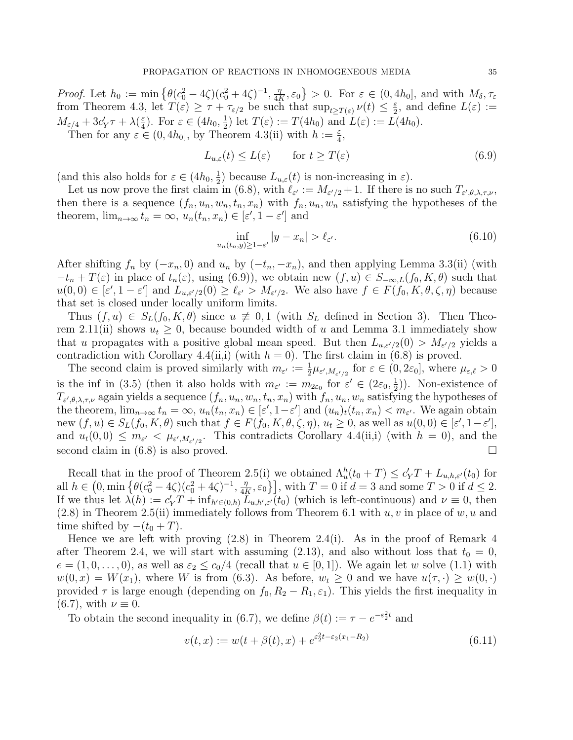*Proof.* Let  $h_0 := \min \left\{ \theta(c_0^2 - 4\zeta)(c_0^2 + 4\zeta)^{-1}, \frac{\eta}{4l} \right\}$  $\left\{\frac{\eta}{4K}, \varepsilon_0\right\} > 0.$  For  $\varepsilon \in (0, 4h_0]$ , and with  $M_\delta, \tau_\varepsilon$ from Theorem 4.3, let  $T(\varepsilon) \geq \tau + \tau_{\varepsilon/2}$  be such that  $\sup_{t \geq T(\varepsilon)} \nu(t) \leq \frac{\varepsilon}{2}$  $\frac{\varepsilon}{2}$ , and define  $L(\varepsilon) :=$  $M_{\varepsilon/4} + 3c'_Y \tau + \lambda(\frac{\varepsilon}{4})$  $(\frac{\varepsilon}{4})$ . For  $\varepsilon \in (4h_0, \frac{1}{2})$  $(\frac{1}{2})$  let  $T(\varepsilon) := T(4h_0)$  and  $L(\varepsilon) := L(4h_0)$ .

Then for any  $\varepsilon \in (0, 4h_0]$ , by Theorem 4.3(ii) with  $h := \frac{\varepsilon}{4}$ ,

$$
L_{u,\varepsilon}(t) \le L(\varepsilon) \qquad \text{for } t \ge T(\varepsilon) \tag{6.9}
$$

(and this also holds for  $\varepsilon \in (4h_0, \frac{1}{2})$  $(\frac{1}{2})$  because  $L_{u,\varepsilon}(t)$  is non-increasing in  $\varepsilon$ ).

Let us now prove the first claim in (6.8), with  $\ell_{\varepsilon'} := M_{\varepsilon'/2} + 1$ . If there is no such  $T_{\varepsilon',\theta,\lambda,\tau,\nu}$ , then there is a sequence  $(f_n, u_n, w_n, t_n, x_n)$  with  $f_n, u_n, w_n$  satisfying the hypotheses of the theorem,  $\lim_{n\to\infty} t_n = \infty$ ,  $u_n(t_n, x_n) \in [\varepsilon', 1 - \varepsilon']$  and

$$
\inf_{u_n(t_n,y)\geq 1-\varepsilon'}|y-x_n|>\ell_{\varepsilon'}.\tag{6.10}
$$

After shifting  $f_n$  by  $(-x_n, 0)$  and  $u_n$  by  $(-t_n, -x_n)$ , and then applying Lemma 3.3(ii) (with  $-t_n + T(\varepsilon)$  in place of  $t_n(\varepsilon)$ , using (6.9)), we obtain new  $(f, u) \in S_{-\infty,L}(f_0, K, \theta)$  such that  $u(0,0) \in [\varepsilon', 1-\varepsilon']$  and  $L_{u,\varepsilon'/2}(0) \geq \ell_{\varepsilon'} > M_{\varepsilon'/2}$ . We also have  $f \in F(f_0, K, \theta, \zeta, \eta)$  because that set is closed under locally uniform limits.

Thus  $(f, u) \in S_L(f_0, K, \theta)$  since  $u \neq 0, 1$  (with  $S_L$  defined in Section 3). Then Theorem 2.11(ii) shows  $u_t \geq 0$ , because bounded width of u and Lemma 3.1 immediately show that u propagates with a positive global mean speed. But then  $L_{u,\varepsilon/2}(0) > M_{\varepsilon/2}$  yields a contradiction with Corollary 4.4(ii,i) (with  $h = 0$ ). The first claim in (6.8) is proved.

The second claim is proved similarly with  $m_{\varepsilon'} := \frac{1}{2} \mu_{\varepsilon', M_{\varepsilon'/2}}$  for  $\varepsilon \in (0, 2\varepsilon_0]$ , where  $\mu_{\varepsilon,\ell} > 0$ is the inf in (3.5) (then it also holds with  $m_{\varepsilon} := m_{2\varepsilon_0}$  for  $\varepsilon' \in (2\varepsilon_0, \frac{1}{2})$ ). Non-existence of  $T_{\varepsilon',\theta,\lambda,\tau,\nu}$  again yields a sequence  $(f_n, u_n, w_n, t_n, x_n)$  with  $f_n, u_n, w_n$  satisfying the hypotheses of the theorem,  $\lim_{n\to\infty} t_n = \infty$ ,  $u_n(t_n, x_n) \in [\varepsilon', 1-\varepsilon']$  and  $(u_n)_t(t_n, x_n) < m_{\varepsilon'}$ . We again obtain new  $(f, u) \in S_L(f_0, K, \theta)$  such that  $f \in F(f_0, K, \theta, \zeta, \eta)$ ,  $u_t \geq 0$ , as well as  $u(0, 0) \in [\varepsilon', 1 - \varepsilon']$ , and  $u_t(0,0) \leq m_{\varepsilon} < \mu_{\varepsilon',M_{\varepsilon'/2}}$ . This contradicts Corollary 4.4(ii,i) (with  $h = 0$ ), and the second claim in  $(6.8)$  is also proved.

Recall that in the proof of Theorem 2.5(i) we obtained  $\Lambda_u^h(t_0+T) \leq c'_Y T + L_{u,h,\varepsilon'}(t_0)$  for all  $h \in (0, \min\left\{\theta(c_0^2 - 4\zeta)(c_0^2 + 4\zeta)^{-1}, \frac{\eta}{4l}\right\})$  $\left[\frac{\eta}{4K}, \varepsilon_0\right]$ , with  $T = 0$  if  $d = 3$  and some  $T > 0$  if  $d \leq 2$ . If we thus let  $\lambda(h) := c'_Y T + \inf_{h' \in (0,h)} L_{u,h',\varepsilon'}(t_0)$  (which is left-continuous) and  $\nu \equiv 0$ , then  $(2.8)$  in Theorem 2.5(ii) immediately follows from Theorem 6.1 with  $u, v$  in place of  $w, u$  and time shifted by  $-(t_0 + T)$ .

Hence we are left with proving (2.8) in Theorem 2.4(i). As in the proof of Remark 4 after Theorem 2.4, we will start with assuming (2.13), and also without loss that  $t_0 = 0$ ,  $e = (1, 0, \ldots, 0)$ , as well as  $\varepsilon_2 \leq c_0/4$  (recall that  $u \in [0, 1]$ ). We again let w solve (1.1) with  $w(0, x) = W(x_1)$ , where W is from (6.3). As before,  $w_t \geq 0$  and we have  $u(\tau, \cdot) \geq w(0, \cdot)$ provided  $\tau$  is large enough (depending on  $f_0$ ,  $R_2 - R_1$ ,  $\varepsilon_1$ ). This yields the first inequality in  $(6.7)$ , with  $\nu \equiv 0$ .

To obtain the second inequality in (6.7), we define  $\beta(t) := \tau - e^{-\epsilon_2^2 t}$  and

$$
v(t,x) := w(t + \beta(t),x) + e^{\varepsilon_2^2 t - \varepsilon_2(x_1 - R_2)}
$$
(6.11)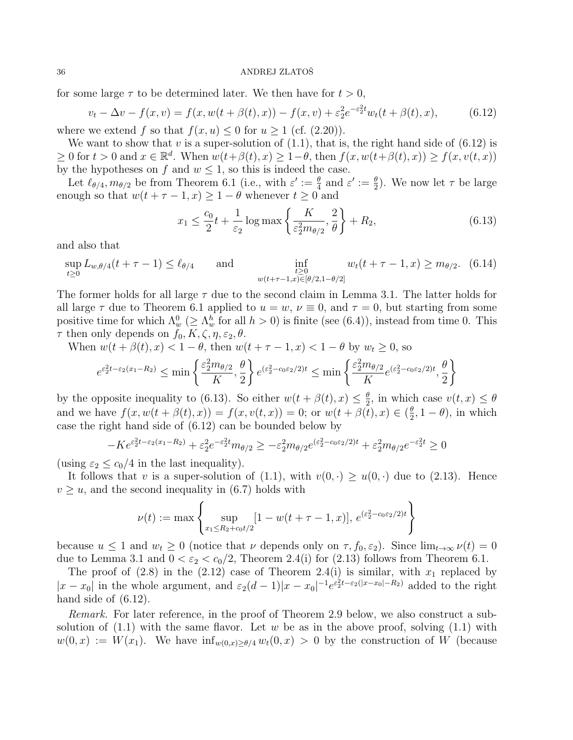for some large  $\tau$  to be determined later. We then have for  $t > 0$ ,

$$
v_t - \Delta v - f(x, v) = f(x, w(t + \beta(t), x)) - f(x, v) + \varepsilon_2^2 e^{-\varepsilon_2^2 t} w_t(t + \beta(t), x), \tag{6.12}
$$

where we extend f so that  $f(x, u) \leq 0$  for  $u \geq 1$  (cf. (2.20)).

We want to show that v is a super-solution of  $(1.1)$ , that is, the right hand side of  $(6.12)$  is  $\geq 0$  for  $t > 0$  and  $x \in \mathbb{R}^d$ . When  $w(t+\beta(t), x) \geq 1-\theta$ , then  $f(x, w(t+\beta(t), x)) \geq f(x, v(t, x))$ by the hypotheses on f and  $w \leq 1$ , so this is indeed the case.

Let  $\ell_{\theta/4}, m_{\theta/2}$  be from Theorem 6.1 (i.e., with  $\varepsilon' := \frac{\theta}{4}$  and  $\varepsilon' := \frac{\theta}{2}$ ). We now let  $\tau$  be large enough so that  $w(t + \tau - 1, x) \geq 1 - \theta$  whenever  $t \geq 0$  and

$$
x_1 \le \frac{c_0}{2}t + \frac{1}{\varepsilon_2} \log \max \left\{ \frac{K}{\varepsilon_2^2 m_{\theta/2}}, \frac{2}{\theta} \right\} + R_2,\tag{6.13}
$$

and also that

$$
\sup_{t\geq 0} L_{w,\theta/4}(t+\tau-1) \leq \ell_{\theta/4} \quad \text{and} \quad \inf_{\substack{t\geq 0 \\ w(t+\tau-1,x)\in[\theta/2,1-\theta/2]}} w_t(t+\tau-1,x) \geq m_{\theta/2}. \quad (6.14)
$$

The former holds for all large  $\tau$  due to the second claim in Lemma 3.1. The latter holds for all large  $\tau$  due to Theorem 6.1 applied to  $u = w$ ,  $\nu \equiv 0$ , and  $\tau = 0$ , but starting from some positive time for which  $\Lambda_w^0$  ( $\geq \Lambda_w^h$  for all  $h > 0$ ) is finite (see (6.4)), instead from time 0. This  $\tau$  then only depends on  $f_0, K, \zeta, \eta, \varepsilon_2, \theta$ .

When  $w(t + \beta(t), x) < 1 - \theta$ , then  $w(t + \tau - 1, x) < 1 - \theta$  by  $w_t \ge 0$ , so

$$
e^{\varepsilon_2^2 t - \varepsilon_2 (x_1 - R_2)} \le \min \left\{ \frac{\varepsilon_2^2 m_{\theta/2}}{K}, \frac{\theta}{2} \right\} e^{(\varepsilon_2^2 - c_0 \varepsilon_2/2)t} \le \min \left\{ \frac{\varepsilon_2^2 m_{\theta/2}}{K} e^{(\varepsilon_2^2 - c_0 \varepsilon_2/2)t}, \frac{\theta}{2} \right\}
$$

by the opposite inequality to (6.13). So either  $w(t + \beta(t), x) \leq \frac{\theta}{2}$  $\frac{\theta}{2}$ , in which case  $v(t, x) \leq \theta$ and we have  $f(x, w(t + \beta(t), x)) = f(x, v(t, x)) = 0$ ; or  $w(t + \beta(t), x) \in (\frac{\theta}{2})$  $(\frac{\theta}{2}, 1-\theta)$ , in which case the right hand side of (6.12) can be bounded below by

$$
-Ke^{\varepsilon_2^2 t - \varepsilon_2 (x_1 - R_2)} + \varepsilon_2^2 e^{-\varepsilon_2^2 t} m_{\theta/2} \ge -\varepsilon_2^2 m_{\theta/2} e^{(\varepsilon_2^2 - c_0 \varepsilon_2 / 2)t} + \varepsilon_2^2 m_{\theta/2} e^{-\varepsilon_2^2 t} \ge 0
$$

(using  $\varepsilon_2 \leq c_0/4$  in the last inequality).

It follows that v is a super-solution of (1.1), with  $v(0, \cdot) \geq u(0, \cdot)$  due to (2.13). Hence  $v \geq u$ , and the second inequality in (6.7) holds with

$$
\nu(t) := \max \left\{ \sup_{x_1 \le R_2 + c_0 t/2} [1 - w(t + \tau - 1, x)], e^{(\varepsilon_2^2 - c_0 \varepsilon_2/2)t} \right\}
$$

because  $u \le 1$  and  $w_t \ge 0$  (notice that  $\nu$  depends only on  $\tau$ ,  $f_0$ ,  $\varepsilon_2$ ). Since  $\lim_{t\to\infty} \nu(t) = 0$ due to Lemma 3.1 and  $0 < \varepsilon_2 < c_0/2$ , Theorem 2.4(i) for (2.13) follows from Theorem 6.1.

The proof of  $(2.8)$  in the  $(2.12)$  case of Theorem 2.4(i) is similar, with  $x_1$  replaced by  $|x-x_0|$  in the whole argument, and  $\varepsilon_2(d-1)|x-x_0|^{-1}e^{\varepsilon_2^2t-\varepsilon_2(|x-x_0|-R_2)}$  added to the right hand side of  $(6.12)$ .

Remark. For later reference, in the proof of Theorem 2.9 below, we also construct a subsolution of  $(1.1)$  with the same flavor. Let w be as in the above proof, solving  $(1.1)$  with  $w(0, x) := W(x_1)$ . We have  $\inf_{w(0, x) > \theta/4} w_t(0, x) > 0$  by the construction of W (because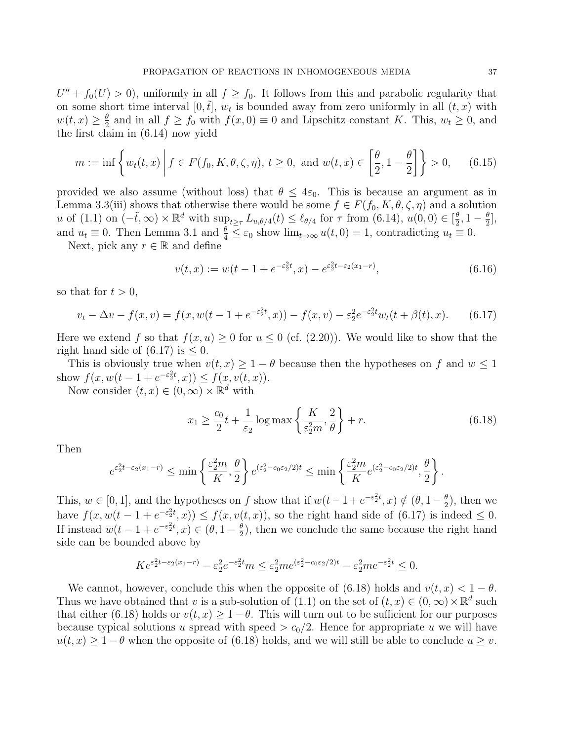$U'' + f_0(U) > 0$ , uniformly in all  $f \ge f_0$ . It follows from this and parabolic regularity that on some short time interval  $[0, \tilde{t}], w_t$  is bounded away from zero uniformly in all  $(t, x)$  with  $w(t,x) \geq \frac{\theta}{2}$  $\frac{\theta}{2}$  and in all  $f \ge f_0$  with  $f(x, 0) \equiv 0$  and Lipschitz constant K. This,  $w_t \ge 0$ , and the first claim in (6.14) now yield

$$
m := \inf \left\{ w_t(t, x) \middle| f \in F(f_0, K, \theta, \zeta, \eta), t \ge 0, \text{ and } w(t, x) \in \left[ \frac{\theta}{2}, 1 - \frac{\theta}{2} \right] \right\} > 0, \quad (6.15)
$$

provided we also assume (without loss) that  $\theta \leq 4\varepsilon_0$ . This is because an argument as in Lemma 3.3(iii) shows that otherwise there would be some  $f \in F(f_0, K, \theta, \zeta, \eta)$  and a solution u of (1.1) on  $(-\tilde{t}, \infty) \times \mathbb{R}^d$  with  $\sup_{t \geq \tau} L_{u, \theta/4}(t) \leq \ell_{\theta/4}$  for  $\tau$  from  $(6.14), u(0, 0) \in [\frac{\theta}{2}]$  $\frac{\theta}{2}$ , 1 –  $\frac{\theta}{2}$  $\frac{\theta}{2}$ , and  $u_t \equiv 0$ . Then Lemma 3.1 and  $\frac{\theta}{4} \leq \varepsilon_0$  show  $\lim_{t \to \infty} u(t, 0) = 1$ , contradicting  $u_t \equiv 0$ .

Next, pick any  $r \in \mathbb{R}$  and define

$$
v(t,x) := w(t - 1 + e^{-\varepsilon_2^2 t}, x) - e^{\varepsilon_2^2 t - \varepsilon_2 (x_1 - r)},
$$
\n(6.16)

so that for  $t > 0$ ,

$$
v_t - \Delta v - f(x, v) = f(x, w(t - 1 + e^{-\varepsilon_2^2 t}, x)) - f(x, v) - \varepsilon_2^2 e^{-\varepsilon_2^2 t} w_t(t + \beta(t), x).
$$
 (6.17)

Here we extend f so that  $f(x, u) \geq 0$  for  $u \leq 0$  (cf. (2.20)). We would like to show that the right hand side of  $(6.17)$  is  $\leq 0$ .

This is obviously true when  $v(t, x) \geq 1 - \theta$  because then the hypotheses on f and  $w \leq 1$ show  $f(x, w(t-1+e^{-\varepsilon_2^2t}, x)) \le f(x, v(t, x)).$ 

Now consider  $(t, x) \in (0, \infty) \times \mathbb{R}^d$  with

$$
x_1 \ge \frac{c_0}{2}t + \frac{1}{\varepsilon_2} \log \max \left\{ \frac{K}{\varepsilon_2^2 m}, \frac{2}{\theta} \right\} + r. \tag{6.18}
$$

Then

$$
e^{\varepsilon_2^2 t - \varepsilon_2 (x_1 - r)} \le \min \left\{ \frac{\varepsilon_2^2 m}{K}, \frac{\theta}{2} \right\} e^{(\varepsilon_2^2 - c_0 \varepsilon_2 / 2)t} \le \min \left\{ \frac{\varepsilon_2^2 m}{K} e^{(\varepsilon_2^2 - c_0 \varepsilon_2 / 2)t}, \frac{\theta}{2} \right\}.
$$

This,  $w \in [0, 1]$ , and the hypotheses on f show that if  $w(t-1+e^{-\epsilon_2^2t}, x) \notin (\theta, 1-\frac{\theta}{2})$  $(\frac{\theta}{2})$ , then we have  $f(x, w(t-1+e^{-\epsilon_2^2t}, x)) \le f(x, v(t, x))$ , so the right hand side of (6.17) is indeed  $\leq 0$ . If instead  $w(t-1+e^{-\epsilon_2^2t},x) \in (\theta,1-\frac{\theta}{2})$  $\frac{\theta}{2}$ , then we conclude the same because the right hand side can be bounded above by

$$
Ke^{\varepsilon_2^2 t - \varepsilon_2 (x_1 - r)} - \varepsilon_2^2 e^{-\varepsilon_2^2 t} m \le \varepsilon_2^2 m e^{(\varepsilon_2^2 - c_0 \varepsilon_2 / 2)t} - \varepsilon_2^2 m e^{-\varepsilon_2^2 t} \le 0.
$$

We cannot, however, conclude this when the opposite of (6.18) holds and  $v(t, x) < 1 - \theta$ . Thus we have obtained that v is a sub-solution of (1.1) on the set of  $(t, x) \in (0, \infty) \times \mathbb{R}^d$  such that either (6.18) holds or  $v(t, x) \geq 1 - \theta$ . This will turn out to be sufficient for our purposes because typical solutions u spread with speed  $>c_0/2$ . Hence for appropriate u we will have  $u(t, x) \geq 1 - \theta$  when the opposite of (6.18) holds, and we will still be able to conclude  $u \geq v$ .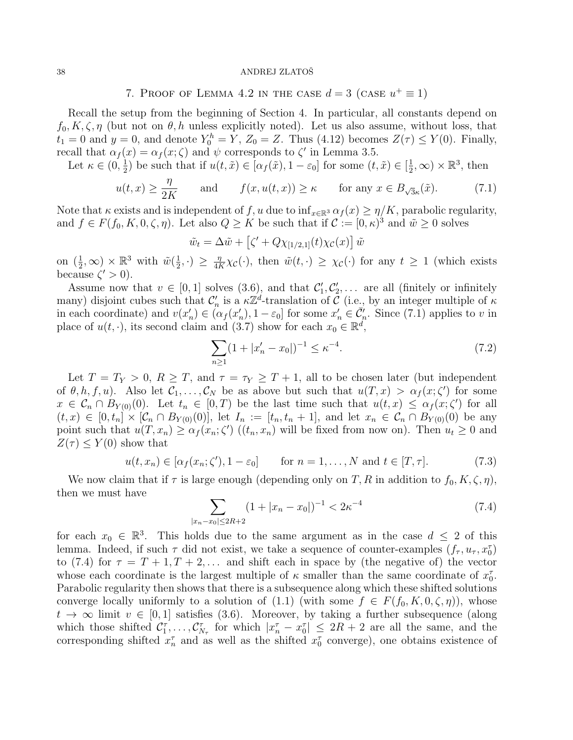7. PROOF OF LEMMA 4.2 IN THE CASE  $d=3$  (CASE  $u^+\equiv 1$ )

Recall the setup from the beginning of Section 4. In particular, all constants depend on  $f_0, K, \zeta, \eta$  (but not on  $\theta, h$  unless explicitly noted). Let us also assume, without loss, that  $t_1 = 0$  and  $y = 0$ , and denote  $Y_0^h = Y$ ,  $Z_0 = Z$ . Thus (4.12) becomes  $Z(\tau) \le Y(0)$ . Finally, recall that  $\alpha_f(x) = \alpha_f(x; \zeta)$  and  $\psi$  corresponds to  $\zeta'$  in Lemma 3.5.

Let  $\kappa \in (0, \frac{1}{2})$  $(\frac{1}{2})$  be such that if  $u(t, \tilde{x}) \in [\alpha_f(\tilde{x}), 1 - \varepsilon_0]$  for some  $(t, \tilde{x}) \in [\frac{1}{2}]$  $(\frac{1}{2}, \infty) \times \mathbb{R}^3$ , then

$$
u(t,x) \ge \frac{\eta}{2K}
$$
 and  $f(x, u(t,x)) \ge \kappa$  for any  $x \in B_{\sqrt{3}\kappa}(\tilde{x})$ . (7.1)

Note that  $\kappa$  exists and is independent of f, u due to  $\inf_{x \in \mathbb{R}^3} \alpha_f(x) \geq \eta/K$ , parabolic regularity, and  $f \in F(f_0, K, 0, \zeta, \eta)$ . Let also  $Q \geq K$  be such that if  $\mathcal{C} := [0, \kappa)^3$  and  $\tilde{w} \geq 0$  solves

$$
\tilde{w}_t = \Delta \tilde{w} + \left[ \zeta' + Q \chi_{[1/2,1]}(t) \chi_{\mathcal{C}}(x) \right] \tilde{w}
$$

on  $(\frac{1}{2}, \infty) \times \mathbb{R}^3$  with  $\tilde{w}(\frac{1}{2})$  $(\frac{1}{2}, \cdot) \geq \frac{\eta}{4P}$  $\frac{\eta}{4K}\chi_{\mathcal{C}}(\cdot)$ , then  $\tilde{w}(t,\cdot) \geq \chi_{\mathcal{C}}(\cdot)$  for any  $t \geq 1$  (which exists because  $\zeta' > 0$ ).

Assume now that  $v \in [0,1]$  solves  $(3.6)$ , and that  $\mathcal{C}'_1, \mathcal{C}'_2, \ldots$  are all (finitely or infinitely many) disjoint cubes such that  $\mathcal{C}'_n$  is a  $\kappa \mathbb{Z}^d$ -translation of  $\tilde{\mathcal{C}}$  (i.e., by an integer multiple of  $\kappa$ in each coordinate) and  $v(x'_n) \in ( \alpha_f(x'_n), 1 - \varepsilon_0 ]$  for some  $x'_n \in \overline{\mathcal{C}}'_n$ . Since (7.1) applies to v in place of  $u(t, \cdot)$ , its second claim and (3.7) show for each  $x_0 \in \mathbb{R}^d$ ,

$$
\sum_{n\geq 1} (1+|x'_n-x_0|)^{-1} \leq \kappa^{-4}.\tag{7.2}
$$

Let  $T = T_Y > 0$ ,  $R \geq T$ , and  $\tau = \tau_Y \geq T + 1$ , all to be chosen later (but independent of  $\theta$ , h, f, u). Also let  $\mathcal{C}_1,\ldots,\mathcal{C}_N$  be as above but such that  $u(T,x) > \alpha_f(x;\zeta')$  for some  $x \in \mathcal{C}_n \cap B_{Y(0)}(0)$ . Let  $t_n \in [0, T)$  be the last time such that  $u(t, x) \leq \alpha_f(x; \zeta')$  for all  $(t, x) \in [0, t_n] \times [\mathcal{C}_n \cap B_{Y(0)}(0)],$  let  $I_n := [t_n, t_n + 1]$ , and let  $x_n \in \mathcal{C}_n \cap B_{Y(0)}(0)$  be any point such that  $u(T, x_n) \geq \alpha_f(x_n; \zeta')$   $((t_n, x_n)$  will be fixed from now on). Then  $u_t \geq 0$  and  $Z(\tau) \leq Y(0)$  show that

$$
u(t, x_n) \in [\alpha_f(x_n; \zeta'), 1 - \varepsilon_0] \quad \text{for } n = 1, \dots, N \text{ and } t \in [T, \tau]. \tag{7.3}
$$

We now claim that if  $\tau$  is large enough (depending only on T, R in addition to  $f_0, K, \zeta, \eta$ ), then we must have

$$
\sum_{|x_n - x_0| \le 2R + 2} (1 + |x_n - x_0|)^{-1} < 2\kappa^{-4} \tag{7.4}
$$

for each  $x_0 \in \mathbb{R}^3$ . This holds due to the same argument as in the case  $d \leq 2$  of this lemma. Indeed, if such  $\tau$  did not exist, we take a sequence of counter-examples  $(f_{\tau}, u_{\tau}, x_0^{\tau})$ to (7.4) for  $\tau = T + 1, T + 2, \ldots$  and shift each in space by (the negative of) the vector whose each coordinate is the largest multiple of  $\kappa$  smaller than the same coordinate of  $x_0^{\tau}$ . Parabolic regularity then shows that there is a subsequence along which these shifted solutions converge locally uniformly to a solution of  $(1.1)$  (with some  $f \in F(f_0, K, 0, \zeta, \eta)$ ), whose  $t \to \infty$  limit  $v \in [0, 1]$  satisfies (3.6). Moreover, by taking a further subsequence (along which those shifted  $C_1^{\tau}, \ldots, C_{N_{\tau}}^{\tau}$  for which  $|x_n^{\tau} - x_0^{\tau}| \leq 2R + 2$  are all the same, and the corresponding shifted  $x_n^{\tau}$  and as well as the shifted  $x_0^{\tau}$  converge), one obtains existence of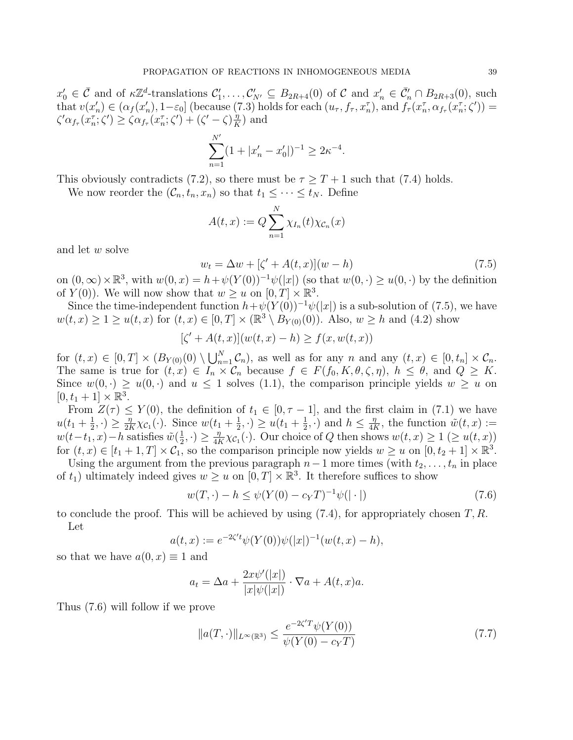$x'_0 \in \overline{\mathcal{C}}$  and of  $\kappa \mathbb{Z}^d$ -translations  $\mathcal{C}'_1, \ldots, \mathcal{C}'_{N'} \subseteq B_{2R+4}(0)$  of  $\mathcal{C}$  and  $x'_n \in \overline{\mathcal{C}}'_n \cap B_{2R+3}(0)$ , such that  $v(x'_n) \in (\alpha_f(x'_n), 1-\varepsilon_0]$  (because (7.3) holds for each  $(u_\tau, f_\tau, x_n^\tau)$ , and  $f_\tau(x_n^\tau, \alpha_{f_\tau}(x_n^\tau; \zeta)) =$  $\zeta'\alpha_{f_{\tau}}(x_n^{\tau};\zeta')\geq \zeta\alpha_{f_{\tau}}(x_n^{\tau};\zeta')+(\zeta'-\zeta)\frac{\eta}{K}$  $\frac{\eta}{K}$ ) and

$$
\sum_{n=1}^{N'} (1 + |x'_n - x'_0|)^{-1} \ge 2\kappa^{-4}
$$

This obviously contradicts (7.2), so there must be  $\tau \geq T + 1$  such that (7.4) holds.

We now reorder the  $(C_n, t_n, x_n)$  so that  $t_1 \leq \cdots \leq t_N$ . Define

$$
A(t,x) := Q \sum_{n=1}^{N} \chi_{I_n}(t) \chi_{\mathcal{C}_n}(x)
$$

and let w solve

$$
w_t = \Delta w + [\zeta' + A(t, x)](w - h)
$$
\n(7.5)

.

on  $(0, \infty) \times \mathbb{R}^3$ , with  $w(0, x) = h + \psi(Y(0))^{-1} \psi(|x|)$  (so that  $w(0, \cdot) \geq u(0, \cdot)$  by the definition of  $Y(0)$ ). We will now show that  $w \ge u$  on  $[0, T] \times \mathbb{R}^3$ .

Since the time-independent function  $h+\psi(Y(0))^{-1}\psi(|x|)$  is a sub-solution of (7.5), we have  $w(t, x) \geq 1 \geq u(t, x)$  for  $(t, x) \in [0, T] \times (\mathbb{R}^3 \setminus B_{Y(0)}(0))$ . Also,  $w \geq h$  and  $(4.2)$  show

$$
[\zeta' + A(t, x)](w(t, x) - h) \ge f(x, w(t, x))
$$

for  $(t, x) \in [0, T] \times (B_{Y(0)}(0) \setminus \bigcup_{n=1}^{N} C_n)$ , as well as for any n and any  $(t, x) \in [0, t_n] \times C_n$ . The same is true for  $(t, x) \in I_n \times C_n$  because  $f \in F(f_0, K, \theta, \zeta, \eta)$ ,  $h \leq \theta$ , and  $Q \geq K$ . Since  $w(0, \cdot) \geq u(0, \cdot)$  and  $u \leq 1$  solves (1.1), the comparison principle yields  $w \geq u$  on  $[0, t_1 + 1] \times \mathbb{R}^3$ .

From  $Z(\tau) \leq Y(0)$ , the definition of  $t_1 \in [0, \tau - 1]$ , and the first claim in (7.1) we have  $u(t_1 + \frac{1}{2})$  $(\frac{1}{2}, \cdot) \geq \frac{\eta}{2P}$  $\frac{\eta}{2K}\chi_{\mathcal{C}_1}(\cdot)$ . Since  $w(t_1+\frac{1}{2})$  $(\frac{1}{2}, \cdot) \geq u(t_1 + \frac{1}{2})$  $(\frac{1}{2}, \cdot)$  and  $h \leq \frac{\eta}{4}$  $\frac{\eta}{4K}$ , the function  $\tilde{w}(t,x) :=$  $w(t-t_1, x) - h$  satisfies  $\tilde{w}(\frac{1}{2})$  $(\frac{1}{2}, \cdot) \geq \frac{\eta}{4P}$  $\frac{\eta}{4K}\chi_{\mathcal{C}_1}(\cdot)$ . Our choice of Q then shows  $w(t,x) \geq 1 \ (\geq u(t,x))$ for  $(t, x) \in [t_1 + 1, T] \times C_1$ , so the comparison principle now yields  $w \ge u$  on  $[0, t_2 + 1] \times \mathbb{R}^3$ .

Using the argument from the previous paragraph  $n-1$  more times (with  $t_2, \ldots, t_n$  in place of  $t_1$ ) ultimately indeed gives  $w \geq u$  on  $[0, T] \times \mathbb{R}^3$ . It therefore suffices to show

$$
w(T, \cdot) - h \le \psi(Y(0) - c_Y T)^{-1} \psi(|\cdot|)
$$
\n(7.6)

to conclude the proof. This will be achieved by using  $(7.4)$ , for appropriately chosen  $T, R$ . Let

$$
a(t,x) := e^{-2\zeta' t} \psi(Y(0))\psi(|x|)^{-1}(w(t,x) - h),
$$

so that we have  $a(0, x) \equiv 1$  and

$$
a_t = \Delta a + \frac{2x\psi'(|x|)}{|x|\psi(|x|)} \cdot \nabla a + A(t, x)a.
$$

Thus (7.6) will follow if we prove

$$
||a(T, \cdot)||_{L^{\infty}(\mathbb{R}^3)} \le \frac{e^{-2\zeta' T} \psi(Y(0))}{\psi(Y(0) - c_Y T)}
$$
\n(7.7)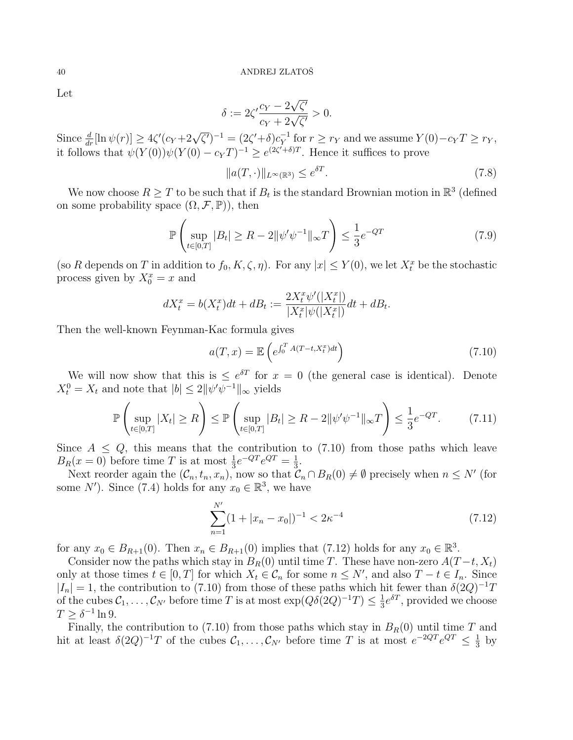Let

$$
\delta := 2\zeta' \frac{c_Y - 2\sqrt{\zeta'}}{c_Y + 2\sqrt{\zeta'}} > 0.
$$

Since  $\frac{d}{dr}[\ln \psi(r)] \ge 4\zeta'(c_Y + 2\sqrt{\zeta'})^{-1} = (2\zeta' + \delta)c_Y^{-1}$  $\overline{Y}_Y^{-1}$  for  $r \geq r_Y$  and we assume  $Y(0) - c_Y T \geq r_Y$ , it follows that  $\psi(Y(0))\psi(Y(0)-c_Y T)^{-1} \geq e^{(2\zeta'+\delta)T}$ . Hence it suffices to prove

$$
||a(T, \cdot)||_{L^{\infty}(\mathbb{R}^3)} \le e^{\delta T}.
$$
\n(7.8)

We now choose  $R \geq T$  to be such that if  $B_t$  is the standard Brownian motion in  $\mathbb{R}^3$  (defined on some probability space  $(\Omega, \mathcal{F}, \mathbb{P})$ , then

$$
\mathbb{P}\left(\sup_{t\in[0,T]}|B_t| \ge R - 2\|\psi'\psi^{-1}\|_{\infty}T\right) \le \frac{1}{3}e^{-QT} \tag{7.9}
$$

(so R depends on T in addition to  $f_0, K, \zeta, \eta$ ). For any  $|x| \leq Y(0)$ , we let  $X_t^x$  be the stochastic process given by  $X_0^x = x$  and

$$
dX_t^x = b(X_t^x)dt + dB_t := \frac{2X_t^x \psi'(|X_t^x|)}{|X_t^x|\psi(|X_t^x|)}dt + dB_t.
$$

Then the well-known Feynman-Kac formula gives

$$
a(T, x) = \mathbb{E}\left(e^{\int_0^T A(T - t, X_t^x)dt}\right)
$$
\n(7.10)

We will now show that this is  $\leq e^{\delta T}$  for  $x = 0$  (the general case is identical). Denote  $X_t^0 = X_t$  and note that  $|b| \leq 2 ||\psi'\psi^{-1}||_{\infty}$  yields

$$
\mathbb{P}\left(\sup_{t\in[0,T]} |X_t| \ge R\right) \le \mathbb{P}\left(\sup_{t\in[0,T]} |B_t| \ge R - 2\|\psi'\psi^{-1}\|_{\infty}T\right) \le \frac{1}{3}e^{-QT}.\tag{7.11}
$$

Since  $A \leq Q$ , this means that the contribution to (7.10) from those paths which leave  $B_R(x=0)$  before time T is at most  $\frac{1}{3}e^{-QT}e^{QT} = \frac{1}{3}$  $\frac{1}{3}$ .

Next reorder again the  $(C_n, t_n, x_n)$ , now so that  $C_n \cap B_R(0) \neq \emptyset$  precisely when  $n \leq N'$  (for some N'). Since (7.4) holds for any  $x_0 \in \mathbb{R}^3$ , we have

$$
\sum_{n=1}^{N'} (1+|x_n - x_0|)^{-1} < 2\kappa^{-4} \tag{7.12}
$$

for any  $x_0 \in B_{R+1}(0)$ . Then  $x_n \in B_{R+1}(0)$  implies that  $(7.12)$  holds for any  $x_0 \in \mathbb{R}^3$ .

Consider now the paths which stay in  $B_R(0)$  until time T. These have non-zero  $A(T-t, X_t)$ only at those times  $t \in [0, T]$  for which  $X_t \in \mathcal{C}_n$  for some  $n \leq N'$ , and also  $T - t \in I_n$ . Since  $|I_n| = 1$ , the contribution to (7.10) from those of these paths which hit fewer than  $\delta(2Q)^{-1}T$ of the cubes  $\mathcal{C}_1, \ldots, \mathcal{C}_{N'}$  before time T is at most  $\exp(Q\delta(2Q)^{-1}T) \leq \frac{1}{3}$  $\frac{1}{3}e^{\delta T}$ , provided we choose  $T \geq \delta^{-1} \ln 9.$ 

Finally, the contribution to (7.10) from those paths which stay in  $B_R(0)$  until time T and hit at least  $\delta(2Q)^{-1}T$  of the cubes  $\mathcal{C}_1,\ldots,\mathcal{C}_{N'}$  before time T is at most  $e^{-2QT}e^{QT} \leq \frac{1}{3}$  $rac{1}{3}$  by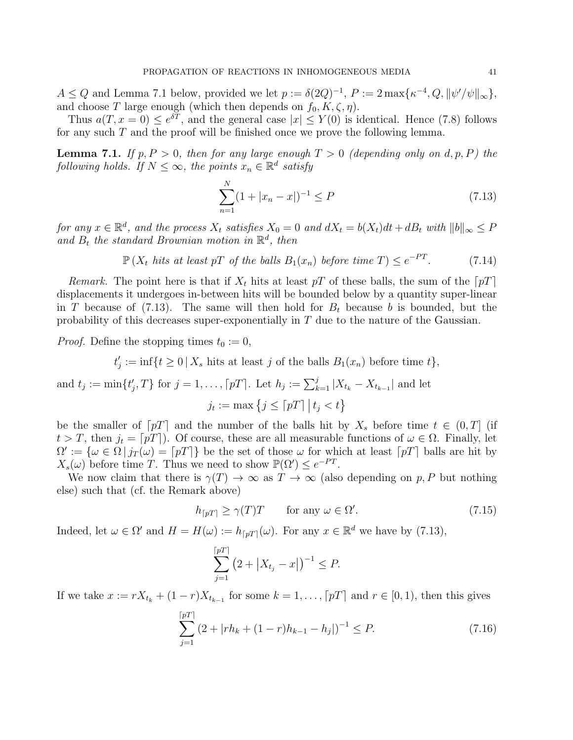$A \leq Q$  and Lemma 7.1 below, provided we let  $p := \delta(2Q)^{-1}$ ,  $P := 2 \max{\{\kappa^{-4}, Q, ||\psi'/\psi||_{\infty}\}},$ and choose T large enough (which then depends on  $f_0, K, \zeta, \eta$ ).

Thus  $a(T, x = 0) \le e^{\delta T}$ , and the general case  $|x| \le Y(0)$  is identical. Hence (7.8) follows for any such  $T$  and the proof will be finished once we prove the following lemma.

**Lemma 7.1.** If  $p, P > 0$ , then for any large enough  $T > 0$  (depending only on d, p, P) the following holds. If  $N \leq \infty$ , the points  $x_n \in \mathbb{R}^d$  satisfy

$$
\sum_{n=1}^{N} (1 + |x_n - x|)^{-1} \le P \tag{7.13}
$$

for any  $x \in \mathbb{R}^d$ , and the process  $X_t$  satisfies  $X_0 = 0$  and  $dX_t = b(X_t)dt + dB_t$  with  $||b||_{\infty} \leq P$ and  $B_t$  the standard Brownian motion in  $\mathbb{R}^d$ , then

$$
\mathbb{P}\left(X_t \text{ hits at least } pT \text{ of the balls } B_1(x_n) \text{ before time } T\right) \le e^{-PT}.\tag{7.14}
$$

Remark. The point here is that if  $X_t$  hits at least pT of these balls, the sum of the  $[pT]$ displacements it undergoes in-between hits will be bounded below by a quantity super-linear in T because of  $(7.13)$ . The same will then hold for  $B_t$  because b is bounded, but the probability of this decreases super-exponentially in T due to the nature of the Gaussian.

*Proof.* Define the stopping times  $t_0 := 0$ ,

$$
t'_j := \inf\{t \ge 0 \mid X_s \text{ hits at least } j \text{ of the balls } B_1(x_n) \text{ before time } t\},\
$$

and 
$$
t_j := \min\{t'_j, T\}
$$
 for  $j = 1, ..., [pT]$ . Let  $h_j := \sum_{k=1}^j |X_{t_k} - X_{t_{k-1}}|$  and let  
 $j_t := \max\{j \leq \lceil pT \rceil | t_j < t\}$ 

be the smaller of  $\lceil pT \rceil$  and the number of the balls hit by  $X_s$  before time  $t \in (0, T]$  (if  $t > T$ , then  $j_t = [pT]$ . Of course, these are all measurable functions of  $\omega \in \Omega$ . Finally, let  $\Omega' := {\omega \in \Omega | j_T(\omega) = [p] }$  be the set of those  $\omega$  for which at least  $[p]$  balls are hit by  $X_s(\omega)$  before time T. Thus we need to show  $\mathbb{P}(\Omega') \leq e^{-PT}$ .

We now claim that there is  $\gamma(T) \to \infty$  as  $T \to \infty$  (also depending on p, P but nothing else) such that (cf. the Remark above)

$$
h_{\lceil pT \rceil} \ge \gamma(T)T \qquad \text{for any } \omega \in \Omega'. \tag{7.15}
$$

Indeed, let  $\omega \in \Omega'$  and  $H = H(\omega) := h_{\lceil pT \rceil}(\omega)$ . For any  $x \in \mathbb{R}^d$  we have by (7.13),

$$
\sum_{j=1}^{\lceil pT \rceil} \left( 2 + \left| X_{t_j} - x \right| \right)^{-1} \le P.
$$

If we take  $x := rX_{t_k} + (1 - r)X_{t_{k-1}}$  for some  $k = 1, \ldots, \lceil pT \rceil$  and  $r \in [0, 1)$ , then this gives

$$
\sum_{j=1}^{\lceil pT \rceil} (2 + |rh_k + (1 - r)h_{k-1} - h_j|)^{-1} \le P.
$$
 (7.16)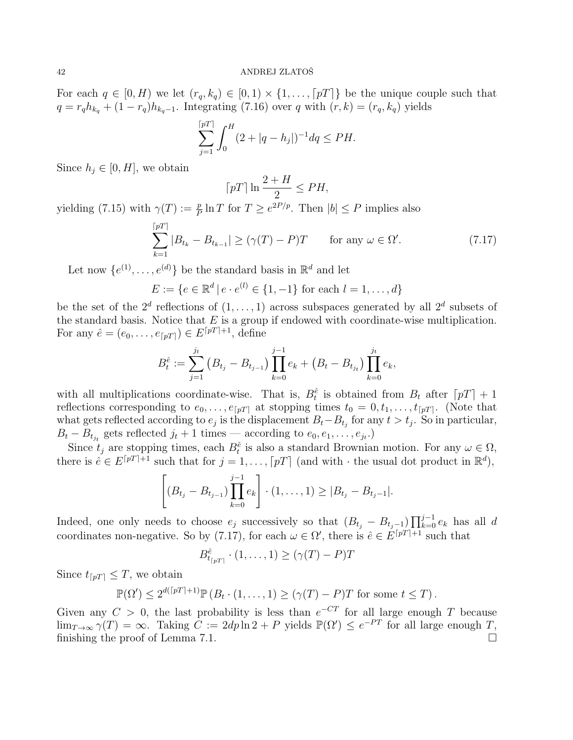For each  $q \in [0, H)$  we let  $(r_q, k_q) \in [0, 1) \times \{1, \ldots, [p] \}$  be the unique couple such that  $q = r_q h_{k_q} + (1 - r_q) h_{k_q-1}$ . Integrating (7.16) over q with  $(r, k) = (r_q, k_q)$  yields

$$
\sum_{j=1}^{\lceil pT \rceil} \int_0^H (2 + |q - h_j|)^{-1} dq \le PH.
$$

Since  $h_j \in [0, H]$ , we obtain

$$
\lceil pT \rceil \ln \frac{2+H}{2} \leq PH,
$$

yielding (7.15) with  $\gamma(T) := \frac{p}{P} \ln T$  for  $T \ge e^{2P/p}$ . Then  $|b| \le P$  implies also

$$
\sum_{k=1}^{\lceil pT \rceil} |B_{t_k} - B_{t_{k-1}}| \ge (\gamma(T) - P)T \quad \text{for any } \omega \in \Omega'. \tag{7.17}
$$

Let now  $\{e^{(1)}, \ldots, e^{(d)}\}$  be the standard basis in  $\mathbb{R}^d$  and let

$$
E := \{ e \in \mathbb{R}^d \mid e \cdot e^{(l)} \in \{1, -1\} \text{ for each } l = 1, ..., d \}
$$

be the set of the  $2^d$  reflections of  $(1,\ldots,1)$  across subspaces generated by all  $2^d$  subsets of the standard basis. Notice that  $E$  is a group if endowed with coordinate-wise multiplication. For any  $\hat{e} = (e_0, \ldots, e_{\lceil pT \rceil}) \in E^{\lceil pT \rceil + 1}$ , define

$$
B_t^{\hat{e}} := \sum_{j=1}^{j_t} (B_{t_j} - B_{t_{j-1}}) \prod_{k=0}^{j-1} e_k + (B_t - B_{t_{j_t}}) \prod_{k=0}^{j_t} e_k,
$$

with all multiplications coordinate-wise. That is,  $B_t^{\hat{e}}$  is obtained from  $B_t$  after  $\lceil pT \rceil + 1$ reflections corresponding to  $e_0, \ldots, e_{\lceil pT \rceil}$  at stopping times  $t_0 = 0, t_1, \ldots, t_{\lceil pT \rceil}$ . (Note that what gets reflected according to  $e_j$  is the displacement  $B_t - B_{t_j}$  for any  $t > t_j$ . So in particular,  $B_t - B_{t_{j_t}}$  gets reflected  $j_t + 1$  times — according to  $e_0, e_1, \ldots, e_{j_t}$ .

Since  $t_j$  are stopping times, each  $B_t^{\hat{e}}$  is also a standard Brownian motion. For any  $\omega \in \Omega$ , there is  $\hat{e} \in E^{[pT]+1}$  such that for  $j = 1, \ldots, [pT]$  (and with  $\cdot$  the usual dot product in  $\mathbb{R}^d$ ),

$$
\left[ (B_{t_j} - B_{t_{j-1}}) \prod_{k=0}^{j-1} e_k \right] \cdot (1, \ldots, 1) \ge |B_{t_j} - B_{t_j-1}|.
$$

Indeed, one only needs to choose  $e_j$  successively so that  $(B_{t_j} - B_{t_j-1}) \prod_{k=0}^{j-1} e_k$  has all d coordinates non-negative. So by (7.17), for each  $\omega \in \Omega'$ , there is  $\hat{e} \in E^{[pT]+1}$  such that

$$
B_{t_{\lceil pT\rceil}}^{\hat{e}} \cdot (1, \dots, 1) \ge (\gamma(T) - P)T
$$

Since  $t_{\lceil pT \rceil} \leq T$ , we obtain

$$
\mathbb{P}(\Omega') \le 2^{d(\lceil pT \rceil + 1)} \mathbb{P}(B_t \cdot (1, \dots, 1) \ge (\gamma(T) - P)T \text{ for some } t \le T).
$$

Given any  $C > 0$ , the last probability is less than  $e^{-CT}$  for all large enough T because  $\lim_{T\to\infty} \gamma(T) = \infty$ . Taking  $C := 2dp \ln 2 + P$  yields  $\mathbb{P}(\Omega') \leq e^{-PT}$  for all large enough T, finishing the proof of Lemma 7.1.  $\Box$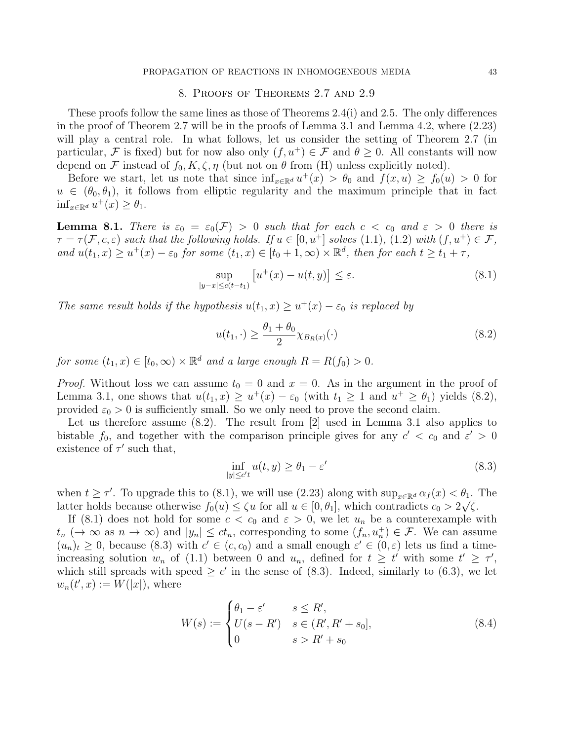## 8. Proofs of Theorems 2.7 and 2.9

These proofs follow the same lines as those of Theorems 2.4(i) and 2.5. The only differences in the proof of Theorem 2.7 will be in the proofs of Lemma 3.1 and Lemma 4.2, where (2.23) will play a central role. In what follows, let us consider the setting of Theorem 2.7 (in particular, F is fixed) but for now also only  $(f, u^+) \in \mathcal{F}$  and  $\theta \geq 0$ . All constants will now depend on F instead of  $f_0, K, \zeta, \eta$  (but not on  $\theta$  from (H) unless explicitly noted).

Before we start, let us note that since  $\inf_{x \in \mathbb{R}^d} u^+(x) > \theta_0$  and  $f(x, u) \ge f_0(u) > 0$  for  $u \in (\theta_0, \theta_1)$ , it follows from elliptic regularity and the maximum principle that in fact  $\inf_{x \in \mathbb{R}^d} u^+(x) \geq \theta_1.$ 

**Lemma 8.1.** There is  $\varepsilon_0 = \varepsilon_0(\mathcal{F}) > 0$  such that for each  $c < c_0$  and  $\varepsilon > 0$  there is  $\tau = \tau(\mathcal{F}, c, \varepsilon)$  such that the following holds. If  $u \in [0, u^+]$  solves (1.1), (1.2) with  $(f, u^+) \in \mathcal{F}$ , and  $u(t_1, x) \ge u^+(x) - \varepsilon_0$  for some  $(t_1, x) \in [t_0 + 1, \infty) \times \mathbb{R}^d$ , then for each  $t \ge t_1 + \tau$ ,

$$
\sup_{|y-x| \le c(t-t_1)} \left[ u^+(x) - u(t,y) \right] \le \varepsilon. \tag{8.1}
$$

The same result holds if the hypothesis  $u(t_1, x) \ge u^+(x) - \varepsilon_0$  is replaced by

$$
u(t_1, \cdot) \ge \frac{\theta_1 + \theta_0}{2} \chi_{B_R(x)}(\cdot)
$$
\n(8.2)

for some  $(t_1, x) \in [t_0, \infty) \times \mathbb{R}^d$  and a large enough  $R = R(f_0) > 0$ .

*Proof.* Without loss we can assume  $t_0 = 0$  and  $x = 0$ . As in the argument in the proof of Lemma 3.1, one shows that  $u(t_1, x) \ge u^+(x) - \varepsilon_0$  (with  $t_1 \ge 1$  and  $u^+ \ge \theta_1$ ) yields (8.2), provided  $\varepsilon_0 > 0$  is sufficiently small. So we only need to prove the second claim.

Let us therefore assume (8.2). The result from [2] used in Lemma 3.1 also applies to bistable  $f_0$ , and together with the comparison principle gives for any  $c' < c_0$  and  $\varepsilon' > 0$ existence of  $\tau'$  such that,

$$
\inf_{|y| \le c't} u(t, y) \ge \theta_1 - \varepsilon'
$$
\n(8.3)

when  $t \geq \tau'$ . To upgrade this to  $(8.1)$ , we will use  $(2.23)$  along with  $\sup_{x \in \mathbb{R}^d} \alpha_f(x) < \theta_1$ . The latter holds because otherwise  $f_0(u) \le \zeta u$  for all  $u \in [0, \theta_1]$ , which contradicts  $c_0 > 2\sqrt{\zeta}$ .

If (8.1) does not hold for some  $c < c_0$  and  $\varepsilon > 0$ , we let  $u_n$  be a counterexample with  $t_n \; (\to \infty \text{ as } n \to \infty)$  and  $|y_n| \le ct_n$ , corresponding to some  $(f_n, u_n^+) \in \mathcal{F}$ . We can assume  $(u_n)_t \geq 0$ , because (8.3) with  $c' \in (c, c_0)$  and a small enough  $\varepsilon' \in (0, \varepsilon)$  lets us find a timeincreasing solution  $w_n$  of (1.1) between 0 and  $u_n$ , defined for  $t \geq t'$  with some  $t' \geq \tau'$ , which still spreads with speed  $\geq c'$  in the sense of (8.3). Indeed, similarly to (6.3), we let  $w_n(t',x) := W(|x|)$ , where

$$
W(s) := \begin{cases} \theta_1 - \varepsilon' & s \le R', \\ U(s - R') & s \in (R', R' + s_0], \\ 0 & s > R' + s_0 \end{cases}
$$
 (8.4)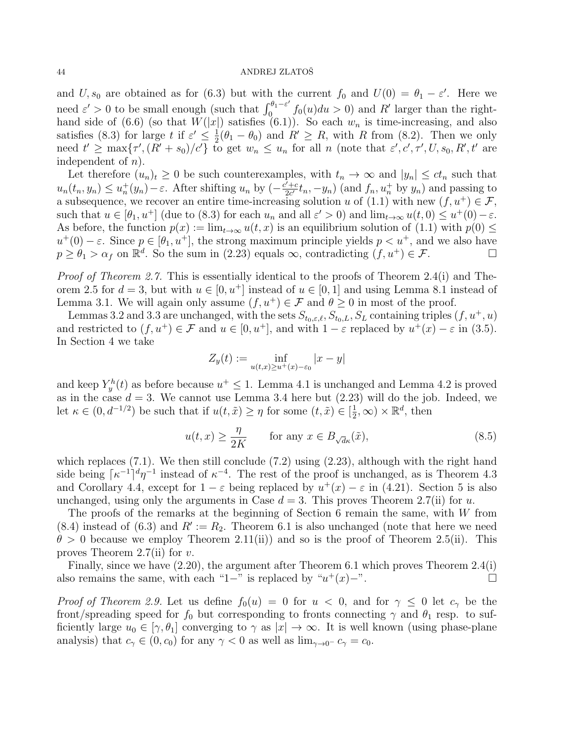and U,  $s_0$  are obtained as for (6.3) but with the current  $f_0$  and  $U(0) = \theta_1 - \varepsilon'$ . Here we need  $\varepsilon' > 0$  to be small enough (such that  $\int_0^{\theta_1 - \varepsilon'}$  $\int_0^{\theta_1-\varepsilon'} f_0(u)du > 0$  and R' larger than the righthand side of (6.6) (so that  $W(|x|)$  satisfies (6.1)). So each  $w_n$  is time-increasing, and also satisfies (8.3) for large t if  $\varepsilon' \leq \frac{1}{2}$  $\frac{1}{2}(\theta_1 - \theta_0)$  and  $R' \ge R$ , with R from (8.2). Then we only need  $t' \ge \max\{\tau', (R' + s_0)/c'\}$  to get  $w_n \le u_n$  for all n (note that  $\varepsilon', c', \tau', U, s_0, R', t'$  are independent of  $n$ ).

Let therefore  $(u_n)_t \geq 0$  be such counterexamples, with  $t_n \to \infty$  and  $|y_n| \leq ct_n$  such that  $u_n(t_n, y_n) \le u_n^+(y_n) - \varepsilon$ . After shifting  $u_n$  by  $\left(-\frac{c' + c}{2c'}\right)$  $\frac{y'+c}{2c'}t_n, -y_n)$  (and  $f_n, u_n^+$  by  $y_n$ ) and passing to a subsequence, we recover an entire time-increasing solution u of (1.1) with new  $(f, u^+) \in \mathcal{F}$ , such that  $u \in [\theta_1, u^+]$  (due to (8.3) for each  $u_n$  and all  $\varepsilon' > 0$ ) and  $\lim_{t \to \infty} u(t, 0) \le u^+(0) - \varepsilon$ . As before, the function  $p(x) := \lim_{t\to\infty} u(t, x)$  is an equilibrium solution of (1.1) with  $p(0) \le$  $u^+(0) - \varepsilon$ . Since  $p \in [\theta_1, u^+]$ , the strong maximum principle yields  $p < u^+$ , and we also have  $p \ge \theta_1 > \alpha_f$  on  $\mathbb{R}^d$ . So the sum in (2.23) equals  $\infty$ , contradicting  $(f, u^+) \in \mathcal{F}$ .

Proof of Theorem 2.7. This is essentially identical to the proofs of Theorem 2.4(i) and Theorem 2.5 for  $d = 3$ , but with  $u \in [0, u^+]$  instead of  $u \in [0, 1]$  and using Lemma 8.1 instead of Lemma 3.1. We will again only assume  $(f, u^+) \in \mathcal{F}$  and  $\theta \geq 0$  in most of the proof.

Lemmas 3.2 and 3.3 are unchanged, with the sets  $S_{t_0,\varepsilon,\ell}, S_{t_0,L}, S_L$  containing triples  $(f, u^+, u)$ and restricted to  $(f, u^+) \in \mathcal{F}$  and  $u \in [0, u^+]$ , and with  $1 - \varepsilon$  replaced by  $u^+(x) - \varepsilon$  in (3.5). In Section 4 we take

$$
Z_y(t) := \inf_{u(t,x)\geq u^+(x)-\varepsilon_0} |x-y|
$$

and keep  $Y_y^h(t)$  as before because  $u^+ \leq 1$ . Lemma 4.1 is unchanged and Lemma 4.2 is proved as in the case  $d = 3$ . We cannot use Lemma 3.4 here but  $(2.23)$  will do the job. Indeed, we let  $\kappa \in (0, d^{-1/2})$  be such that if  $u(t, \tilde{x}) \geq \eta$  for some  $(t, \tilde{x}) \in [\frac{1}{2}]$  $(\frac{1}{2}, \infty) \times \mathbb{R}^d$ , then

$$
u(t,x) \ge \frac{\eta}{2K} \qquad \text{for any } x \in B_{\sqrt{d}\kappa}(\tilde{x}), \tag{8.5}
$$

which replaces  $(7.1)$ . We then still conclude  $(7.2)$  using  $(2.23)$ , although with the right hand side being  $\lceil \kappa^{-1} \rceil^d \eta^{-1}$  instead of  $\kappa^{-4}$ . The rest of the proof is unchanged, as is Theorem 4.3 and Corollary 4.4, except for  $1 - \varepsilon$  being replaced by  $u^+(x) - \varepsilon$  in (4.21). Section 5 is also unchanged, using only the arguments in Case  $d = 3$ . This proves Theorem 2.7(ii) for u.

The proofs of the remarks at the beginning of Section 6 remain the same, with W from  $(8.4)$  instead of  $(6.3)$  and  $R' := R_2$ . Theorem 6.1 is also unchanged (note that here we need  $\theta > 0$  because we employ Theorem 2.11(ii)) and so is the proof of Theorem 2.5(ii). This proves Theorem 2.7(ii) for  $v$ .

Finally, since we have (2.20), the argument after Theorem 6.1 which proves Theorem 2.4(i) also remains the same, with each "1−" is replaced by " $u^+(x)$ −".

*Proof of Theorem 2.9.* Let us define  $f_0(u) = 0$  for  $u < 0$ , and for  $\gamma \leq 0$  let  $c_{\gamma}$  be the front/spreading speed for  $f_0$  but corresponding to fronts connecting  $\gamma$  and  $\theta_1$  resp. to sufficiently large  $u_0 \in [\gamma, \theta_1]$  converging to  $\gamma$  as  $|x| \to \infty$ . It is well known (using phase-plane analysis) that  $c_{\gamma} \in (0, c_0)$  for any  $\gamma < 0$  as well as  $\lim_{\gamma \to 0^-} c_{\gamma} = c_0$ .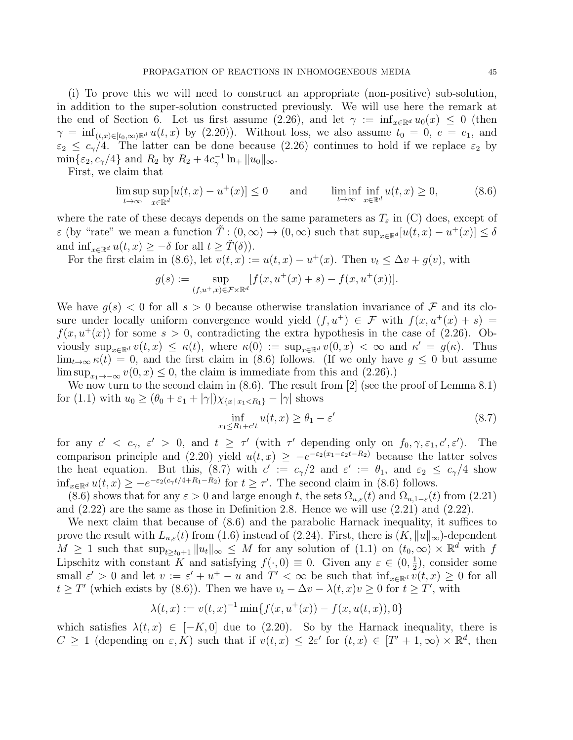(i) To prove this we will need to construct an appropriate (non-positive) sub-solution, in addition to the super-solution constructed previously. We will use here the remark at the end of Section 6. Let us first assume (2.26), and let  $\gamma := \inf_{x \in \mathbb{R}^d} u_0(x) \leq 0$  (then  $\gamma = \inf_{(t,x)\in[t_0,\infty)}\mathbb{R}^d u(t,x)$  by (2.20)). Without loss, we also assume  $t_0 = 0, e = e_1$ , and  $\varepsilon_2 \leq c_\gamma/4$ . The latter can be done because (2.26) continues to hold if we replace  $\varepsilon_2$  by  $\min\{\varepsilon_2, c_\gamma/4\}$  and  $R_2$  by  $R_2 + 4c_\gamma^{-1} \ln_+ ||u_0||_\infty$ .

First, we claim that

$$
\limsup_{t \to \infty} \sup_{x \in \mathbb{R}^d} [u(t, x) - u^+(x)] \le 0 \quad \text{and} \quad \liminf_{t \to \infty} \inf_{x \in \mathbb{R}^d} u(t, x) \ge 0,
$$
\n(8.6)

where the rate of these decays depends on the same parameters as  $T_{\varepsilon}$  in (C) does, except of  $\varepsilon$  (by "rate" we mean a function  $\tilde{T}: (0, \infty) \to (0, \infty)$  such that  $\sup_{x \in \mathbb{R}^d} [u(t,x) - u^+(x)] \leq \delta$ and  $\inf_{x \in \mathbb{R}^d} u(t, x) \geq -\delta$  for all  $t \geq \tilde{T}(\delta)$ ).

For the first claim in (8.6), let  $v(t, x) := u(t, x) - u^+(x)$ . Then  $v_t \leq \Delta v + g(v)$ , with

$$
g(s) := \sup_{(f, u^+, x) \in \mathcal{F} \times \mathbb{R}^d} [f(x, u^+(x) + s) - f(x, u^+(x))].
$$

We have  $q(s) < 0$  for all  $s > 0$  because otherwise translation invariance of F and its closure under locally uniform convergence would yield  $(f, u^+) \in \mathcal{F}$  with  $f(x, u^+(x) + s) =$  $f(x, u^+(x))$  for some  $s > 0$ , contradicting the extra hypothesis in the case of (2.26). Obviously  $\sup_{x \in \mathbb{R}^d} v(t,x) \leq \kappa(t)$ , where  $\kappa(0) := \sup_{x \in \mathbb{R}^d} v(0,x) < \infty$  and  $\kappa' = g(\kappa)$ . Thus  $\lim_{t\to\infty} \kappa(t) = 0$ , and the first claim in (8.6) follows. (If we only have  $g \leq 0$  but assume  $\limsup_{x_1 \to -\infty} v(0, x) \leq 0$ , the claim is immediate from this and (2.26).)

We now turn to the second claim in  $(8.6)$ . The result from [2] (see the proof of Lemma 8.1) for (1.1) with  $u_0 \ge (\theta_0 + \varepsilon_1 + |\gamma|) \chi_{\{x \mid x_1 < R_1\}} - |\gamma|$  shows

$$
\inf_{x_1 \le R_1 + c't} u(t, x) \ge \theta_1 - \varepsilon'
$$
\n(8.7)

for any  $c' < c_{\gamma}$ ,  $\varepsilon' > 0$ , and  $t \geq \tau'$  (with  $\tau'$  depending only on  $f_0, \gamma, \varepsilon_1, c', \varepsilon'$ ). The comparison principle and (2.20) yield  $u(t,x) \geq -e^{-\epsilon_2(x_1-\epsilon_2t-R_2)}$  because the latter solves the heat equation. But this, (8.7) with  $c' := c_{\gamma}/2$  and  $\varepsilon' := \theta_1$ , and  $\varepsilon_2 \leq c_{\gamma}/4$  show  $\inf_{x \in \mathbb{R}^d} u(t,x) \geq -e^{-\varepsilon_2(c_\gamma t/4 + R_1 - R_2)}$  for  $t \geq \tau'$ . The second claim in (8.6) follows.

(8.6) shows that for any  $\varepsilon > 0$  and large enough t, the sets  $\Omega_{u,\varepsilon}(t)$  and  $\Omega_{u,1-\varepsilon}(t)$  from (2.21) and (2.22) are the same as those in Definition 2.8. Hence we will use (2.21) and (2.22).

We next claim that because of  $(8.6)$  and the parabolic Harnack inequality, it suffices to prove the result with  $L_{u,\varepsilon}(t)$  from (1.6) instead of (2.24). First, there is  $(K, \|u\|_{\infty})$ -dependent  $M \geq 1$  such that  $\sup_{t \geq t_0+1} ||u_t||_{\infty} \leq M$  for any solution of  $(1.1)$  on  $(t_0, \infty) \times \mathbb{R}^d$  with f Lipschitz with constant K and satisfying  $f(\cdot,0) \equiv 0$ . Given any  $\varepsilon \in (0, \frac{1}{2})$  $(\frac{1}{2})$ , consider some small  $\varepsilon' > 0$  and let  $v := \varepsilon' + u^+ - u$  and  $T' < \infty$  be such that  $\inf_{x \in \mathbb{R}^d} v(t, x) \geq 0$  for all  $t \geq T'$  (which exists by (8.6)). Then we have  $v_t - \Delta v - \lambda(t, x)v \geq 0$  for  $t \geq T'$ , with

$$
\lambda(t, x) := v(t, x)^{-1} \min\{f(x, u^+(x)) - f(x, u(t, x)), 0\}
$$

which satisfies  $\lambda(t, x) \in [-K, 0]$  due to (2.20). So by the Harnack inequality, there is  $C \geq 1$  (depending on  $\varepsilon, K$ ) such that if  $v(t,x) \leq 2\varepsilon'$  for  $(t,x) \in [T'+1,\infty) \times \mathbb{R}^d$ , then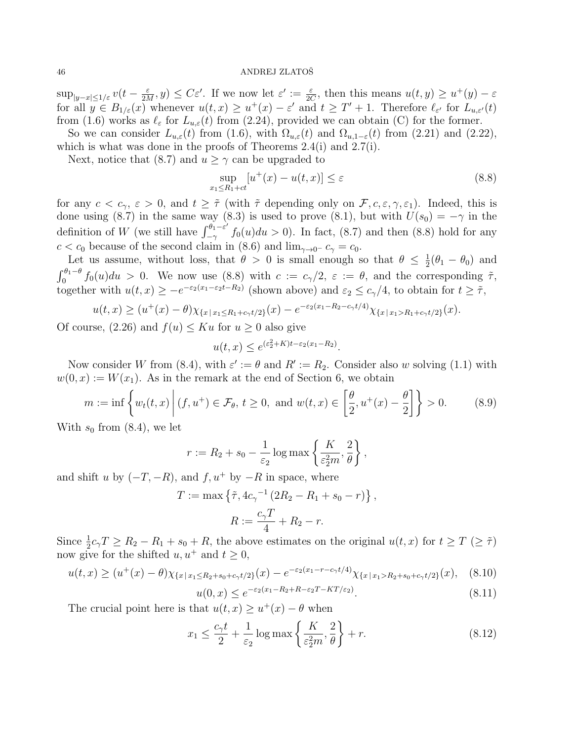$\sup_{|y-x|\leq 1/\varepsilon}v(t-\frac{\varepsilon}{2\Lambda})$  $\frac{\varepsilon}{2M}, y) \leq C\varepsilon'.$  If we now let  $\varepsilon' := \frac{\varepsilon}{2C}$ , then this means  $u(t, y) \geq u^+(y) - \varepsilon$ for all  $y \in B_{1/\varepsilon}(x)$  whenever  $u(t,x) \geq u^+(x) - \varepsilon'$  and  $t \geq T' + 1$ . Therefore  $\ell_{\varepsilon'}$  for  $L_{u,\varepsilon'}(t)$ from (1.6) works as  $\ell_{\varepsilon}$  for  $L_{u,\varepsilon}(t)$  from (2.24), provided we can obtain (C) for the former.

So we can consider  $L_{u,\varepsilon}(t)$  from (1.6), with  $\Omega_{u,\varepsilon}(t)$  and  $\Omega_{u,1-\varepsilon}(t)$  from (2.21) and (2.22), which is what was done in the proofs of Theorems 2.4(i) and 2.7(i).

Next, notice that (8.7) and  $u > \gamma$  can be upgraded to

$$
\sup_{x_1 \le R_1 + ct} [u^+(x) - u(t, x)] \le \varepsilon \tag{8.8}
$$

for any  $c < c_{\gamma}, \varepsilon > 0$ , and  $t \geq \tilde{\tau}$  (with  $\tilde{\tau}$  depending only on  $\mathcal{F}, c, \varepsilon, \gamma, \varepsilon_1$ ). Indeed, this is done using (8.7) in the same way (8.3) is used to prove (8.1), but with  $U(s_0) = -\gamma$  in the definition of W (we still have  $\int_{-\infty}^{\theta_1-\varepsilon'}$  $\int_{-\gamma}^{\sigma_1-\varepsilon} f_0(u)du > 0$ . In fact, (8.7) and then (8.8) hold for any  $c < c_0$  because of the second claim in (8.6) and  $\lim_{\gamma \to 0^-} c_{\gamma} = c_0$ .

Let us assume, without loss, that  $\theta > 0$  is small enough so that  $\theta \leq \frac{1}{2}$  $\frac{1}{2}(\theta_1 - \theta_0)$  and  $\int_0^{\theta_1-\theta} f_0(u)du > 0$ . We now use (8.8) with  $c := c_\gamma/2$ ,  $\varepsilon := \theta$ , and the corresponding  $\tilde{\tau}$ , together with  $u(t, x) \geq -e^{-\varepsilon_2(x_1-\varepsilon_2t-R_2)}$  (shown above) and  $\varepsilon_2 \leq c_\gamma/4$ , to obtain for  $t \geq \tilde{\tau}$ ,

$$
u(t,x) \ge (u^+(x) - \theta) \chi_{\{x \mid x_1 \le R_1 + c_\gamma t/2\}}(x) - e^{-\varepsilon_2 (x_1 - R_2 - c_\gamma t/4)} \chi_{\{x \mid x_1 > R_1 + c_\gamma t/2\}}(x).
$$

Of course,  $(2.26)$  and  $f(u) \leq Ku$  for  $u \geq 0$  also give

$$
u(t,x) \le e^{(\varepsilon_2^2 + K)t - \varepsilon_2 (x_1 - R_2)}.
$$

Now consider W from (8.4), with  $\varepsilon' := \theta$  and  $R' := R_2$ . Consider also w solving (1.1) with  $w(0, x) := W(x_1)$ . As in the remark at the end of Section 6, we obtain

$$
m := \inf \left\{ w_t(t, x) \middle| (f, u^+) \in \mathcal{F}_\theta, t \ge 0, \text{ and } w(t, x) \in \left[\frac{\theta}{2}, u^+(x) - \frac{\theta}{2}\right] \right\} > 0. \tag{8.9}
$$

With  $s_0$  from  $(8.4)$ , we let

$$
r := R_2 + s_0 - \frac{1}{\varepsilon_2} \log \max \left\{ \frac{K}{\varepsilon_2^2 m}, \frac{2}{\theta} \right\},\,
$$

and shift u by  $(-T, -R)$ , and  $f, u^+$  by  $-R$  in space, where

$$
T := \max \{ \tilde{\tau}, 4c_{\gamma}^{-1} (2R_2 - R_1 + s_0 - r) \},
$$
  

$$
R := \frac{c_{\gamma}T}{4} + R_2 - r.
$$

Since  $\frac{1}{2}c_7T \ge R_2 - R_1 + s_0 + R$ , the above estimates on the original  $u(t, x)$  for  $t \ge T \ge \tilde{\tau}$ ) now give for the shifted  $u, u^+$  and  $t \geq 0$ ,

$$
u(t,x) \ge (u^+(x) - \theta) \chi_{\{x \mid x_1 \le R_2 + s_0 + c_\gamma t/2\}}(x) - e^{-\varepsilon_2 (x_1 - r - c_\gamma t/4)} \chi_{\{x \mid x_1 > R_2 + s_0 + c_\gamma t/2\}}(x), \quad (8.10)
$$

$$
u(0,x) \le e^{-\varepsilon_2 (x_1 - R_2 + R - \varepsilon_2 T - KT/\varepsilon_2)}.\tag{8.11}
$$

The crucial point here is that  $u(t, x) \ge u^+(x) - \theta$  when

$$
x_1 \le \frac{c_\gamma t}{2} + \frac{1}{\varepsilon_2} \log \max \left\{ \frac{K}{\varepsilon_2^2 m}, \frac{2}{\theta} \right\} + r. \tag{8.12}
$$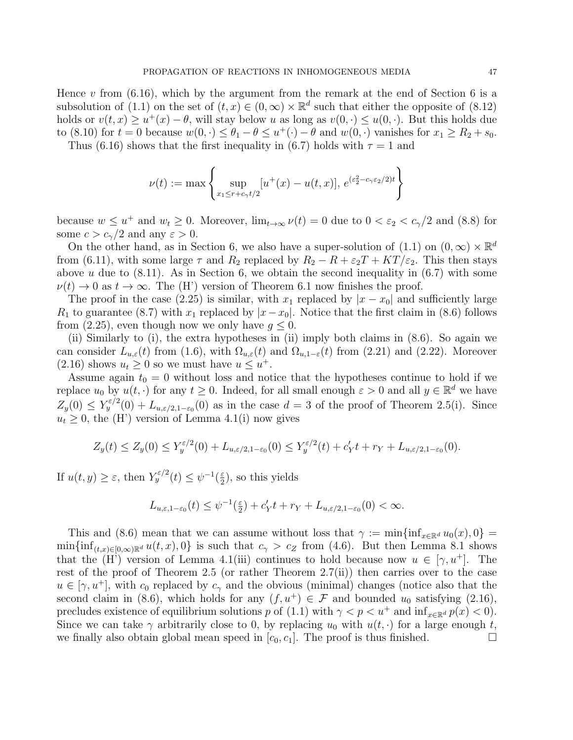Hence  $v$  from  $(6.16)$ , which by the argument from the remark at the end of Section 6 is a subsolution of (1.1) on the set of  $(t, x) \in (0, \infty) \times \mathbb{R}^d$  such that either the opposite of (8.12) holds or  $v(t, x) \ge u^+(x) - \theta$ , will stay below u as long as  $v(0, \cdot) \le u(0, \cdot)$ . But this holds due to (8.10) for  $t = 0$  because  $w(0, \cdot) \leq \theta_1 - \theta \leq u^+(\cdot) - \theta$  and  $w(0, \cdot)$  vanishes for  $x_1 \geq R_2 + s_0$ . Thus (6.16) shows that the first inequality in (6.7) holds with  $\tau = 1$  and

$$
\nu(t) := \max \left\{ \sup_{x_1 \le r + c_\gamma t/2} [u^+(x) - u(t,x)], \, e^{(\varepsilon_2^2 - c_\gamma \varepsilon_2/2)t} \right\}
$$

because  $w \leq u^+$  and  $w_t \geq 0$ . Moreover,  $\lim_{t \to \infty} \nu(t) = 0$  due to  $0 < \varepsilon_2 < c_{\gamma}/2$  and (8.8) for some  $c > c_{\gamma}/2$  and any  $\varepsilon > 0$ .

On the other hand, as in Section 6, we also have a super-solution of (1.1) on  $(0, \infty) \times \mathbb{R}^d$ from (6.11), with some large  $\tau$  and  $R_2$  replaced by  $R_2 - R + \varepsilon_2 T + KT/\varepsilon_2$ . This then stays above u due to  $(8.11)$ . As in Section 6, we obtain the second inequality in  $(6.7)$  with some  $\nu(t) \to 0$  as  $t \to \infty$ . The (H') version of Theorem 6.1 now finishes the proof.

The proof in the case (2.25) is similar, with  $x_1$  replaced by  $|x-x_0|$  and sufficiently large  $R_1$  to guarantee (8.7) with  $x_1$  replaced by  $|x-x_0|$ . Notice that the first claim in (8.6) follows from (2.25), even though now we only have  $q \leq 0$ .

(ii) Similarly to (i), the extra hypotheses in (ii) imply both claims in (8.6). So again we can consider  $L_{u,\varepsilon}(t)$  from (1.6), with  $\Omega_{u,\varepsilon}(t)$  and  $\Omega_{u,1-\varepsilon}(t)$  from (2.21) and (2.22). Moreover  $(2.16)$  shows  $u_t \geq 0$  so we must have  $u \leq u^+$ .

Assume again  $t_0 = 0$  without loss and notice that the hypotheses continue to hold if we replace  $u_0$  by  $u(t, \cdot)$  for any  $t \geq 0$ . Indeed, for all small enough  $\varepsilon > 0$  and all  $y \in \mathbb{R}^d$  we have  $Z_y(0) \le Y_y^{\varepsilon/2}(0) + L_{u,\varepsilon/2,1-\varepsilon_0}(0)$  as in the case  $d=3$  of the proof of Theorem 2.5(i). Since  $u_t \geq 0$ , the (H') version of Lemma 4.1(i) now gives

$$
Z_y(t) \le Z_y(0) \le Y_y^{\varepsilon/2}(0) + L_{u,\varepsilon/2,1-\varepsilon_0}(0) \le Y_y^{\varepsilon/2}(t) + c'_Yt + r_Y + L_{u,\varepsilon/2,1-\varepsilon_0}(0).
$$

If  $u(t, y) \geq \varepsilon$ , then  $Y_y^{\varepsilon/2}(t) \leq \psi^{-1}(\frac{\varepsilon}{2})$  $(\frac{\varepsilon}{2})$ , so this yields

$$
L_{u,\varepsilon,1-\varepsilon_0}(t) \le \psi^{-1}(\tfrac{\varepsilon}{2}) + c'_Y t + r_Y + L_{u,\varepsilon/2,1-\varepsilon_0}(0) < \infty.
$$

This and (8.6) mean that we can assume without loss that  $\gamma := \min\{\inf_{x \in \mathbb{R}^d} u_0(x), 0\}$  $\min\{\inf_{(t,x)\in[0,\infty)\mathbb{R}^d}u(t,x),0\}$  is such that  $c_\gamma>c_Z$  from (4.6). But then Lemma 8.1 shows that the (H') version of Lemma 4.1(iii) continues to hold because now  $u \in [\gamma, u^+]$ . The rest of the proof of Theorem 2.5 (or rather Theorem 2.7(ii)) then carries over to the case  $u \in [\gamma, u^+]$ , with  $c_0$  replaced by  $c_{\gamma}$  and the obvious (minimal) changes (notice also that the second claim in (8.6), which holds for any  $(f, u^+) \in \mathcal{F}$  and bounded  $u_0$  satisfying (2.16), precludes existence of equilibrium solutions p of (1.1) with  $\gamma < p < u^+$  and  $\inf_{x \in \mathbb{R}^d} p(x) < 0$ . Since we can take  $\gamma$  arbitrarily close to 0, by replacing  $u_0$  with  $u(t, \cdot)$  for a large enough t, we finally also obtain global mean speed in  $[c_0, c_1]$ . The proof is thus finished.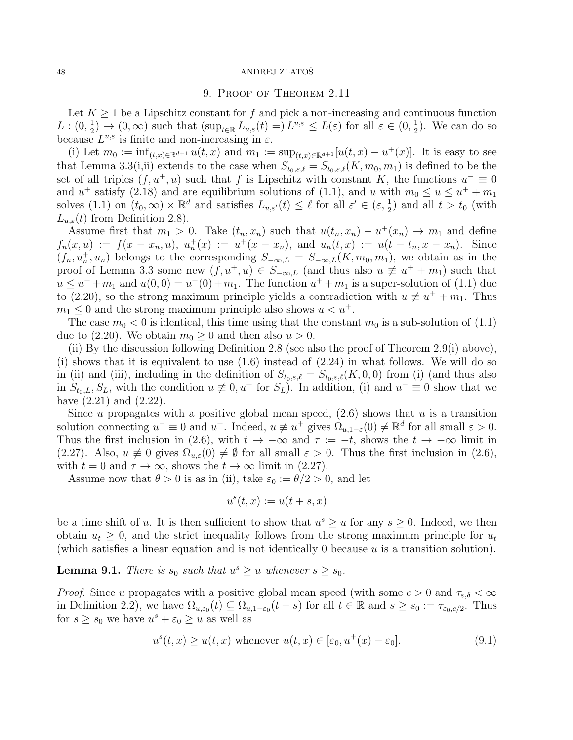## 9. Proof of Theorem 2.11

Let  $K \geq 1$  be a Lipschitz constant for f and pick a non-increasing and continuous function  $L: (0, \frac{1}{2})$  $(\frac{1}{2}) \to (0, \infty)$  such that  $(\sup_{t \in \mathbb{R}} L_{u,\varepsilon}(t) = L^{u,\varepsilon} \leq L(\varepsilon)$  for all  $\varepsilon \in (0, \frac{1}{2})$  $(\frac{1}{2})$ . We can do so because  $L^{u,\varepsilon}$  is finite and non-increasing in  $\varepsilon$ .

(i) Let  $m_0 := \inf_{(t,x)\in \mathbb{R}^{d+1}} u(t,x)$  and  $m_1 := \sup_{(t,x)\in \mathbb{R}^{d+1}} [u(t,x) - u^+(x)]$ . It is easy to see that Lemma 3.3(i,ii) extends to the case when  $S_{t_0,\varepsilon,\ell} = S_{t_0,\varepsilon,\ell}(K, m_0, m_1)$  is defined to be the set of all triples  $(f, u^+, u)$  such that f is Lipschitz with constant K, the functions  $u^- \equiv 0$ and  $u^+$  satisfy (2.18) and are equilibrium solutions of (1.1), and u with  $m_0 \le u \le u^+ + m_1$ solves (1.1) on  $(t_0, \infty) \times \mathbb{R}^d$  and satisfies  $L_{u, \varepsilon'}(t) \leq \ell$  for all  $\varepsilon' \in (\varepsilon, \frac{1}{2})$  and all  $t > t_0$  (with  $L_{u,\varepsilon}(t)$  from Definition 2.8).

Assume first that  $m_1 > 0$ . Take  $(t_n, x_n)$  such that  $u(t_n, x_n) - u^+(x_n) \to m_1$  and define  $f_n(x, u) := f(x - x_n, u), u_n^+(x) := u^+(x - x_n), \text{ and } u_n(t, x) := u(t - t_n, x - x_n).$  Since  $(f_n, u_n^+, u_n)$  belongs to the corresponding  $S_{-\infty,L} = S_{-\infty,L}(K, m_0, m_1)$ , we obtain as in the proof of Lemma 3.3 some new  $(f, u^+, u) \in S_{-\infty,L}$  (and thus also  $u \not\equiv u^+ + m_1$ ) such that  $u \leq u^+ + m_1$  and  $u(0,0) = u^+(0) + m_1$ . The function  $u^+ + m_1$  is a super-solution of (1.1) due to (2.20), so the strong maximum principle yields a contradiction with  $u \neq u^+ + m_1$ . Thus  $m_1 \leq 0$  and the strong maximum principle also shows  $u < u^+$ .

The case  $m_0 < 0$  is identical, this time using that the constant  $m_0$  is a sub-solution of  $(1.1)$ due to (2.20). We obtain  $m_0 \geq 0$  and then also  $u > 0$ .

(ii) By the discussion following Definition 2.8 (see also the proof of Theorem 2.9(i) above), (i) shows that it is equivalent to use  $(1.6)$  instead of  $(2.24)$  in what follows. We will do so in (ii) and (iii), including in the definition of  $S_{t_0,\varepsilon,\ell} = S_{t_0,\varepsilon,\ell}(K,0,0)$  from (i) (and thus also in  $S_{t_0,L}, S_L$ , with the condition  $u \neq 0, u^+$  for  $S_L$ ). In addition, (i) and  $u^- \equiv 0$  show that we have (2.21) and (2.22).

Since u propagates with a positive global mean speed,  $(2.6)$  shows that u is a transition solution connecting  $u^- \equiv 0$  and  $u^+$ . Indeed,  $u \not\equiv u^+$  gives  $\Omega_{u,1-\varepsilon}(0) \neq \mathbb{R}^d$  for all small  $\varepsilon > 0$ . Thus the first inclusion in (2.6), with  $t \to -\infty$  and  $\tau := -t$ , shows the  $t \to -\infty$  limit in (2.27). Also,  $u \neq 0$  gives  $\Omega_{u,\varepsilon}(0) \neq \emptyset$  for all small  $\varepsilon > 0$ . Thus the first inclusion in (2.6), with  $t = 0$  and  $\tau \to \infty$ , shows the  $t \to \infty$  limit in (2.27).

Assume now that  $\theta > 0$  is as in (ii), take  $\varepsilon_0 := \theta/2 > 0$ , and let

$$
u^s(t, x) := u(t + s, x)
$$

be a time shift of u. It is then sufficient to show that  $u^s \geq u$  for any  $s \geq 0$ . Indeed, we then obtain  $u_t \geq 0$ , and the strict inequality follows from the strong maximum principle for  $u_t$ (which satisfies a linear equation and is not identically 0 because  $u$  is a transition solution).

**Lemma 9.1.** There is  $s_0$  such that  $u^s \geq u$  whenever  $s \geq s_0$ .

*Proof.* Since u propagates with a positive global mean speed (with some  $c > 0$  and  $\tau_{\varepsilon,\delta} < \infty$ ) in Definition 2.2), we have  $\Omega_{u,\varepsilon_0}(t) \subseteq \Omega_{u,1-\varepsilon_0}(t+s)$  for all  $t \in \mathbb{R}$  and  $s \geq s_0 := \tau_{\varepsilon_0,c/2}$ . Thus for  $s \geq s_0$  we have  $u^s + \varepsilon_0 \geq u$  as well as

$$
u^{s}(t,x) \ge u(t,x) \text{ whenever } u(t,x) \in [\varepsilon_0, u^{+}(x) - \varepsilon_0].
$$
\n(9.1)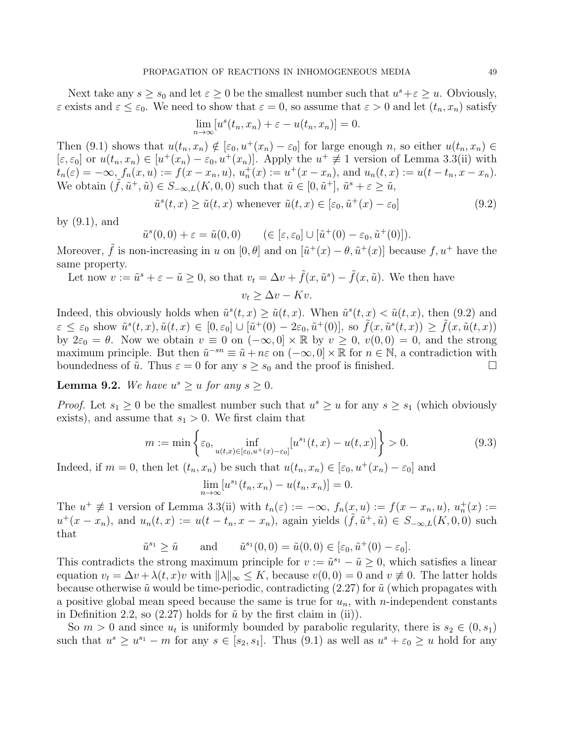Next take any  $s \geq s_0$  and let  $\varepsilon \geq 0$  be the smallest number such that  $u^s + \varepsilon \geq u$ . Obviously,  $\varepsilon$  exists and  $\varepsilon \leq \varepsilon_0$ . We need to show that  $\varepsilon = 0$ , so assume that  $\varepsilon > 0$  and let  $(t_n, x_n)$  satisfy

$$
\lim_{n \to \infty} [u^s(t_n, x_n) + \varepsilon - u(t_n, x_n)] = 0.
$$

Then (9.1) shows that  $u(t_n, x_n) \notin [\varepsilon_0, u^+(x_n) - \varepsilon_0]$  for large enough n, so either  $u(t_n, x_n) \in$  $[\varepsilon, \varepsilon_0]$  or  $u(t_n, x_n) \in [u^+(x_n) - \varepsilon_0, u^+(x_n)]$ . Apply the  $u^+ \not\equiv 1$  version of Lemma 3.3(ii) with  $t_n(\varepsilon) = -\infty$ ,  $f_n(x, u) := f(x - x_n, u)$ ,  $u_n^+(x) := u^+(x - x_n)$ , and  $u_n(t, x) := u(t - t_n, x - x_n)$ . We obtain  $(\tilde{f}, \tilde{u}^+, \tilde{u}) \in S_{-\infty,L}(K, 0, 0)$  such that  $\tilde{u} \in [0, \tilde{u}^+]$ ,  $\tilde{u}^s + \varepsilon \geq \tilde{u}$ ,

$$
\tilde{u}^s(t,x) \ge \tilde{u}(t,x) \text{ whenever } \tilde{u}(t,x) \in [\varepsilon_0, \tilde{u}^+(x) - \varepsilon_0]
$$
\n(9.2)

by (9.1), and

$$
\tilde{u}^s(0,0) + \varepsilon = \tilde{u}(0,0) \quad (\in [\varepsilon, \varepsilon_0] \cup [\tilde{u}^+(0) - \varepsilon_0, \tilde{u}^+(0)]).
$$

Moreover,  $\tilde{f}$  is non-increasing in u on  $[0, \theta]$  and on  $[\tilde{u}^+(x) - \theta, \tilde{u}^+(x)]$  because  $f, u^+$  have the same property.

Let now 
$$
v := \tilde{u}^s + \varepsilon - \tilde{u} \ge 0
$$
, so that  $v_t = \Delta v + \tilde{f}(x, \tilde{u}^s) - \tilde{f}(x, \tilde{u})$ . We then have  
 $v_t \ge \Delta v - Kv$ .

Indeed, this obviously holds when  $\tilde{u}^s(t,x) \geq \tilde{u}(t,x)$ . When  $\tilde{u}^s(t,x) < \tilde{u}(t,x)$ , then (9.2) and  $\varepsilon \leq \varepsilon_0$  show  $\tilde{u}^s(t, x), \tilde{u}(t, x) \in [0, \varepsilon_0] \cup [\tilde{u}^+(0) - 2\varepsilon_0, \tilde{u}^+(0)],$  so  $\tilde{f}(x, \tilde{u}^s(t, x)) \geq \tilde{f}(x, \tilde{u}(t, x))$ by  $2\varepsilon_0 = \theta$ . Now we obtain  $v \equiv 0$  on  $(-\infty, 0] \times \mathbb{R}$  by  $v \ge 0$ ,  $v(0, 0) = 0$ , and the strong maximum principle. But then  $\tilde{u}^{-sn} \equiv \tilde{u} + n\varepsilon$  on  $(-\infty, 0] \times \mathbb{R}$  for  $n \in \mathbb{N}$ , a contradiction with boundedness of  $\tilde{u}$ . Thus  $\varepsilon = 0$  for any  $s \geq s_0$  and the proof is finished.

**Lemma 9.2.** We have  $u^s \geq u$  for any  $s \geq 0$ .

*Proof.* Let  $s_1 \geq 0$  be the smallest number such that  $u^s \geq u$  for any  $s \geq s_1$  (which obviously exists), and assume that  $s_1 > 0$ . We first claim that

$$
m := \min\left\{\varepsilon_0, \inf_{u(t,x)\in[\varepsilon_0, u^+(x)-\varepsilon_0]} [u^{s_1}(t,x) - u(t,x)]\right\} > 0.
$$
\n(9.3)

Indeed, if  $m = 0$ , then let  $(t_n, x_n)$  be such that  $u(t_n, x_n) \in [\varepsilon_0, u^+(x_n) - \varepsilon_0]$  and

$$
\lim_{n \to \infty} [u^{s_1}(t_n, x_n) - u(t_n, x_n)] = 0.
$$

The  $u^+ \not\equiv 1$  version of Lemma 3.3(ii) with  $t_n(\varepsilon) := -\infty$ ,  $f_n(x, u) := f(x - x_n, u)$ ,  $u_n^+(x) :=$  $u^+(x-x_n)$ , and  $u_n(t,x) := u(t-t_n,x-x_n)$ , again yields  $(\tilde{f}, \tilde{u}^+, \tilde{u}) \in S_{-\infty,L}(K,0,0)$  such that

$$
\tilde{u}^{s_1} \ge \tilde{u}
$$
 and  $\tilde{u}^{s_1}(0,0) = \tilde{u}(0,0) \in [\varepsilon_0, \tilde{u}^+(0) - \varepsilon_0].$ 

This contradicts the strong maximum principle for  $v := \tilde{u}^{s_1} - \tilde{u} \geq 0$ , which satisfies a linear equation  $v_t = \Delta v + \lambda(t, x)v$  with  $\|\lambda\|_{\infty} \leq K$ , because  $v(0, 0) = 0$  and  $v \neq 0$ . The latter holds because otherwise  $\tilde{u}$  would be time-periodic, contradicting (2.27) for  $\tilde{u}$  (which propagates with a positive global mean speed because the same is true for  $u_n$ , with *n*-independent constants in Definition 2.2, so  $(2.27)$  holds for  $\tilde{u}$  by the first claim in (ii)).

So  $m > 0$  and since  $u_t$  is uniformly bounded by parabolic regularity, there is  $s_2 \in (0, s_1)$ such that  $u^s \geq u^{s_1} - m$  for any  $s \in [s_2, s_1]$ . Thus  $(9.1)$  as well as  $u^s + \varepsilon_0 \geq u$  hold for any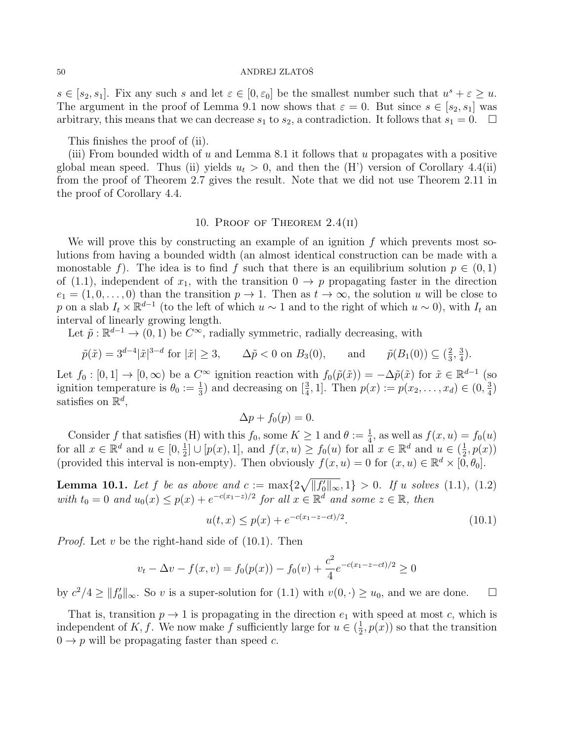$s \in [s_2, s_1]$ . Fix any such s and let  $\varepsilon \in [0, \varepsilon_0]$  be the smallest number such that  $u^s + \varepsilon \geq u$ . The argument in the proof of Lemma 9.1 now shows that  $\varepsilon = 0$ . But since  $s \in [s_2, s_1]$  was arbitrary, this means that we can decrease  $s_1$  to  $s_2$ , a contradiction. It follows that  $s_1 = 0$ .  $\Box$ 

This finishes the proof of (ii).

(iii) From bounded width of  $u$  and Lemma 8.1 it follows that  $u$  propagates with a positive global mean speed. Thus (ii) yields  $u_t > 0$ , and then the (H') version of Corollary 4.4(ii) from the proof of Theorem 2.7 gives the result. Note that we did not use Theorem 2.11 in the proof of Corollary 4.4.

# 10. Proof of Theorem 2.4(ii)

We will prove this by constructing an example of an ignition  $f$  which prevents most solutions from having a bounded width (an almost identical construction can be made with a monostable f). The idea is to find f such that there is an equilibrium solution  $p \in (0,1)$ of (1.1), independent of  $x_1$ , with the transition  $0 \to p$  propagating faster in the direction  $e_1 = (1, 0, \ldots, 0)$  than the transition  $p \to 1$ . Then as  $t \to \infty$ , the solution u will be close to p on a slab  $I_t \times \mathbb{R}^{d-1}$  (to the left of which  $u \sim 1$  and to the right of which  $u \sim 0$ ), with  $I_t$  and interval of linearly growing length.

Let  $\tilde{p} : \mathbb{R}^{d-1} \to (0, 1)$  be  $C^{\infty}$ , radially symmetric, radially decreasing, with

$$
\tilde{p}(\tilde{x}) = 3^{d-4} |\tilde{x}|^{3-d}
$$
 for  $|\tilde{x}| \ge 3$ ,  $\Delta \tilde{p} < 0$  on  $B_3(0)$ , and  $\tilde{p}(B_1(0)) \subseteq (\frac{2}{3}, \frac{3}{4})$ .

Let  $f_0: [0,1] \to [0,\infty)$  be a  $C^{\infty}$  ignition reaction with  $f_0(\tilde{p}(\tilde{x})) = -\Delta \tilde{p}(\tilde{x})$  for  $\tilde{x} \in \mathbb{R}^{d-1}$  (so ignition temperature is  $\theta_0 := \frac{1}{3}$  and decreasing on  $[\frac{3}{4}, 1]$ . Then  $p(x) := p(x_2, \ldots, x_d) \in (0, \frac{3}{4})$  $\frac{3}{4}$ satisfies on  $\mathbb{R}^d$ ,

$$
\Delta p + f_0(p) = 0.
$$

Consider f that satisfies (H) with this  $f_0$ , some  $K \geq 1$  and  $\theta := \frac{1}{4}$ , as well as  $f(x, u) = f_0(u)$ for all  $x \in \mathbb{R}^d$  and  $u \in [0, \frac{1}{2}]$  $\frac{1}{2} \cup [p(x), 1],$  and  $f(x, u) \ge f_0(u)$  for all  $x \in \mathbb{R}^d$  and  $u \in (\frac{1}{2})$  $(\frac{1}{2}, p(x))$ (provided this interval is non-empty). Then obviously  $f(x, u) = 0$  for  $(x, u) \in \mathbb{R}^d \times [0, \theta_0]$ .

**Lemma 10.1.** Let f be as above and  $c := \max\{2\sqrt{||f_0'||_{\infty}}, 1\} > 0$ . If u solves (1.1), (1.2) with  $t_0 = 0$  and  $u_0(x) \leq p(x) + e^{-c(x_1 - x)/2}$  for all  $x \in \mathbb{R}^d$  and some  $z \in \mathbb{R}$ , then

$$
u(t,x) \le p(x) + e^{-c(x_1 - z - ct)/2}.\tag{10.1}
$$

*Proof.* Let  $v$  be the right-hand side of  $(10.1)$ . Then

$$
v_t - \Delta v - f(x, v) = f_0(p(x)) - f_0(v) + \frac{c^2}{4}e^{-c(x_1 - z - ct)/2} \ge 0
$$

by  $c^2/4 \ge ||f_0'||_{\infty}$ . So v is a super-solution for  $(1.1)$  with  $v(0, \cdot) \ge u_0$ , and we are done.  $\square$ 

That is, transition  $p \to 1$  is propagating in the direction  $e_1$  with speed at most c, which is independent of K, f. We now make f sufficiently large for  $u \in (\frac{1}{2})$  $(\frac{1}{2}, p(x))$  so that the transition  $0 \rightarrow p$  will be propagating faster than speed c.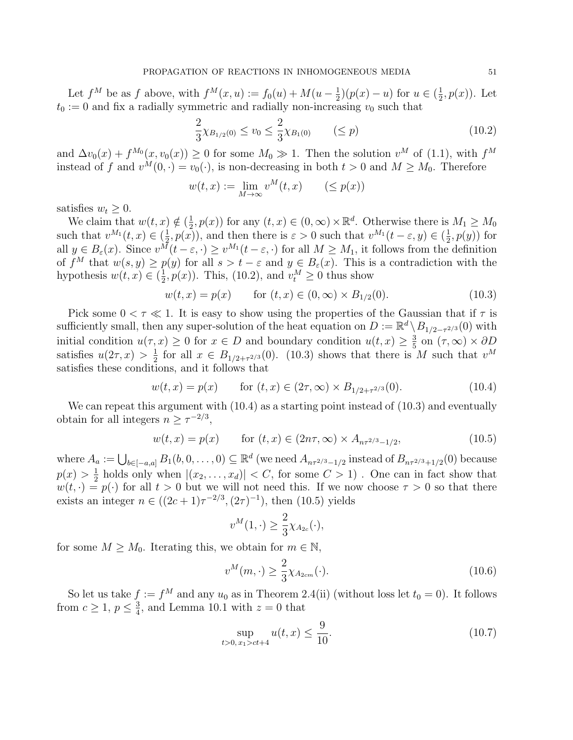Let  $f^M$  be as f above, with  $f^M(x, u) := f_0(u) + M(u - \frac{1}{2})$  $(\frac{1}{2})(p(x) - u)$  for  $u \in (\frac{1}{2})$  $\frac{1}{2}, p(x)$ ). Let  $t_0 := 0$  and fix a radially symmetric and radially non-increasing  $v_0$  such that

$$
\frac{2}{3}\chi_{B_{1/2}(0)} \le v_0 \le \frac{2}{3}\chi_{B_1(0)} \qquad (\le p)
$$
\n(10.2)

and  $\Delta v_0(x) + f^{M_0}(x, v_0(x)) \ge 0$  for some  $M_0 \gg 1$ . Then the solution  $v^M$  of (1.1), with  $f^M$ instead of f and  $v^M(0, \cdot) = v_0(\cdot)$ , is non-decreasing in both  $t > 0$  and  $M \geq M_0$ . Therefore

$$
w(t,x) := \lim_{M \to \infty} v^M(t,x) \qquad (\leq p(x))
$$

satisfies  $w_t \geq 0$ .

We claim that  $w(t, x) \notin \left(\frac{1}{2}\right)$  $(\frac{1}{2}, p(x))$  for any  $(t, x) \in (0, \infty) \times \mathbb{R}^d$ . Otherwise there is  $M_1 \geq M_0$ such that  $v^{M_1}(t,x) \in (\frac{1}{2})$  $(\frac{1}{2}, p(x))$ , and then there is  $\varepsilon > 0$  such that  $v^{M_1}(t - \varepsilon, y) \in (\frac{1}{2}, p(x))$  $\frac{1}{2}$ ,  $p(y)$  for all  $y \in B_{\varepsilon}(x)$ . Since  $v^M(t - \varepsilon, \cdot) \ge v^{M_1}(t - \varepsilon, \cdot)$  for all  $M \ge M_1$ , it follows from the definition of  $f^M$  that  $w(s, y) \geq p(y)$  for all  $s > t - \varepsilon$  and  $y \in B_{\varepsilon}(x)$ . This is a contradiction with the hypothesis  $w(t, x) \in (\frac{1}{2})$  $(\frac{1}{2}, p(x))$ . This, (10.2), and  $v_t^M \ge 0$  thus show

$$
w(t, x) = p(x) \quad \text{for } (t, x) \in (0, \infty) \times B_{1/2}(0). \tag{10.3}
$$

Pick some  $0 < \tau \ll 1$ . It is easy to show using the properties of the Gaussian that if  $\tau$  is sufficiently small, then any super-solution of the heat equation on  $D := \mathbb{R}^d \setminus B_{1/2-\tau^{2/3}}(0)$  with initial condition  $u(\tau, x) \geq 0$  for  $x \in D$  and boundary condition  $u(t, x) \geq \frac{3}{5}$  $\frac{3}{5}$  on  $(\tau, \infty) \times \partial D$ satisfies  $u(2\tau,x) > \frac{1}{2}$  $\frac{1}{2}$  for all  $x \in B_{1/2+\tau^{2/3}}(0)$ . (10.3) shows that there is M such that  $v^M$ satisfies these conditions, and it follows that

$$
w(t,x) = p(x) \qquad \text{for } (t,x) \in (2\tau,\infty) \times B_{1/2+\tau^{2/3}}(0). \tag{10.4}
$$

We can repeat this argument with  $(10.4)$  as a starting point instead of  $(10.3)$  and eventually obtain for all integers  $n \geq \tau^{-2/3}$ ,

$$
w(t,x) = p(x) \qquad \text{for } (t,x) \in (2n\tau,\infty) \times A_{n\tau^{2/3}-1/2}, \tag{10.5}
$$

where  $A_a := \bigcup_{b \in [-a,a]} B_1(b, 0, \ldots, 0) \subseteq \mathbb{R}^d$  (we need  $A_{n\tau^{2/3}-1/2}$  instead of  $B_{n\tau^{2/3}+1/2}(0)$  because  $p(x) > \frac{1}{2}$  $\frac{1}{2}$  holds only when  $|(x_2, \ldots, x_d)| < C$ , for some  $C > 1$ ). One can in fact show that  $w(t, \cdot) = p(\cdot)$  for all  $t > 0$  but we will not need this. If we now choose  $\tau > 0$  so that there exists an integer  $n \in ((2c+1)\tau^{-2/3}, (2\tau)^{-1})$ , then  $(10.5)$  yields

$$
v^M(1,\cdot) \ge \frac{2}{3}\chi_{A_{2c}}(\cdot),
$$

for some  $M \geq M_0$ . Iterating this, we obtain for  $m \in \mathbb{N}$ ,

$$
v^M(m,\cdot) \ge \frac{2}{3}\chi_{A_{2cm}}(\cdot). \tag{10.6}
$$

So let us take  $f := f^M$  and any  $u_0$  as in Theorem 2.4(ii) (without loss let  $t_0 = 0$ ). It follows from  $c \geq 1, p \leq \frac{3}{4}$  $\frac{3}{4}$ , and Lemma 10.1 with  $z = 0$  that

$$
\sup_{t>0, x_1>ct+4} u(t, x) \le \frac{9}{10}.\tag{10.7}
$$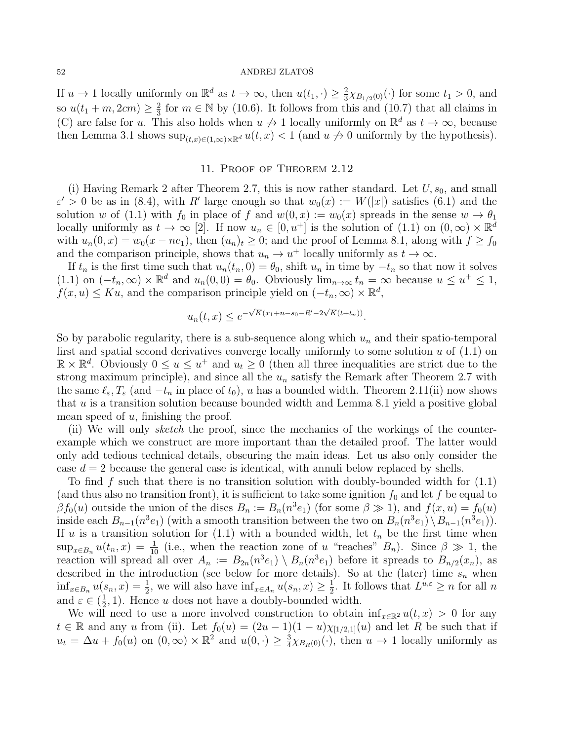If  $u \to 1$  locally uniformly on  $\mathbb{R}^d$  as  $t \to \infty$ , then  $u(t_1, \cdot) \geq \frac{2}{3}$  $\frac{2}{3}\chi_{B_{1/2}(0)}(\cdot)$  for some  $t_1 > 0$ , and so  $u(t_1 + m, 2cm) \geq \frac{2}{3}$  $\frac{2}{3}$  for  $m \in \mathbb{N}$  by (10.6). It follows from this and (10.7) that all claims in (C) are false for u. This also holds when  $u \nrightarrow 1$  locally uniformly on  $\mathbb{R}^d$  as  $t \rightarrow \infty$ , because then Lemma 3.1 shows  $\sup_{(t,x)\in(1,\infty)\times\mathbb{R}^d}u(t,x)<1$  (and  $u\neq 0$  uniformly by the hypothesis).

# 11. Proof of Theorem 2.12

(i) Having Remark 2 after Theorem 2.7, this is now rather standard. Let  $U, s_0$ , and small  $\varepsilon' > 0$  be as in (8.4), with R' large enough so that  $w_0(x) := W(|x|)$  satisfies (6.1) and the solution w of (1.1) with  $f_0$  in place of f and  $w(0, x) := w_0(x)$  spreads in the sense  $w \to \theta_1$ locally uniformly as  $t \to \infty$  [2]. If now  $u_n \in [0, u^+]$  is the solution of (1.1) on  $(0, \infty) \times \mathbb{R}^d$ with  $u_n(0, x) = w_0(x - ne_1)$ , then  $(u_n)_t \geq 0$ ; and the proof of Lemma 8.1, along with  $f \geq f_0$ and the comparison principle, shows that  $u_n \to u^+$  locally uniformly as  $t \to \infty$ .

If  $t_n$  is the first time such that  $u_n(t_n, 0) = \theta_0$ , shift  $u_n$  in time by  $-t_n$  so that now it solves (1.1) on  $(-t_n,\infty) \times \mathbb{R}^d$  and  $u_n(0,0) = \theta_0$ . Obviously  $\lim_{n \to \infty} t_n = \infty$  because  $u \leq u^+ \leq 1$ ,  $f(x, u) \leq Ku$ , and the comparison principle yield on  $(-t_n, \infty) \times \mathbb{R}^d$ ,

$$
u_n(t,x) \le e^{-\sqrt{K}(x_1 + n - s_0 - R' - 2\sqrt{K}(t + t_n))}.
$$

So by parabolic regularity, there is a sub-sequence along which  $u_n$  and their spatio-temporal first and spatial second derivatives converge locally uniformly to some solution  $u$  of  $(1.1)$  on  $\mathbb{R} \times \mathbb{R}^d$ . Obviously  $0 \le u \le u^+$  and  $u_t \ge 0$  (then all three inequalities are strict due to the strong maximum principle), and since all the  $u_n$  satisfy the Remark after Theorem 2.7 with the same  $\ell_{\varepsilon}, T_{\varepsilon}$  (and  $-t_n$  in place of  $t_0$ ), u has a bounded width. Theorem 2.11(ii) now shows that u is a transition solution because bounded width and Lemma 8.1 yield a positive global mean speed of  $u$ , finishing the proof.

(ii) We will only sketch the proof, since the mechanics of the workings of the counterexample which we construct are more important than the detailed proof. The latter would only add tedious technical details, obscuring the main ideas. Let us also only consider the case  $d = 2$  because the general case is identical, with annuli below replaced by shells.

To find f such that there is no transition solution with doubly-bounded width for  $(1.1)$ (and thus also no transition front), it is sufficient to take some ignition  $f_0$  and let f be equal to  $\beta f_0(u)$  outside the union of the discs  $B_n := B_n(n^3e_1)$  (for some  $\beta \gg 1$ ), and  $f(x, u) = f_0(u)$ inside each  $B_{n-1}(n^3e_1)$  (with a smooth transition between the two on  $B_n(n^3e_1)\setminus B_{n-1}(n^3e_1)$ ). If u is a transition solution for  $(1.1)$  with a bounded width, let  $t_n$  be the first time when  $\sup_{x \in B_n} u(t_n, x) = \frac{1}{10}$  (i.e., when the reaction zone of u "reaches"  $B_n$ ). Since  $\beta \gg 1$ , the reaction will spread all over  $A_n := B_{2n}(n^3e_1) \setminus B_n(n^3e_1)$  before it spreads to  $B_{n/2}(x_n)$ , as described in the introduction (see below for more details). So at the (later) time  $s_n$  when  $\inf_{x \in B_n} u(s_n, x) = \frac{1}{2}$ , we will also have  $\inf_{x \in A_n} u(s_n, x) \ge \frac{1}{2}$  $\frac{1}{2}$ . It follows that  $L^{u,\varepsilon} \geq n$  for all n and  $\varepsilon \in (\frac{1}{2})$  $\frac{1}{2}$ , 1). Hence *u* does not have a doubly-bounded width.

We will need to use a more involved construction to obtain  $\inf_{x\in\mathbb{R}^2}u(t,x) > 0$  for any  $t \in \mathbb{R}$  and any u from (ii). Let  $f_0(u) = (2u - 1)(1 - u)\chi_{[1/2,1]}(u)$  and let R be such that if  $u_t = \Delta u + f_0(u)$  on  $(0, \infty) \times \mathbb{R}^2$  and  $u(0, \cdot) \geq \frac{3}{4}$  $\frac{3}{4}\chi_{B_R(0)}(\cdot)$ , then  $u \to 1$  locally uniformly as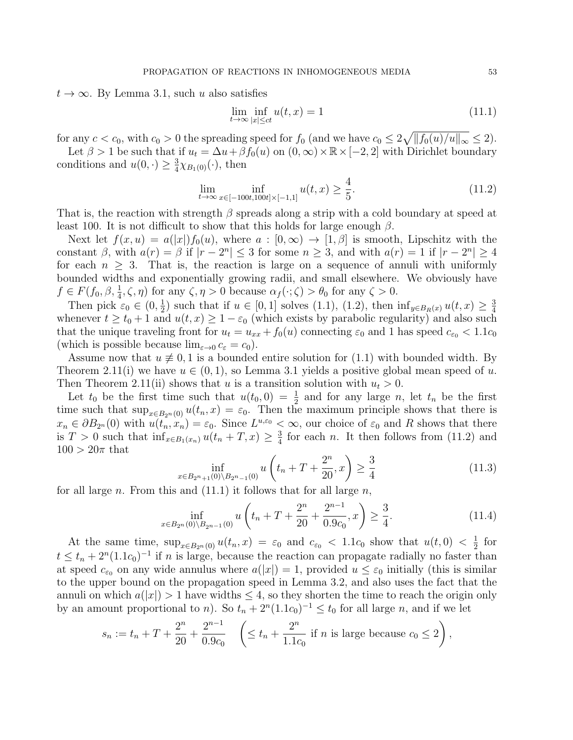$t \to \infty$ . By Lemma 3.1, such u also satisfies

$$
\lim_{t \to \infty} \inf_{|x| \le ct} u(t, x) = 1 \tag{11.1}
$$

for any  $c < c_0$ , with  $c_0 > 0$  the spreading speed for  $f_0$  (and we have  $c_0 \leq 2\sqrt{\|f_0(u)/u\|_{\infty}} \leq 2$ ).

Let  $\beta > 1$  be such that if  $u_t = \Delta u + \beta f_0(u)$  on  $(0, \infty) \times \mathbb{R} \times [-2, 2]$  with Dirichlet boundary conditions and  $u(0, \cdot) \geq \frac{3}{4}$  $\frac{3}{4}\chi_{B_1(0)}(\cdot)$ , then

$$
\lim_{t \to \infty} \inf_{x \in [-100t, 100t] \times [-1, 1]} u(t, x) \ge \frac{4}{5}.
$$
\n(11.2)

That is, the reaction with strength  $\beta$  spreads along a strip with a cold boundary at speed at least 100. It is not difficult to show that this holds for large enough  $\beta$ .

Next let  $f(x, u) = a(|x|)f_0(u)$ , where  $a : [0, \infty) \to [1, \beta]$  is smooth, Lipschitz with the constant  $\beta$ , with  $a(r) = \beta$  if  $|r - 2^n| \le 3$  for some  $n \ge 3$ , and with  $a(r) = 1$  if  $|r - 2^n| \ge 4$ for each  $n \geq 3$ . That is, the reaction is large on a sequence of annuli with uniformly bounded widths and exponentially growing radii, and small elsewhere. We obviously have  $f \in F(f_0, \beta, \frac{1}{4}, \zeta, \eta)$  for any  $\zeta, \eta > 0$  because  $\alpha_f(\cdot; \zeta) > \theta_0$  for any  $\zeta > 0$ .

Then pick  $\varepsilon_0 \in (0, \frac{1}{2})$  $\frac{1}{2}$ ) such that if  $u \in [0, 1]$  solves  $(1.1)$ ,  $(1.2)$ , then  $\inf_{y \in B_R(x)} u(t, x) \geq \frac{3}{4}$ 4 whenever  $t \ge t_0 + 1$  and  $u(t, x) \ge 1 - \varepsilon_0$  (which exists by parabolic regularity) and also such that the unique traveling front for  $u_t = u_{xx} + f_0(u)$  connecting  $\varepsilon_0$  and 1 has speed  $c_{\varepsilon_0} < 1.1c_0$ (which is possible because  $\lim_{\varepsilon \to 0} c_{\varepsilon} = c_0$ ).

Assume now that  $u \neq 0, 1$  is a bounded entire solution for (1.1) with bounded width. By Theorem 2.11(i) we have  $u \in (0,1)$ , so Lemma 3.1 yields a positive global mean speed of u. Then Theorem 2.11(ii) shows that u is a transition solution with  $u_t > 0$ .

Let  $t_0$  be the first time such that  $u(t_0, 0) = \frac{1}{2}$  and for any large n, let  $t_n$  be the first time such that  $\sup_{x \in B_{2n}(0)} u(t_n, x) = \varepsilon_0$ . Then the maximum principle shows that there is  $x_n \in \partial B_{2^n}(0)$  with  $u(t_n, x_n) = \varepsilon_0$ . Since  $L^{u, \varepsilon_0} < \infty$ , our choice of  $\varepsilon_0$  and R shows that there is  $T > 0$  such that  $\inf_{x \in B_1(x_n)} u(t_n + T, x) \geq \frac{3}{4}$  $\frac{3}{4}$  for each *n*. It then follows from (11.2) and  $100 > 20\pi$  that

$$
\inf_{x \in B_{2^n+1}(0) \setminus B_{2^n-1}(0)} u\left(t_n + T + \frac{2^n}{20}, x\right) \ge \frac{3}{4} \tag{11.3}
$$

for all large n. From this and  $(11.1)$  it follows that for all large n,

$$
\inf_{x \in B_{2^n}(0) \setminus B_{2^{n-1}}(0)} u\left(t_n + T + \frac{2^n}{20} + \frac{2^{n-1}}{0.9c_0}, x\right) \ge \frac{3}{4}.\tag{11.4}
$$

At the same time,  $\sup_{x \in B_{2^n}(0)} u(t_n, x) = \varepsilon_0$  and  $c_{\varepsilon_0} < 1.1c_0$  show that  $u(t, 0) < \frac{1}{2}$  $rac{1}{2}$  for  $t \leq t_n + 2^n (1.1c_0)^{-1}$  if n is large, because the reaction can propagate radially no faster than at speed  $c_{\varepsilon_0}$  on any wide annulus where  $a(|x|) = 1$ , provided  $u \leq \varepsilon_0$  initially (this is similar to the upper bound on the propagation speed in Lemma 3.2, and also uses the fact that the annuli on which  $a(|x|) > 1$  have widths  $\leq 4$ , so they shorten the time to reach the origin only by an amount proportional to n). So  $t_n + 2^n(1.1c_0)^{-1} \le t_0$  for all large n, and if we let

$$
s_n := t_n + T + \frac{2^n}{20} + \frac{2^{n-1}}{0.9c_0} \quad \left( \le t_n + \frac{2^n}{1.1c_0} \text{ if } n \text{ is large because } c_0 \le 2 \right),
$$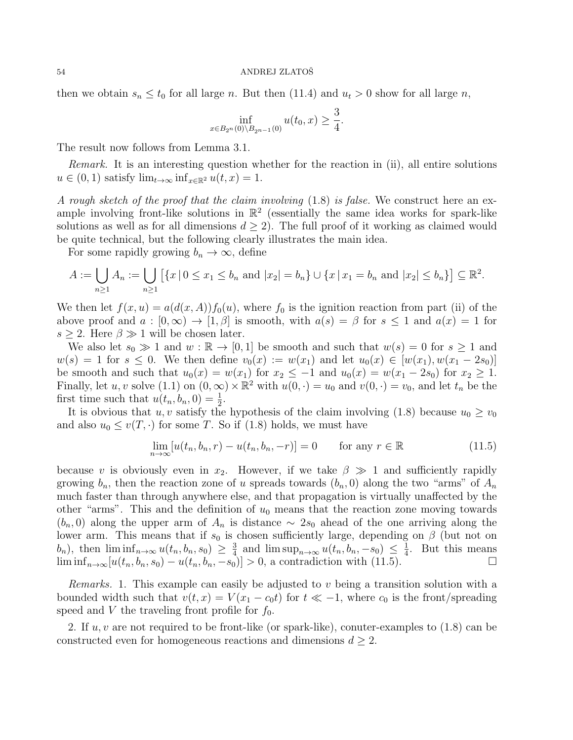then we obtain  $s_n \le t_0$  for all large n. But then (11.4) and  $u_t > 0$  show for all large n,

$$
\inf_{x \in B_{2^n}(0) \setminus B_{2^{n-1}}(0)} u(t_0, x) \ge \frac{3}{4}.
$$

The result now follows from Lemma 3.1.

Remark. It is an interesting question whether for the reaction in (ii), all entire solutions  $u \in (0,1)$  satisfy  $\lim_{t\to\infty} \inf_{x\in\mathbb{R}^2} u(t,x) = 1.$ 

A rough sketch of the proof that the claim involving  $(1.8)$  is false. We construct here an example involving front-like solutions in  $\mathbb{R}^2$  (essentially the same idea works for spark-like solutions as well as for all dimensions  $d \geq 2$ . The full proof of it working as claimed would be quite technical, but the following clearly illustrates the main idea.

For some rapidly growing  $b_n \to \infty$ , define

$$
A := \bigcup_{n \ge 1} A_n := \bigcup_{n \ge 1} \left[ \{ x \mid 0 \le x_1 \le b_n \text{ and } |x_2| = b_n \} \cup \{ x \mid x_1 = b_n \text{ and } |x_2| \le b_n \} \right] \subseteq \mathbb{R}^2.
$$

We then let  $f(x, u) = a(d(x, A))f_0(u)$ , where  $f_0$  is the ignition reaction from part (ii) of the above proof and  $a : [0, \infty) \to [1, \beta]$  is smooth, with  $a(s) = \beta$  for  $s \leq 1$  and  $a(x) = 1$  for  $s \geq 2$ . Here  $\beta \gg 1$  will be chosen later.

We also let  $s_0 \gg 1$  and  $w : \mathbb{R} \to [0,1]$  be smooth and such that  $w(s) = 0$  for  $s \ge 1$  and  $w(s) = 1$  for  $s \leq 0$ . We then define  $v_0(x) := w(x_1)$  and let  $u_0(x) \in [w(x_1), w(x_1 - 2s_0)]$ be smooth and such that  $u_0(x) = w(x_1)$  for  $x_2 \leq -1$  and  $u_0(x) = w(x_1 - 2s_0)$  for  $x_2 \geq 1$ . Finally, let u, v solve (1.1) on  $(0, \infty) \times \mathbb{R}^2$  with  $u(0, \cdot) = u_0$  and  $v(0, \cdot) = v_0$ , and let  $t_n$  be the first time such that  $u(t_n, b_n, 0) = \frac{1}{2}$ .

It is obvious that u, v satisfy the hypothesis of the claim involving (1.8) because  $u_0 \ge v_0$ and also  $u_0 \le v(T, \cdot)$  for some T. So if (1.8) holds, we must have

$$
\lim_{n \to \infty} [u(t_n, b_n, r) - u(t_n, b_n, -r)] = 0 \quad \text{for any } r \in \mathbb{R}
$$
\n(11.5)

because v is obviously even in  $x_2$ . However, if we take  $\beta \gg 1$  and sufficiently rapidly growing  $b_n$ , then the reaction zone of u spreads towards  $(b_n, 0)$  along the two "arms" of  $A_n$ much faster than through anywhere else, and that propagation is virtually unaffected by the other "arms". This and the definition of  $u_0$  means that the reaction zone moving towards  $(b_n, 0)$  along the upper arm of  $A_n$  is distance ~ 2s<sub>0</sub> ahead of the one arriving along the lower arm. This means that if  $s_0$  is chosen sufficiently large, depending on  $\beta$  (but not on  $(b_n)$ , then  $\liminf_{n\to\infty} u(t_n, b_n, s_0) \geq \frac{3}{4}$  $\frac{3}{4}$  and  $\limsup_{n\to\infty} u(t_n, b_n, -s_0) \leq \frac{1}{4}$  $\frac{1}{4}$ . But this means  $\liminf_{n\to\infty} [u(t_n, b_n, s_0) - u(t_n, b_n, -s_0)] > 0$ , a contradiction with (11.5).

*Remarks.* 1. This example can easily be adjusted to  $v$  being a transition solution with a bounded width such that  $v(t, x) = V(x_1 - c_0 t)$  for  $t \ll -1$ , where  $c_0$  is the front/spreading speed and V the traveling front profile for  $f_0$ .

2. If  $u, v$  are not required to be front-like (or spark-like), conuter-examples to  $(1.8)$  can be constructed even for homogeneous reactions and dimensions  $d \geq 2$ .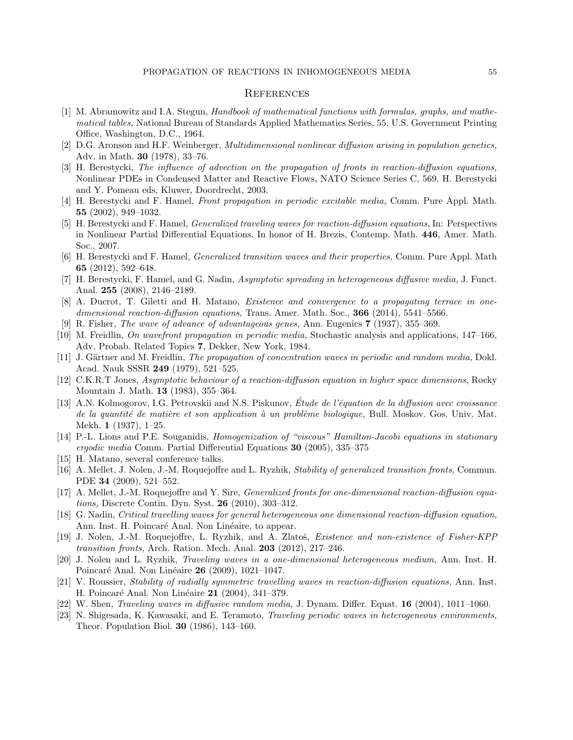## **REFERENCES**

- [1] M. Abramowitz and I.A. Stegun, Handbook of mathematical functions with formulas, graphs, and mathematical tables, National Bureau of Standards Applied Mathematics Series, 55, U.S. Government Printing Office, Washington, D.C., 1964.
- [2] D.G. Aronson and H.F. Weinberger, Multidimensional nonlinear diffusion arising in population genetics, Adv. in Math. 30 (1978), 33–76.
- [3] H. Berestycki, The influence of advection on the propagation of fronts in reaction-diffusion equations, Nonlinear PDEs in Condensed Matter and Reactive Flows, NATO Science Series C, 569, H. Berestycki and Y. Pomeau eds, Kluwer, Doordrecht, 2003.
- [4] H. Berestycki and F. Hamel, Front propagation in periodic excitable media, Comm. Pure Appl. Math. 55 (2002), 949–1032.
- [5] H. Berestycki and F. Hamel, Generalized traveling waves for reaction-diffusion equations, In: Perspectives in Nonlinear Partial Differential Equations. In honor of H. Brezis, Contemp. Math. 446, Amer. Math. Soc., 2007.
- [6] H. Berestycki and F. Hamel, Generalized transition waves and their properties, Comm. Pure Appl. Math 65 (2012), 592–648.
- [7] H. Berestycki, F. Hamel, and G. Nadin, Asymptotic spreading in heterogeneous diffusive media, J. Funct. Anal. 255 (2008), 2146–2189.
- [8] A. Ducrot, T. Giletti and H. Matano, Existence and convergence to a propagating terrace in onedimensional reaction-diffusion equations, Trans. Amer. Math. Soc.,  $366$  (2014), 5541–5566.
- [9] R. Fisher, The wave of advance of advantageous genes, Ann. Eugenics 7 (1937), 355–369.
- [10] M. Freidlin, On wavefront propagation in periodic media, Stochastic analysis and applications, 147–166, Adv. Probab. Related Topics 7, Dekker, New York, 1984.
- [11] J. Gärtner and M. Freidlin, *The propagation of concentration waves in periodic and random media*, Dokl. Acad. Nauk SSSR 249 (1979), 521–525.
- [12] C.K.R.T Jones, Asymptotic behaviour of a reaction-diffusion equation in higher space dimensions, Rocky Mountain J. Math. 13 (1983), 355–364.
- [13] A.N. Kolmogorov, I.G. Petrovskii and N.S. Piskunov, Étude de l'équation de la diffusion avec croissance de la quantité de matière et son application à un problème biologique, Bull. Moskov. Gos. Univ. Mat. Mekh. 1 (1937), 1–25.
- [14] P.-L. Lions and P.E. Souganidis, Homogenization of "viscous" Hamilton-Jacobi equations in stationary ergodic media Comm. Partial Differential Equations 30 (2005), 335–375
- [15] H. Matano, several conference talks.
- [16] A. Mellet, J. Nolen, J.-M. Roquejoffre and L. Ryzhik, Stability of generalized transition fronts, Commun. PDE 34 (2009), 521–552.
- [17] A. Mellet, J.-M. Roquejoffre and Y. Sire, Generalized fronts for one-dimensional reaction-diffusion equations, Discrete Contin. Dyn. Syst. 26 (2010), 303–312.
- [18] G. Nadin, Critical travelling waves for general heterogeneous one dimensional reaction-diffusion equation, Ann. Inst. H. Poincaré Anal. Non Linéaire, to appear.
- [19] J. Nolen, J.-M. Roquejoffre, L. Ryzhik, and A. Zlatoš, *Existence and non-existence of Fisher-KPP* transition fronts, Arch. Ration. Mech. Anal. 203 (2012), 217–246.
- [20] J. Nolen and L. Ryzhik, Traveling waves in a one-dimensional heterogeneous medium, Ann. Inst. H. Poincaré Anal. Non Linéaire **26** (2009), 1021–1047.
- [21] V. Roussier, Stability of radially symmetric travelling waves in reaction-diffusion equations, Ann. Inst. H. Poincaré Anal. Non Linéaire 21 (2004), 341–379.
- [22] W. Shen, Traveling waves in diffusive random media, J. Dynam. Differ. Equat. 16 (2004), 1011–1060.
- [23] N. Shigesada, K. Kawasaki, and E. Teramoto, Traveling periodic waves in heterogeneous environments, Theor. Population Biol. 30 (1986), 143–160.